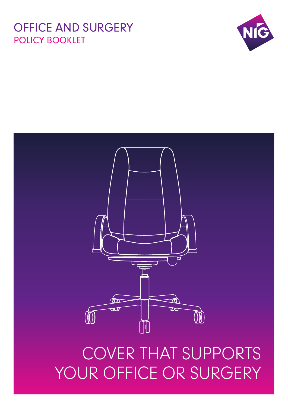## OFFICE AND SURGERY POLICY BOOKLET



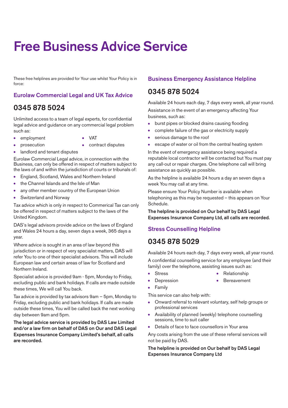# **Free Business Advice Service**

These free helplines are provided for Your use whilst Your Policy is in force:

## **Eurolaw Commercial Legal and UK Tax Advice**

## **0345 878 5024**

Unlimited access to a team of legal experts, for confidential legal advice and guidance on any commercial legal problem such as:

- **●** employment **●** VAT
- 
- **●** prosecution **●** contract disputes
- 
- **●** landlord and tenant disputes

Eurolaw Commercial Legal advice, in connection with the Business, can only be offered in respect of matters subject to the laws of and within the jurisdiction of courts or tribunals of:

- **●** England, Scotland, Wales and Northern Ireland
- **●** the Channel Islands and the Isle of Man
- **●** any other member country of the European Union
- **●** Switzerland and Norway

Tax advice which is only in respect to Commerical Tax can only be offered in respect of matters subject to the laws of the United Kingdom.

DAS's legal advisors provide advice on the laws of England and Wales 24 hours a day, seven days a week, 365 days a year.

Where advice is sought in an area of law beyond this jurisdiction or in respect of very specialist matters, DAS will refer You to one of their specialist advisors. This will include European law and certain areas of law for Scotland and Northern Ireland.

Specialist advice is provided 9am - 5pm, Monday to Friday, excluding public and bank holidays. If calls are made outside these times, We will call You back.

Tax advice is provided by tax advisors 9am – 5pm, Monday to Friday, excluding public and bank holidays. If calls are made outside these times, You will be called back the next working day between 9am and 5pm.

**The legal advice service is provided by DAS Law Limited and/or a law firm on behalf of DAS on Our and DAS Legal Expenses Insurance Company Limited's behalf, all calls are recorded.**

## **Business Emergency Assistance Helpline**

## **0345 878 5024**

Available 24 hours each day, 7 days every week, all year round. Assistance in the event of an emergency affecting Your business, such as:

- burst pipes or blocked drains causing flooding
- **●** complete failure of the gas or electricity supply
- serious damage to the roof
- **●** escape of water or oil from the central heating system

In the event of emergency assistance being required a reputable local contractor will be contacted but You must pay any call-out or repair charges. One telephone call will bring assistance as quickly as possible.

As the helpline is available 24 hours a day an seven days a week You may call at any time.

Please ensure Your Policy Number is available when telephoning as this may be requested – this appears on Your Schedule.

**The helpline is provided on Our behalf by DAS Legal Expenses Insurance Company Ltd, all calls are recorded.**

## **Stress Counselling Helpline**

## **0345 878 5029**

Available 24 hours each day, 7 days every week, all year round.

A confidential counselling service for any employee (and their family) over the telephone, assisting issues such as:

- 
- **●** Stress **●** Relationship
- 
- **Depression •** Bereavement
- **●** Family

This service can also help with:

- **●** Onward referral to relevant voluntary, self help groups or professional services
- **●** Availability of planned (weekly) telephone counselling sessions, time to suit caller
- Details of face to face counsellors in Your area

Any costs arising from the use of these referral services will not be paid by DAS.

**The helpline is provided on Our behalf by DAS Legal Expenses Insurance Company Ltd**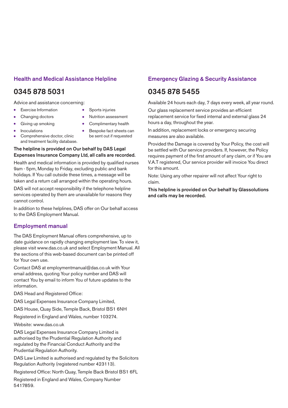## **Health and Medical Assistance Helpline**

## **0345 878 5031**

Advice and assistance concerning:

and treatment facility database.

- 
- **●** Exercise Information **●** Sports injuries
	- **●** Changing doctors **●** Nutrition assessment
- 
- **●** Giving up smoking **●** Complimentary health
- - **●** Inoculations **●** Bespoke fact sheets can Comprehensive doctor, clinic be sent out if requested
- **The helpline is provided on Our behalf by DAS Legal Expenses Insurance Company Ltd, all calls are recorded.**

Health and medical information is provided by qualified nurses 9am - 5pm, Monday to Friday, excluding public and bank holidays. If You call outside these times, a message will be taken and a return call arranged within the operating hours.

DAS will not accept responsibility if the telephone helpline services operated by them are unavailable for reasons they cannot control.

In addition to these helplines, DAS offer on Our behalf access to the DAS Employment Manual.

## **Employment manual**

The DAS Employment Manual offers comprehensive, up to date guidance on rapidly changing employment law. To view it, please visit www.das.co.uk and select Employment Manual. All the sections of this web-based document can be printed off for Your own use.

Contact DAS at employmentmanual@das.co.uk with Your email address, quoting Your policy number and DAS will contact You by email to inform You of future updates to the information.

DAS Head and Registered Office:

DAS Legal Expenses Insurance Company Limited,

DAS House, Quay Side, Temple Back, Bristol BS1 6NH

Registered in England and Wales, number 103274.

Website: www.das.co.uk

DAS Legal Expenses Insurance Company Limited is authorised by the Prudential Regulation Authority and regulated by the Financial Conduct Authority and the Prudential Regulation Authority.

DAS Law Limited is authorised and regulated by the Solicitors Regulation Authority (registered number 423113).

Registered Office: North Quay, Temple Back Bristol BS1 6FL

Registered in England and Wales, Company Number 5417859.

## **Emergency Glazing & Security Assistance**

## **0345 878 5455**

Available 24 hours each day, 7 days every week, all year round.

Our glass replacement service provides an efficient replacement service for fixed internal and external glass 24 hours a day, throughout the year.

In addition, replacement locks or emergency securing measures are also available.

Provided the Damage is covered by Your Policy, the cost will be settled with Our service providers. If, however, the Policy requires payment of the first amount of any claim, or if You are V.A.T registered, Our service provider will invoice You direct for this amount.

Note: Using any other repairer will not affect Your right to claim.

**This helpline is provided on Our behalf by Glassolutions and calls may be recorded.**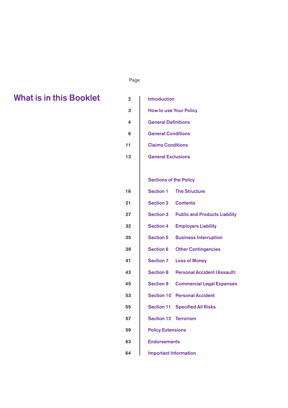## ل المستخدم المستخدم المستخدم المستخدم المستخدم المستخدم المستخدم المستخدم المستخدم المستخدم المستخدم المستخدم ا

## **What is in this Booklet**

| 2  | <b>Introduction</b>                                    |
|----|--------------------------------------------------------|
| 3  | <b>How to use Your Policy</b>                          |
| 4  | <b>General Definitions</b>                             |
| 6  | <b>General Conditions</b>                              |
| 11 | <b>Claims Conditions</b>                               |
| 13 | <b>General Exclusions</b>                              |
|    |                                                        |
|    | <b>Sections of the Policy</b>                          |
| 16 | <b>Section 1 The Structure</b>                         |
| 21 | <b>Section 2 Contents</b>                              |
| 27 | <b>Section 3 Public and Products Liability</b>         |
| 32 | <b>Section 4</b><br><b>Employers Liability</b>         |
| 35 | <b>Section 5</b><br><b>Business Interruption</b>       |
| 39 | <b>Section 6</b><br><b>Other Contingencies</b>         |
| 41 | <b>Section 7</b><br><b>Loss of Money</b>               |
| 43 | <b>Section 8</b><br><b>Personal Accident (Assault)</b> |
| 45 | <b>Section 9</b><br><b>Commercial Legal Expenses</b>   |
| 53 | <b>Section 10 Personal Accident</b>                    |
| 55 | <b>Section 11 Specified All Risks</b>                  |
| 57 | <b>Section 12 Terrorism</b>                            |
| 59 | <b>Policy Extensions</b>                               |
| 63 | <b>Endorsements</b>                                    |
| 64 | <b>Important Information</b>                           |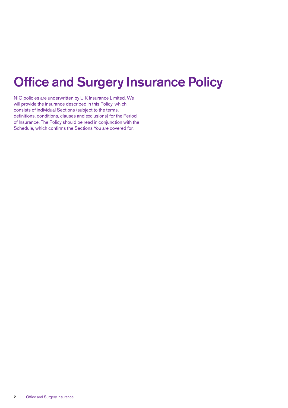# **Office and Surgery Insurance Policy**

NIG policies are underwritten by U K Insurance Limited. We will provide the insurance described in this Policy, which consists of individual Sections (subject to the terms, definitions, conditions, clauses and exclusions) for the Period of Insurance. The Policy should be read in conjunction with the Schedule, which confirms the Sections You are covered for.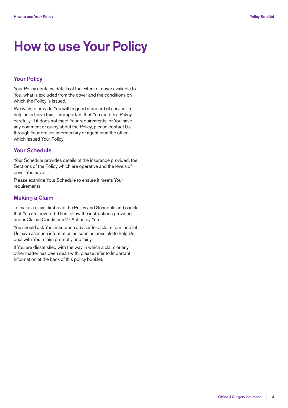# **How to use Your Policy**

## **Your Policy**

Your Policy contains details of the extent of cover available to You, what is excluded from the cover and the conditions on which the Policy is issued.

We wish to provide You with a good standard of service. To help us achieve this, it is important that You read this Policy carefully. If it does not meet Your requirements, or You have any comment or query about the Policy, please contact Us through Your broker, intermediary or agent or at the office which issued Your Policy.

## **Your Schedule**

Your Schedule provides details of the insurance provided, the Sections of the Policy which are operative and the levels of cover You have.

Please examine Your Schedule to ensure it meets Your requirements.

## **Making a Claim**

To make a claim, first read the Policy and Schedule and check that You are covered. Then follow the instructions provided under Claims Conditions 2 - Action by You.

You should ask Your insurance adviser for a claim form and let Us have as much information as soon as possible to help Us deal with Your claim promptly and fairly.

If You are dissatisfied with the way in which a claim or any other matter has been dealt with, please refer to Important Information at the back of this policy booklet.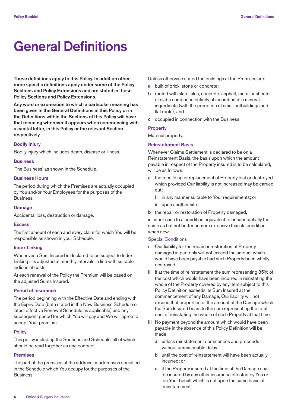# **General Definitions**

**These definitions apply to this Policy. In addition other more specific definitions apply under some of the Policy Sections and Policy Extensions and are stated in those Policy Sections and Policy Extensions.**

**Any word or expression to which a particular meaning has been given in the General Definitions in this Policy or in the Definitions within the Sections of this Policy will have that meaning wherever it appears when commencing with a capital letter, in this Policy or the relevant Section respectively**.

## **Bodily Injury**

Bodily injury which includes death, disease or illness.

## **Business**

'The Business' as shown in the Schedule.

### **Business Hours**

The period during which the Premises are actually occupied by You and/or Your Employees for the purposes of the Business.

#### **Damage**

Accidental loss, destruction or damage.

## **Excess**

The first amount of each and every claim for which You will be responsible as shown in your Schedule.

## **Index Linking**

Whenever a Sum Insured is declared to be subject to Index Linking it is adjusted at monthly intervals in line with suitable indices of costs.

At each renewal of the Policy the Premium will be based on the adjusted Sums Insured.

#### **Period of Insurance**

The period beginning with the Effective Date and ending with the Expiry Date (both stated in the New Business Schedule or latest effective Renewal Schedule as applicable) and any subsequent period for which You will pay and We will agree to accept Your premium.

## **Policy**

This policy including the Sections and Schedule, all of which should be read together as one contract

## **Premises**

The part of the premises at the address or addresses specified in the Schedule which You occupy for the purposes of the Business.

Unless otherwise stated the buildings at the Premises are:

- **a** built of brick, stone or concrete;
- **b** roofed with slate, tiles, concrete, asphalt, metal or sheets or slabs composed entirely of incombustible mineral ingredients (with the exception of small outbuildings and flat roofs); and
- **c** occupied in connection with the Business.

## **Property**

Material property.

## **Reinstatement Basis**

Whenever Claims Settlement is declared to be on a Reinstatement Basis, the basis upon which the amount payable in respect of the Property insured is to be calculated, will be as follows:

- **a** the rebuilding or replacement of Property lost or destroyed which provided Our liability is not increased may be carried out;
	- **i** in any manner suitable to Your requirements; or
	- **ii** upon another site;
- **b** the repair or restoration of Property damaged,

in either case to a condition equivalent to or substantially the same as but not better or more extensive than its condition when new.

## Special Conditions

- **i** Our liability for the repair or restoration of Property damaged in part only will not exceed the amount which would have been payable had such Property been wholly destroyed.
- **ii** If at the time of reinstatement the sum representing 85% of the cost which would have been incurred in reinstating the whole of the Property covered by any item subject to this Policy Definition exceeds its Sum Insured at the commencement of any Damage, Our liability will not exceed that proportion of the amount of the Damage which the Sum Insured bears to the sum representing the total cost of reinstating the whole of such Property at that time.
- **iii** No payment beyond the amount which would have been payable in the absence of this Policy Definition will be made:
	- **a** unless reinstatement commences and proceeds without unreasonable delay;
	- **b** until the cost of reinstatement will have been actually incurred; or
	- **c** if the Property insured at the time of the Damage shall be insured by any other insurance effected by You or on Your behalf which is not upon the same basis of reinstatement.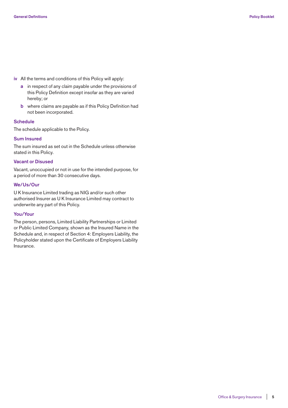- **iv** All the terms and conditions of this Policy will apply:
	- **a** in respect of any claim payable under the provisions of this Policy Definition except insofar as they are varied hereby; or
	- **b** where claims are payable as if this Policy Definition had not been incorporated.

## **Schedule**

The schedule applicable to the Policy.

#### **Sum Insured**

The sum insured as set out in the Schedule unless otherwise stated in this Policy.

## **Vacant or Disused**

Vacant, unoccupied or not in use for the intended purpose, for a period of more than 30 consecutive days.

### **We/Us/Our**

U K Insurance Limited trading as NIG and/or such other authorised Insurer as U K Insurance Limited may contract to underwrite any part of this Policy.

#### **You/Your**

The person, persons, Limited Liability Partnerships or Limited or Public Limited Company, shown as the Insured Name in the Schedule and, in respect of Section 4: Employers Liability, the Policyholder stated upon the Certificate of Employers Liability Insurance.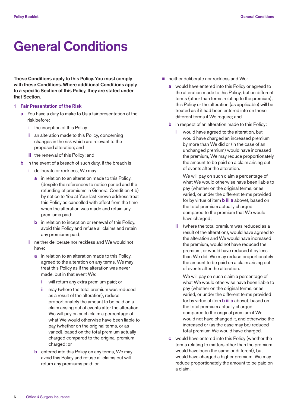# **General Conditions**

**These Conditions apply to this Policy. You must comply with these Conditions. Where additional Conditions apply to a specific Section of this Policy, they are stated under that Section.**

- **1 Fair Presentation of the Risk**
	- **a** You have a duty to make to Us a fair presentation of the risk before:
		- **i** the inception of this Policy;
		- **ii** an alteration made to this Policy, concerning changes in the risk which are relevant to the proposed alteration; and
		- **iii** the renewal of this Policy; and
	- **b** In the event of a breach of such duty, if the breach is:
		- **i** deliberate or reckless, We may:
			- **a** in relation to an alteration made to this Policy, (despite the references to notice period and the refunding of premiums in General Condition 4 b) by notice to You at Your last known address treat this Policy as cancelled with effect from the time when the alteration was made and retain any premiums paid;
			- **b** in relation to inception or renewal of this Policy, avoid this Policy and refuse all claims and retain any premiums paid;
		- **ii** neither deliberate nor reckless and We would not have:
			- **a** in relation to an alteration made to this Policy, agreed to the alteration on any terms, We may treat this Policy as if the alteration was never made, but in that event We:
				- **i** will return any extra premium paid; or
				- **ii** may (where the total premium was reduced as a result of the alteration), reduce proportionately the amount to be paid on a claim arising out of events after the alteration. We will pay on such claim a percentage of what We would otherwise have been liable to pay (whether on the original terms, or as varied), based on the total premium actually charged compared to the original premium charged; or
			- **b** entered into this Policy on any terms, We may avoid this Policy and refuse all claims but will return any premiums paid; or
- **iii** neither deliberate nor reckless and We:
	- **a** would have entered into this Policy or agreed to the alteration made to this Policy, but on different terms (other than terms relating to the premium), this Policy or the alteration (as applicable) will be treated as if it had been entered into on those different terms if We require; and
	- **b** in respect of an alteration made to this Policy:
		- **i** would have agreed to the alteration, but would have charged an increased premium by more than We did or (in the case of an unchanged premium) would have increased the premium, We may reduce proportionately the amount to be paid on a claim arising out of events after the alteration.

 We will pay on such claim a percentage of what We would otherwise have been liable to pay (whether on the original terms, or as varied, or under the different terms provided for by virtue of item **b iii a** above), based on the total premium actually charged compared to the premium that We would have charged;

 **ii** (where the total premium was reduced as a result of the alteration), would have agreed to the alteration and We would have increased the premium, would not have reduced the premium, or would have reduced it by less than We did, We may reduce proportionately the amount to be paid on a claim arising out of events after the alteration.

 We will pay on such claim a percentage of what We would otherwise have been liable to pay (whether on the original terms, or as varied, or under the different terms provided for by virtue of item **b iii a** above), based on the total premium actually charged compared to the original premium if We would not have changed it, and otherwise the increased or (as the case may be) reduced total premium We would have charged.

 **c** would have entered into this Policy (whether the terms relating to matters other than the premium would have been the same or different), but would have charged a higher premium, We may reduce proportionately the amount to be paid on a claim.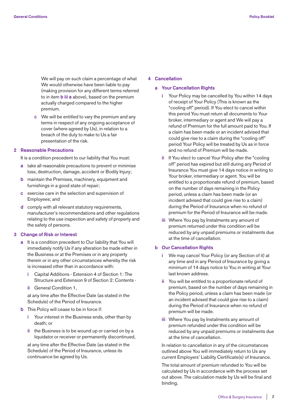We will pay on such claim a percentage of what We would otherwise have been liable to pay (making provision for any different terms referred to in item **b iii a** above), based on the premium actually charged compared to the higher premium.

 **c** We will be entitled to vary the premium and any terms in respect of any ongoing acceptance of cover (where agreed by Us), in relation to a breach of the duty to make to Us a fair presentation of the risk.

## **2 Reasonable Precautions**

It is a condition precedent to our liability that You must:

- **a** take all reasonable precautions to prevent or minimise loss, destruction, damage, accident or Bodily Injury;
- **b** maintain the Premises, machinery, equipment and furnishings in a good state of repair;
- **c** exercise care in the selection and supervision of Employees; and
- **d** comply with all relevant statutory requirements, manufacturer's recommendations and other regulations relating to the use inspection and safety of property and the safety of persons.

#### **3 Change of Risk or Interest**

- **a** It is a condition precedent to Our liability that You will immediately notify Us if any alteration be made either in the Business or at the Premises or in any property therein or in any other circumstances whereby the risk is increased other than in accordance with:
	- **i** Capital Additions Extension 4 of Section 1: The Structure and Extension 9 of Section 2: Contents -
	- **ii** General Condition 1,

 at any time after the Effective Date (as stated in the Schedule) of the Period of Insurance.

## **b** This Policy will cease to be in force if:

- **i** Your interest in the Business ends, other than by death; or
- **ii** the Business is to be wound up or carried on by a liquidator or receiver or permanently discontinued,

 at any time after the Effective Date (as stated in the Schedule) of the Period of Insurance, unless its continuance be agreed by Us.

## **4 Cancellation**

## **a Your Cancellation Rights**

- **i** Your Policy may be cancelled by You within 14 days of receipt of Your Policy (This is known as the "cooling off" period). If You elect to cancel within this period You must return all documents to Your broker, intermediary or agent and We will pay a refund of Premium for the full amount paid to You. If a claim has been made or an incident advised that could give rise to a claim during the "cooling off" period Your Policy will be treated by Us as in force and no refund of Premium will be made.
- **ii** If You elect to cancel Your Policy after the "cooling off" period has expired but still during any Period of Insurance You must give 14 days notice in writing to Your broker, intermediary or agent. You will be entitled to a proportionate refund of premium, based on the number of days remaining in the Policy period, unless a claim has been made (or an incident advised that could give rise to a claim) during the Period of Insurance when no refund of premium for the Period of Insurance will be made.
- **iii** Where You pay by Instalments any amount of premium returned under this condition will be reduced by any unpaid premiums or instalments due at the time of cancellation.

## **b Our Cancellation Rights**

- We may cancel Your Policy (or any Section of it) at any time and in any Period of Insurance by giving a minimum of 14 days notice to You in writing at Your last known address.
- **ii** You will be entitled to a proportionate refund of premium, based on the number of days remaining in the Policy period, unless a claim has been made (or an incident advised that could give rise to a claim) during the Period of Insurance when no refund of premium will be made.
- **iii** Where You pay by Instalments any amount of premium refunded under this condition will be reduced by any unpaid premiums or instalments due at the time of cancellation.

 In relation to cancellation in any of the circumstances outlined above You will immediately return to Us any current Employers' Liability Certificate(s) of Insurance.

 The total amount of premium refunded to You will be calculated by Us in accordance with the process set out above. The calculation made by Us will be final and binding.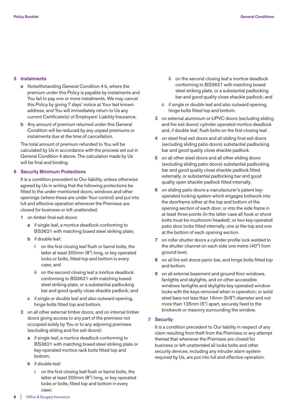## **5 Instalments**

- **a** Notwithstanding General Condition 4 b, where the premium under this Policy is payable by instalments and You fail to pay one or more instalments, We may cancel this Policy by giving 7 days' notice at Your last known address, and You will immediately return to Us any current Certificate(s) of Employers' Liability Insurance.
- **b** Any amount of premium returned under this General Condition will be reduced by any unpaid premiums or instalments due at the time of cancellation.

 The total amount of premium refunded to You will be calculated by Us in accordance with the process set out in General Condition 4 above. The calculation made by Us will be final and binding.

## **6 Security Minimum Protections**

 It is a condition precedent to Our liability, unless otherwise agreed by Us in writing that the following protections be fitted to the under-mentioned doors, windows and other openings (where these are under Your control) and put into full and effective operation whenever the Premises are closed for business or left unattended:

- **1** on timber final exit doors:
	- **a** if single leaf, a mortice deadlock conforming to BS3621 with matching boxed steel striking plate;
	- **b** if double leaf:
		- **i** on the first closing leaf flush or barrel bolts, the latter at least 200mm (8") long, or key operated locks or bolts, fitted top and bottom in every case; and
		- **ii** on the second closing leaf a mortice deadlock conforming to BS3621 with matching boxed steel striking plate, or a substantial padlocking bar and good quality close shackle padlock; and
	- **c** if single or double leaf and also outward opening, hinge bolts fitted top and bottom.
- **2** on all other external timber doors, and on internal timber doors giving access to any part of the premises not occupied solely by You or to any adjoining premises (excluding sliding and fire exit doors):
	- **a** if single leaf, a mortice deadlock conforming to BS3621 with matching boxed steel striking plate or key-operated mortice rack bolts fitted top and bottom;
	- **b** if double leaf:
		- on the first closing leaf flush or barrel bolts, the latter at least 200mm (8") long, or key operated locks or bolts, fitted top and bottom in every case;
- **ii** on the second closing leaf a mortice deadlock conforming to BS3621 with matching boxed steel striking plate, or a substantial padlocking bar and good quality close shackle padlock; and
- **c** if single or double leaf and also outward opening, hinge bolts fitted top and bottom.
- **3** on external aluminium or UPVC doors (excluding sliding and fire exit doors) cylinder operated mortice deadlock and, if double leaf, flush bolts on the first closing leaf.
- **4** on steel final exit doors and all sliding final exit doors (excluding sliding patio doors) substantial padlocking bar and good quality close shackle padlock.
- **5** on all other steel doors and all other sliding doors (excluding sliding patio doors) substantial padlocking bar and good quality close shackle padlock fitted externally, or substantial padlocking bar and good quality open shackle padlock fitted internally.
- **6** on sliding patio doors a manufacturer's patent keyoperated locking system which engages boltwork into the doorframe either at the top and bottom of the opening section of each door, or into the side frame in at least three points (in the latter case all hook or shoot bolts must be mushroom headed); or two key-operated patio door locks fitted internally, one at the top and one at the bottom of each opening section.
- **7** on roller shutter doors a cylinder profile lock welded to the shutter channel on each side one metre (40") from ground level.
- **8** on all fire exit doors panic bar, and hinge bolts fitted top and bottom.
- **9** on all external basement and ground floor windows, fanlights and skylights, and on other accessible windows fanlights and skylights key-operated window locks with the keys removed when in operation; or solid steel bars not less than 16mm (5/8") diameter and not more than 125mm (5") apart, securely fixed to the brickwork or masonry surrounding the window.

## **7 Security**

 It is a condition precedent to Our liability in respect of any claim resulting from theft from the Premises or any attempt thereat that whenever the Premises are closed for business or left unattended all locks bolts and other security devices, including any intruder alarm system required by Us, are put into full and effective operation.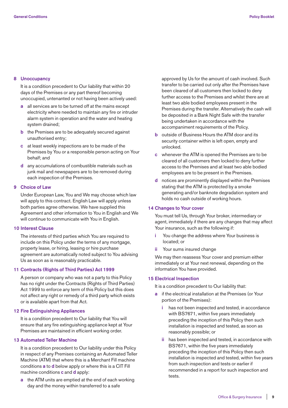## **8 Unoccupancy**

 It is a condition precedent to Our liability that within 20 days of the Premises or any part thereof becoming unoccupied, untenanted or not having been actively used:

- **a** all services are to be turned off at the mains except electricity where needed to maintain any fire or intruder alarm system in operation and the water and heating system drained;
- **b** the Premises are to be adequately secured against unauthorised entry;
- **c** at least weekly inspections are to be made of the Premises by You or a responsible person acting on Your behalf; and
- **d** any accumulations of combustible materials such as junk mail and newspapers are to be removed during each inspection of the Premises.

## **9 Choice of Law**

 Under European Law, You and We may choose which law will apply to this contract. English Law will apply unless both parties agree otherwise. We have supplied this Agreement and other information to You in English and We will continue to communicate with You in English.

#### **10 Interest Clause**

 The interests of third parties which You are required to include on this Policy under the terms of any mortgage, property lease, or hiring, leasing or hire purchase agreement are automatically noted subject to You advising Us as soon as is reasonably practicable.

## **11 Contracts (Rights of Third Parties) Act 1999**

 A person or company who was not a party to this Policy has no right under the Contracts (Rights of Third Parties) Act 1999 to enforce any term of this Policy but this does not affect any right or remedy of a third party which exists or is available apart from that Act.

#### **12 Fire Extinguishing Appliances**

 It is a condition precedent to Our liability that You will ensure that any fire extinguishing appliance kept at Your Premises are maintained in efficient working order.

## **13 Automated Teller Machine**

 It is a condition precedent to Our liability under this Policy in respect of any Premises containing an Automated Teller Machine (ATM) that where this is a Merchant Fill machine conditions **a** to **d** below apply or where this is a CIT Fill machine conditions **c** and **d** apply:

 **a** the ATM units are emptied at the end of each working day and the money within transferred to a safe

approved by Us for the amount of cash involved. Such transfer to be carried out only after the Premises have been cleared of all customers then locked to deny further access to the Premises and whilst there are at least two able bodied employees present in the Premises during the transfer. Alternatively the cash will be deposited in a Bank Night Safe with the transfer being undertaken in accordance with the accompaniment requirements of the Policy.

- **b** outside of Business Hours the ATM door and its security container within is left open, empty and unlocked.
- **c** whenever the ATM is opened the Premises are to be cleared of all customers then locked to deny further access to the Premises and at least two able bodied employees are to be present in the Premises.
- **d** notices are prominently displayed within the Premises stating that the ATM is protected by a smoke generating and/or banknote degradation system and holds no cash outside of working hours.

#### **14 Changes to Your cover**

 You must tell Us, through Your broker, intermediary or agent, immediately if there are any changes that may affect Your insurance, such as the following if:

- You change the address where Your business is located; or
- Your sums insured change

 We may then reassess Your cover and premium either immediately or at Your next renewal, depending on the information You have provided.

## **15 Electrical Inspection**

It is a condition precedent to Our liability that:

- **a** if the electrical installation at the Premises (or Your portion of the Premises):
	- **i** has not been inspected and tested, in accordance with BS7671, within five years immediately preceding the inception of this Policy then such installation is inspected and tested, as soon as reasonably possible; or
	- **ii** has been inspected and tested, in accordance with BS7671, within the five years immediately preceding the inception of this Policy then such installation is inspected and tested, within five years from such inspection and tests or earlier if recommended in a report for such inspection and tests.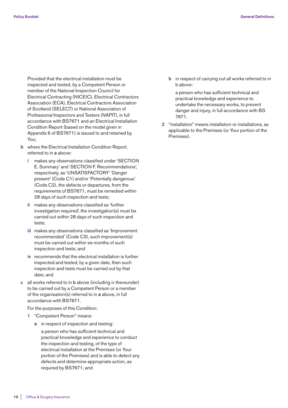Provided that the electrical installation must be inspected and tested, by a Competent Person or member of the National Inspection Council for Electrical Contracting (NICEIC), Electrical Contractors Association (ECA), Electrical Contractors Association of Scotland (SELECT) or National Association of Professional Inspectors and Testers (NAPIT), in full accordance with BS7671 and an Electrical Installation Condition Report (based on the model given in Appendix 6 of BS7671) is issued to and retained by You;

- **b** where the Electrical Installation Condition Report, referred to in **a** above:
	- **i** makes any observations classified under 'SECTION E. Summary' and 'SECTION F. Recommendations', respectively, as 'UNSATISFACTORY' 'Danger present' (Code C1) and/or 'Potentially dangerous' (Code C2), the defects or departures, from the requirements of BS7671, must be remedied within 28 days of such inspection and tests;
	- **ii** makes any observations classified as 'further investigation required', the investigation(s) must be carried out within 28 days of such inspection and tests;
	- **iii** makes any observations classified as 'Improvement recommended' (Code C3), such improvement(s) must be carried out within six months of such inspection and tests; and
	- **iv** recommends that the electrical installation is further inspected and tested, by a given date, then such inspection and tests must be carried out by that date; and
- **c** all works referred to in **b** above (including iv thereunder) to be carried out by a Competent Person or a member of the organisation(s) referred to in **a** above, in full accordance with BS7671.

For the purposes of this Condition:

- **1** "Competent Person" means:
	- **a** in respect of inspection and testing:
		- a person who has sufficient technical and practical knowledge and experience to conduct the inspection and testing, of the type of electrical installation at the Premises (or Your portion of the Premises) and is able to detect any defects and determine appropriate action, as required by BS7671; and

**b** in respect of carrying out all works referred to in b above:

 a person who has sufficient technical and practical knowledge and experience to undertake the necessary works, to prevent danger and injury, in full accordance with BS 7671.

 **2** "installation" means installation or installations, as applicable to the Premises (or Your portion of the Premises).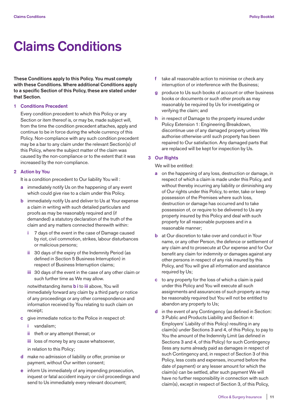# **Claims Conditions**

**These Conditions apply to this Policy. You must comply with these Conditions. Where additional Conditions apply to a specific Section of this Policy, these are stated under that Section.**

#### **1 Conditions Precedent**

 Every condition precedent to which this Policy or any Section or item thereof is, or may be, made subject will, from the time the condition precedent attaches, apply and continue to be in force during the whole currency of this Policy. Non-compliance with any such condition precedent may be a bar to any claim under the relevant Section(s) of this Policy, where the subject matter of the claim was caused by the non-compliance or to the extent that it was increased by the non-compliance.

## **2 Action by You**

It is a condition precedent to Our liability You will :

- **a** immediately notify Us on the happening of any event which could give rise to a claim under this Policy.
- **b** immediately notify Us and deliver to Us at Your expense a claim in writing with such detailed particulars and proofs as may be reasonably required and (if demanded) a statutory declaration of the truth of the claim and any matters connected therewith within:
	- **i** 7 days of the event in the case of Damage caused by riot, civil commotion, strikes, labour disturbances or malicious persons;
	- **ii** 30 days of the expiry of the Indemnity Period (as defined in Section 5 Business Interruption) in respect of Business Interruption claims;
	- **iii** 30 days of the event in the case of any other claim or such further time as We may allow.

 notwithstanding items **b i** to **iii** above, You will immediately forward any claim by a third party or notice of any proceedings or any other correspondence and information received by You relating to such claim on receipt;

- **c** give immediate notice to the Police in respect of:
	- **i** vandalism;
	- **ii** theft or any attempt thereat; or
	- **iii** loss of money by any cause whatsoever, in relation to this Policy;
- **d** make no admission of liability or offer, promise or
- payment, without Our written consent;
- **e** inform Us immediately of any impending prosecution, inquest or fatal accident inquiry or civil proceedings and send to Us immediately every relevant document;
- **f** take all reasonable action to minimise or check any interruption of or interference with the Business;
- **g** produce to Us such books of account or other business books or documents or such other proofs as may reasonably be required by Us for investigating or verifying the claim; and
- **h** in respect of Damage to the property insured under Policy Extension 1: Engineering Breakdown, discontinue use of any damaged property unless We authorise otherwise until such property has been repaired to Our satisfaction. Any damaged parts that are replaced will be kept for inspection by Us.

## **3 Our Rights**

We will be entitled:

- **a** on the happening of any loss, destruction or damage, in respect of which a claim is made under this Policy, and without thereby incurring any liability or diminishing any of Our rights under this Policy, to enter, take or keep possession of the Premises where such loss, destruction or damage has occurred and to take possession of, or require to be delivered to Us any property insured by this Policy and deal with such property for all reasonable purposes and in a reasonable manner;
- **b** at Our discretion to take over and conduct in Your name, or any other Person, the defence or settlement of any claim and to prosecute at Our expense and for Our benefit any claim for indemnity or damages against any other persons in respect of any risk insured by this Policy, and You will give all information and assistance required by Us;
- **c** to any property for the loss of which a claim is paid under this Policy and You will execute all such assignments and assurances of such property as may be reasonably required but You will not be entitled to abandon any property to Us;
- **d** in the event of any Contingency (as defined in Section: 3 Public and Products Liability and Section 4: Employers' Liability of this Policy) resulting in any claim(s) under Sections 3 and 4, of this Policy, to pay to You the amount of the Indemnity Limit (as defined in Sections 3 and 4, of this Policy) for such Contingency (less any sums already paid as damages in respect of such Contingency and, in respect of Section 3 of this Policy, less costs and expenses, incurred before the date of payment) or any lesser amount for which the claim(s) can be settled, after such payment We will have no further responsibility in connection with such claim(s), except in respect of Section 3, of this Policy,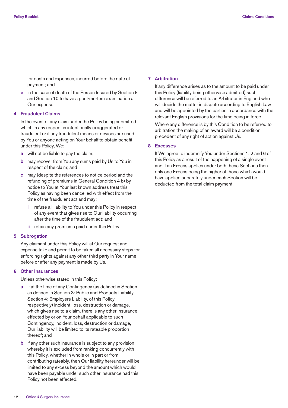for costs and expenses, incurred before the date of payment; and

 **e** in the case of death of the Person Insured by Section 8 and Section 10 to have a post-mortem examination at Our expense.

## **4 Fraudulent Claims**

 In the event of any claim under the Policy being submitted which in any respect is intentionally exaggerated or fraudulent or if any fraudulent means or devices are used by You or anyone acting on Your behalf to obtain benefit under this Policy, We:

- **a** will not be liable to pay the claim;
- **b** may recover from You any sums paid by Us to You in respect of the claim; and
- **c** may (despite the references to notice period and the refunding of premiums in General Condition 4 b) by notice to You at Your last known address treat this Policy as having been cancelled with effect from the time of the fraudulent act and may:
	- **i** refuse all liability to You under this Policy in respect of any event that gives rise to Our liability occurring after the time of the fraudulent act; and
	- **ii** retain any premiums paid under this Policy.

#### **5 Subrogation**

 Any claimant under this Policy will at Our request and expense take and permit to be taken all necessary steps for enforcing rights against any other third party in Your name before or after any payment is made by Us.

#### **6 Other Insurances**

Unless otherwise stated in this Policy:

- **a** if at the time of any Contingency (as defined in Section as defined in Section 3: Public and Products Liability, Section 4: Employers Liability, of this Policy respectively) incident, loss, destruction or damage, which gives rise to a claim, there is any other insurance effected by or on Your behalf applicable to such Contingency, incident, loss, destruction or damage, Our liability will be limited to its rateable proportion thereof; and
- **b** if any other such insurance is subject to any provision whereby it is excluded from ranking concurrently with this Policy, whether in whole or in part or from contributing rateably, then Our liability hereunder will be limited to any excess beyond the amount which would have been payable under such other insurance had this Policy not been effected.

#### **7 Arbitration**

 If any difference arises as to the amount to be paid under this Policy (liability being otherwise admitted) such difference will be referred to an Arbitrator in England who will decide the matter in dispute according to English Law and will be appointed by the parties in accordance with the relevant English provisions for the time being in force.

 Where any difference is by this Condition to be referred to arbitration the making of an award will be a condition precedent of any right of action against Us.

## **8 Excesses**

 If We agree to indemnify You under Sections 1, 2 and 6 of this Policy as a result of the happening of a single event and if an Excess applies under both these Sections then only one Excess being the higher of those which would have applied separately under each Section will be deducted from the total claim payment.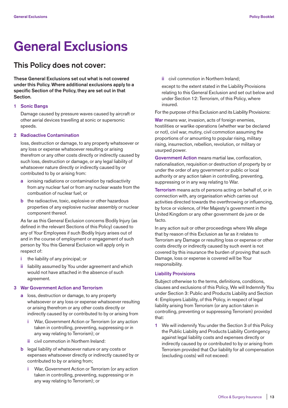# **General Exclusions**

## **This Policy does not cover:**

**These General Exclusions set out what is not covered under this Policy. Where additional exclusions apply to a specific Section of the Policy, they are set out in that Section.**

## **1 Sonic Bangs**

 Damage caused by pressure waves caused by aircraft or other aerial devices travelling at sonic or supersonic speeds.

## **2 Radioactive Contamination**

 loss, destruction or damage, to any property whatsoever or any loss or expense whatsoever resulting or arising therefrom or any other costs directly or indirectly caused by such loss, destruction or damage, or any legal liability of whatsoever nature directly or indirectly caused by or contributed to by or arising from:

- **a** ionising radiations or contamination by radioactivity from any nuclear fuel or from any nuclear waste from the combustion of nuclear fuel; or
- **b** the radioactive, toxic, explosive or other hazardous properties of any explosive nuclear assembly or nuclear component thereof.

 As far as this General Exclusion concerns Bodily Injury (as defined in the relevant Sections of this Policy) caused to any of Your Employees if such Bodily Injury arises out of and in the course of employment or engagement of such person by You this General Exclusion will apply only in respect of:

- **i** the liability of any principal; or
- **ii** liability assumed by You under agreement and which would not have attached in the absence of such agreement.

#### **3 War Government Action and Terrorism**

- **a** loss, destruction or damage, to any property whatsoever or any loss or expense whatsoever resulting or arising therefrom or any other costs directly or indirectly caused by or contributed to by or arising from
	- **i** War, Government Action or Terrorism (or any action taken in controlling, preventing, suppressing or in any way relating to Terrorism); or
	- **ii** civil commotion in Northern Ireland:
- **b** legal liability of whatsoever nature or any costs or expenses whatsoever directly or indirectly caused by or contributed to by or arising from;
	- **i** War, Government Action or Terrorism (or any action taken in controlling, preventing, suppressing or in any way relating to Terrorism); or

**ii** civil commotion in Northern Ireland;

 except to the extent stated in the Liability Provisions relating to this General Exclusion and set out below and under Section 12: Terrorism, of this Policy, where insured.

For the purpose of this Exclusion and its Liability Provisions:

 **War** means war, invasion, acts of foreign enemies, hostilities or warlike operations (whether war be declared or not), civil war, mutiny, civil commotion assuming the proportions of or amounting to popular rising, military rising, insurrection, rebellion, revolution, or military or usurped power.

 **Government Action** means martial law, confiscation, nationalisation, requisition or destruction of property by or under the order of any government or public or local authority or any action taken in controlling, preventing, suppressing or in any way relating to War.

 **Terrorism** means acts of persons acting on behalf of, or in connection with, any organisation which carries out activities directed towards the overthrowing or influencing, by force or violence, of Her Majesty's government in the United Kingdom or any other government de jure or de facto.

 In any action suit or other proceedings where We allege that by reason of this Exclusion as far as it relates to Terrorism any Damage or resulting loss or expense or other costs directly or indirectly caused by such event is not covered by this insurance the burden of proving that such Damage, loss or expense is covered will be Your responsibility.

### **Liability Provisions**

 Subject otherwise to the terms, definitions, conditions, clauses and exclusions of this Policy, We will Indemnify You under Section 3: Public and Products Liability and Section 4: Employers Liability, of this Policy, in respect of legal liability arising from Terrorism (or any action taken in controlling, preventing or suppressing Terrorism) provided that:

 **1** We will indemnify You under the Section 3 of this Policy the Public Liability and Products Liability Contingency against legal liability costs and expenses directly or indirectly caused by or contributed to by or arising from Terrorism provided that Our liability for all compensation (excluding costs) will not exceed: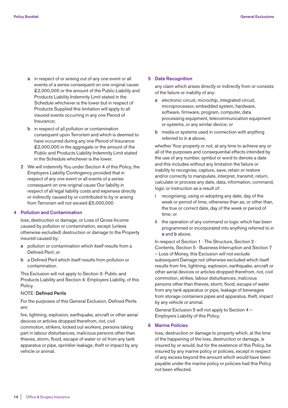- **a** in respect of or arising out of any one event or all events of a series consequent on one original cause £2,000,000 or the amount of the Public Liability and Products Liability Indemnity Limit stated in the Schedule whichever is the lower but in respect of Products Supplied this limitation will apply to all insured events occurring in any one Period of Insurance;
- **b** in respect of all pollution or contamination consequent upon Terrorism and which is deemed to have occurred during any one Period of Insurance £2,000,000 in the aggregate or the amount of the Public and Products Liability Indemnity Limit stated in the Schedule whichever is the lower.
- **2** We will indemnify You under Section 4 of this Policy, the Employers Liability Contingency provided that in respect of any one event or all events of a series consequent on one original cause Our liability in respect of all legal liability costs and expenses directly or indirectly caused by or contributed to by or arising from Terrorism will not exceed £5,000,000

## **4 Pollution and Contamination**

 loss, destruction or damage, or Loss of Gross Income caused by pollution or contamination, except (unless otherwise excluded) destruction or damage to the Property insured caused by:

- **a** pollution or contamination which itself results from a Defined Peril; or
- **b** a Defined Peril which itself results from pollution or contamination.

 This Exclusion will not apply to Section 3: Public and Products Liability and Section 4: Employers Liability, of this Policy.

#### NOTE: **Defined Perils**

 For the purposes of this General Exclusion, Defined Perils are:

 fire, lightning, explosion, earthquake, aircraft or other aerial devices or articles dropped therefrom, riot, civil commotion, strikers, locked out workers, persons taking part in labour disturbances, malicious persons other than thieves, storm, flood, escape of water or oil from any tank apparatus or pipe, sprinkler leakage, theft or impact by any vehicle or animal.

### **5 Date Recognition**

 any claim which arises directly or indirectly from or consists of the failure or inability of any:

- **a** electronic circuit, microchip, integrated circuit, microprocessor, embedded system, hardware, software, firmware, program, computer, data processing equipment, telecommunication equipment or systems, or any similar device; or
- **b** media or systems used in connection with anything referred to in **a** above,

 whether Your property or not, at any time to achieve any or all of the purposes and consequential effects intended by the use of any number, symbol or word to denote a date and this includes without any limitation the failure or inability to recognise, capture, save, retain or restore and/or correctly to manipulate, interpret, transmit, return, calculate or process any date, data, information, command, logic or instruction as a result of:

- **i** recognising, using or adopting any date, day of the week or period of time, otherwise than as, or other than, the true or correct date, day of the week or period of time; or
- **ii** the operation of any command or logic which has been programmed or incorporated into anything referred to in **a** and **b** above.

 In respect of Section 1 - The Structure, Section 2 - Contents, Section 5 - Business Interruption and Section 7 – Loss of Money, this Exclusion will not exclude subsequent Damage not otherwise excluded which itself results from fire, lightning, explosion, earthquake, aircraft or other aerial devices or articles dropped therefrom, riot, civil commotion, strikes, labour disturbances, malicious persons other than thieves, storm, flood, escape of water from any tank apparatus or pipe, leakage of beverages from storage containers pipes and apparatus, theft, impact by any vehicle or animal.

 General Exclusion 5 will not apply to Section 4 – Employers Liability of this Policy.

## **6 Marine Policies**

 loss, destruction or damage to property which, at the time of the happening of the loss, destruction or damage, is insured by or would, but for the existence of this Policy, be insured by any marine policy or policies, except in respect of any excess beyond the amount which would have been payable under the marine policy or policies had this Policy not been effected.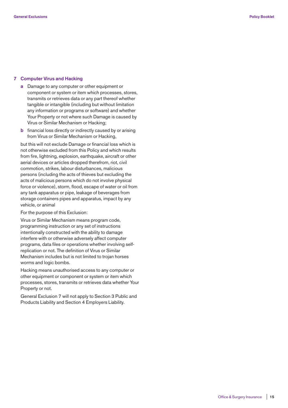#### **7 Computer Virus and Hacking**

- **a** Damage to any computer or other equipment or component or system or item which processes, stores, transmits or retrieves data or any part thereof whether tangible or intangible (including but without limitation any information or programs or software) and whether Your Property or not where such Damage is caused by Virus or Similar Mechanism or Hacking;
- **b** financial loss directly or indirectly caused by or arising from Virus or Similar Mechanism or Hacking,

 but this will not exclude Damage or financial loss which is not otherwise excluded from this Policy and which results from fire, lightning, explosion, earthquake, aircraft or other aerial devices or articles dropped therefrom, riot, civil commotion, strikes, labour disturbances, malicious persons (including the acts of thieves but excluding the acts of malicious persons which do not involve physical force or violence), storm, flood, escape of water or oil from any tank apparatus or pipe, leakage of beverages from storage containers pipes and apparatus, impact by any vehicle, or animal

For the purpose of this Exclusion:

 Virus or Similar Mechanism means program code, programming instruction or any set of instructions intentionally constructed with the ability to damage interfere with or otherwise adversely affect computer programs, data files or operations whether involving selfreplication or not. The definition of Virus or Similar Mechanism includes but is not limited to trojan horses worms and logic bombs.

 Hacking means unauthorised access to any computer or other equipment or component or system or item which processes, stores, transmits or retrieves data whether Your Property or not.

 General Exclusion 7 will not apply to Section 3 Public and Products Liability and Section 4 Employers Liability.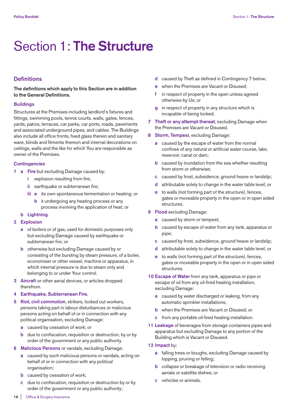## Section 1: **The Structure**

## **Definitions**

**The definitions which apply to this Section are in addition to the General Definitions.**

## **Buildings**

Structures at the Premises including landlord's fixtures and fittings, swimming pools, tennis courts, walls, gates, fences, yards, patios, terraces, car parks, car ports, roads, pavements and associated underground pipes, and cables. The Buildings also include all office fronts, fixed glass therein and sanitary ware, blinds and fitments thereon and internal decorations on ceilings, walls and the like for which You are responsible as owner of the Premises.

## **Contingencies**

- **1 a** Fire but excluding Damage caused by:
	- **i** explosion resulting from fire;
	- **ii** earthquake or subterranean fire;
	- **iii a** its own spontaneous fermentation or heating; or
		- **b** it undergoing any heating process or any process involving the application of heat; or
	- **b Lightning**.
- **2 Explosion**
	- **a** of boilers or of gas, used for domestic purposes only but excluding Damage caused by earthquake or subterranean fire; or
	- **b** otherwise but excluding Damage caused by or consisting of the bursting by steam pressure, of a boiler, economiser or other vessel, machine or apparatus, in which internal pressure is due to steam only and belonging to or under Your control.
- **3 Aircraf**t or other aerial devices, or articles dropped therefrom.
- **4 Earthquake, Subterranean Fire.**
- **5 Riot, civil commotion**, strikers, locked out workers, persons taking part in labour disturbances or malicious persons acting on behalf of or in connection with any political organisation, excluding Damage:
	- **a** caused by cessation of work; or
	- **b** due to confiscation, requisition or destruction, by or by order of the government or any public authority.
- **6 Malicious Persons** or vandals, excluding Damage:
	- **a** caused by such malicious persons or vandals, acting on behalf of or in connection with any political organisation;
	- **b** caused by cessation of work;
	- **c** due to confiscation, requisition or destruction by or by order of the government or any public authority;
- **d** caused by Theft as defined in Contingency 7 below;
- **e** when the Premises are Vacant or Disused;
- in respect of property in the open unless agreed otherwise by Us; or
- **g** in respect of property in any structure which is incapable of being locked.
- **7 Theft or any attempt thereat**, excluding Damage when the Premises are Vacant or Disused.
- **8 Storm, Tempes**t, excluding Damage:
	- **a** caused by the escape of water from the normal confines of any natural or artificial water course, lake, reservoir, canal or dam;
	- **b** caused by inundation from the sea whether resulting from storm or otherwise;
	- **c** caused by frost, subsidence, ground heave or landslip;
	- **d** attributable solely to change in the water table level; or
	- **e** to walls (not forming part of the structure), fences, gates or moveable property in the open or in open sided structures.
- **9 Flood** excluding Damage:
	- **a** caused by storm or tempest;
	- **b** caused by escape of water from any tank, apparatus or pipe;
	- **c** caused by frost, subsidence, ground heave or landslip;
	- **d** attributable solely to change in the water table level; or
	- **e** to walls (not forming part of the structure), fences, gates or moveable property in the open or in open sided structures.
- **10 Escape of Water** from any tank, apparatus or pipe or escape of oil from any oil-fired heating installation, excluding Damage:
	- **a** caused by water discharged or leaking, from any automatic sprinkler installations;
	- **b** when the Premises are Vacant or Disused; or
	- **c** from any portable oil-fired heating installation.
- **11 Leakage** of beverages from storage containers pipes and apparatus but excluding Damage to any portion of the Building which is Vacant or Disused.
- **12 Impact** by:
	- **a** falling trees or boughs, excluding Damage caused by lopping, pruning or felling;
	- **b** collapse or breakage of television or radio receiving aerials or satellite dishes; or
	- **c** vehicles or animals.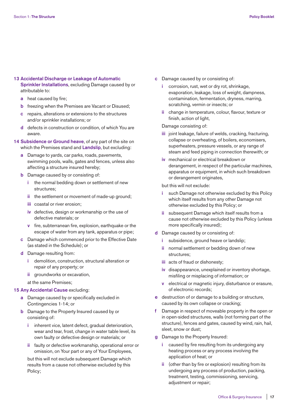## **13 Accidental Discharge or Leakage of Automatic**

**Sprinkler Installations**, excluding Damage caused by or attributable to:

- **a** heat caused by fire;
- **b** freezing when the Premises are Vacant or Disused;
- **c** repairs, alterations or extensions to the structures and/or sprinkler installations; or
- **d** defects in construction or condition, of which You are aware.
- **14 Subsidence or Ground heave**, of any part of the site on which the Premises stand and **Landslip**, but excluding:
	- **a** Damage to yards, car parks, roads, pavements, swimming pools, walls, gates and fences, unless also affecting a structure insured hereby;
	- **b** Damage caused by or consisting of:
		- **i** the normal bedding down or settlement of new structures;
		- **ii** the settlement or movement of made-up ground;
		- **iii** coastal or river erosion;
		- **iv** defective, design or workmanship or the use of defective materials; or
		- **v** fire, subterranean fire, explosion, earthquake or the escape of water from any tank, apparatus or pipe;
	- **c** Damage which commenced prior to the Effective Date (as stated in the Schedule); or
	- **d** Damage resulting from:
		- **i** demolition, construction, structural alteration or repair of any property; or
		- **ii** groundworks or excavation,

at the same Premises;

## **15 Any Accidental Cause** excluding:

- **a** Damage caused by or specifically excluded in Contingencies 1-14; or
- **b** Damage to the Property Insured caused by or consisting of:
	- **i** inherent vice, latent defect, gradual deterioration, wear and tear, frost, change in water table level, its own faulty or defective design or materials; or
	- **ii** faulty or defective workmanship, operational error or omission, on Your part or any of Your Employees,

but this will not exclude subsequent Damage which results from a cause not otherwise excluded by this Policy;

- **c** Damage caused by or consisting of:
	- **i** corrosion, rust, wet or dry rot, shrinkage, evaporation, leakage, loss of weight, dampness, contamination, fermentation, dryness, marring, scratching, vermin or insects; or
	- **ii** change in temperature, colour, flavour, texture or finish, action of light,

Damage consisting of:

- **iii** joint leakage, failure of welds, cracking, fracturing, collapse or overheating, of boilers, economisers, superheaters, pressure vessels, or any range of steam and feed piping in connection therewith; or
- **iv** mechanical or electrical breakdown or derangement, in respect of the particular machines, apparatus or equipment, in which such breakdown or derangement originates,

but this will not exclude:

- such Damage not otherwise excluded by this Policy which itself results from any other Damage not otherwise excluded by this Policy; or
- **ii** subsequent Damage which itself results from a cause not otherwise excluded by this Policy (unless more specifically insured);
- **d** Damage caused by or consisting of:
	- subsidence, ground heave or landslip;
	- **ii** normal settlement or bedding down of new structures;
	- **iii** acts of fraud or dishonesty;
	- **iv** disappearance, unexplained or inventory shortage, misfiling or misplacing of information; or
	- **v** electrical or magnetic injury, disturbance or erasure, of electronic records;
- **e** destruction of or damage to a building or structure, caused by its own collapse or cracking;
- **f** Damage in respect of moveable property in the open or in open-sided structures, walls (not forming part of the structure), fences and gates, caused by wind, rain, hail, sleet, snow or dust;
- **g** Damage to the Property Insured:
	- **i** caused by fire resulting from its undergoing any heating process or any process involving the application of heat; or
	- **ii** (other than by fire or explosion) resulting from its undergoing any process of production, packing, treatment, testing, commissioning, servicing, adjustment or repair;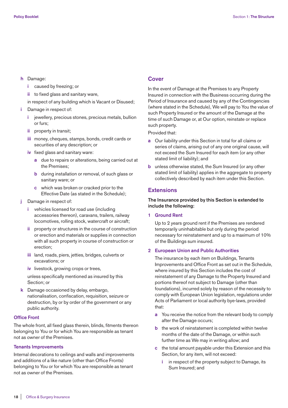## **h** Damage:

- **i** caused by freezing; or
- **ii** to fixed glass and sanitary ware,
- in respect of any building which is Vacant or Disused;

## **i** Damage in respect of:

- **i** jewellery, precious stones, precious metals, bullion or furs;
- **ii** property in transit;
- **iii** money, cheques, stamps, bonds, credit cards or securities of any description; or
- **iv** fixed glass and sanitary ware:
	- **a** due to repairs or alterations, being carried out at the Premises;
	- **b** during installation or removal, of such glass or sanitary ware; or
	- **c** which was broken or cracked prior to the Effective Date (as stated in the Schedule);
- **j** Damage in respect of:
	- **i** vehicles licensed for road use (including accessories thereon), caravans, trailers, railway locomotives, rolling stock, watercraft or aircraft;
	- **ii** property or structures in the course of construction or erection and materials or supplies in connection with all such property in course of construction or erection;
	- **iii** land, roads, piers, jetties, bridges, culverts or excavations; or
	- **iv** livestock, growing crops or trees,

 unless specifically mentioned as insured by this Section; or

 **k** Damage occasioned by delay, embargo, nationalisation, confiscation, requisition, seizure or destruction, by or by order of the government or any public authority.

## **Office Front**

The whole front, all fixed glass therein, blinds, fitments thereon belonging to You or for which You are responsible as tenant not as owner of the Premises.

## **Tenants Improvements**

Internal decorations to ceilings and walls and improvements and additions of a like nature (other than Office Fronts) belonging to You or for which You are responsible as tenant not as owner of the Premises.

## **Cover**

In the event of Damage at the Premises to any Property Insured in connection with the Business occurring during the Period of Insurance and caused by any of the Contingencies (where stated in the Schedule), We will pay to You the value of such Property Insured or the amount of the Damage at the time of such Damage or, at Our option, reinstate or replace such property.

Provided that:

- **a** Our liability under this Section in total for all claims or series of claims, arising out of any one original cause, will not exceed the Sum Insured for each item (or any other stated limit of liability); and
- **b** unless otherwise stated, the Sum Insured (or any other stated limit of liability) applies in the aggregate to property collectively described by each item under this Section.

## **Extensions**

## **The Insurance provided by this Section is extended to include the following:**

## **1 Ground Rent**

 Up to 2 years ground rent if the Premises are rendered temporarily uninhabitable but only during the period necessary for reinstatement and up to a maximum of 10% of the Buildings sum insured.

## **2 European Union and Public Authorities**

 The insurance by each item on Buildings, Tenants Improvements and Office Front as set out in the Schedule, where insured by this Section includes the cost of reinstatement of any Damage to the Property Insured and portions thereof not subject to Damage (other than foundations), incurred solely by reason of the necessity to comply with European Union legislation, regulations under Acts of Parliament or local authority bye-laws, provided that:

- **a** You receive the notice from the relevant body to comply after the Damage occurs;
- **b** the work of reinstatement is completed within twelve months of the date of the Damage, or within such further time as We may in writing allow; and
- **c** the total amount payable under this Extension and this Section, for any item, will not exceed:
	- **i** in respect of the property subject to Damage, its Sum Insured; and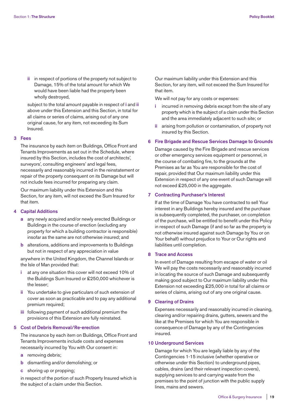**ii** in respect of portions of the property not subject to Damage, 15% of the total amount for which We would have been liable had the property been wholly destroyed,

 subject to the total amount payable in respect of **i** and **ii** above under this Extension and this Section, in total for all claims or series of claims, arising out of any one original cause, for any item, not exceeding its Sum Insured.

## **3 Fees**

 The insurance by each item on Buildings, Office Front and Tenants Improvements as set out in the Schedule, where insured by this Section, includes the cost of architects', surveyors', consulting engineers' and legal fees, necessarily and reasonably incurred in the reinstatement or repair of the property consequent on its Damage but will not include fees incurred for preparing any claim.

 Our maximum liability under this Extension and this Section, for any item, will not exceed the Sum Insured for that item.

## **4 Capital Additions**

- **a** any newly acquired and/or newly erected Buildings or Buildings in the course of erection (excluding any property for which a building contractor is responsible) insofar as the same are not otherwise insured; and
- **b** alterations, additions and improvements to Buildings but not in respect of any appreciation in value

 anywhere in the United Kingdom, the Channel Islands or the Isle of Man provided that:

- **i** at any one situation this cover will not exceed 10% of the Buildings Sum Insured or £250,000 whichever is the lesser;
- **ii** You undertake to give particulars of such extension of cover as soon as practicable and to pay any additional premium required;
- **iii** following payment of such additional premium the provisions of this Extension are fully reinstated.

## **5 Cost of Debris Removal/Re-erection**

 The insurance by each item on Buildings, Office Front and Tenants Improvements include costs and expenses necessarily incurred by You with Our consent in:

- **a** removing debris;
- **b** dismantling and/or demolishing; or
- **c** shoring up or propping;

 in respect of the portion of such Property Insured which is the subject of a claim under this Section.

 Our maximum liability under this Extension and this Section, for any item, will not exceed the Sum Insured for that item.

We will not pay for any costs or expenses:

- **i** incurred in removing debris except from the site of any property which is the subject of a claim under this Section and the area immediately adjacent to such site; or
- **ii** arising from pollution or contamination, of property not insured by this Section.

## **6 Fire Brigade and Rescue Services Damage to Grounds**

 Damage caused by the Fire Brigade and rescue services or other emergency services equipment or personnel, in the course of combating fire, to the grounds at the Premises as far as You are responsible for the cost of repair, provided that Our maximum liability under this Extension in respect of any one event of such Damage will not exceed £25,000 in the aggregate.

## **7 Contracting Purchaser's Interest**

 If at the time of Damage You have contracted to sell Your interest in any Buildings hereby insured and the purchase is subsequently completed, the purchaser, on completion of the purchase, will be entitled to benefit under this Policy in respect of such Damage (if and so far as the property is not otherwise insured against such Damage by You or on Your behalf) without prejudice to Your or Our rights and liabilities until completion.

## **8 Trace and Access**

 In event of Damage resulting from escape of water or oil We will pay the costs necessarily and reasonably incurred in locating the source of such Damage and subsequently making good subject to Our maximum liability under this Extension not exceeding £25,000 in total for all claims or series of claims, arising out of any one original cause.

## **9 Clearing of Drains**

 Expenses necessarily and reasonably incurred in cleaning, clearing and/or repairing drains, gutters, sewers and the like at the Premises for which You are responsible in consequence of Damage by any of the Contingencies insured.

## **10 Underground Services**

 Damage for which You are legally liable by any of the Contingencies 1-15 inclusive (whether operative or otherwise under this Section) to underground pipes, cables, drains (and their relevant inspection covers), supplying services to and carrying waste from the premises to the point of junction with the public supply lines, mains and sewers.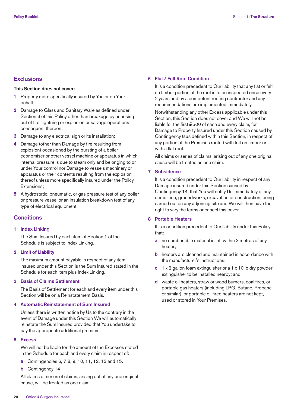## **Exclusions**

## **This Section does not cover:**

- **1** Property more specifically insured by You or on Your behalf;
- **2** Damage to Glass and Sanitary Ware as defined under Section 6 of this Policy other than breakage by or arising out of fire, lightning or explosion or salvage operations consequent thereon;
- **3** Damage to any electrical sign or its installation;
- **4** Damage (other than Damage by fire resulting from explosion) occasioned by the bursting of a boiler economiser or other vessel machine or apparatus in which internal pressure is due to steam only and belonging to or under Your control nor Damage to vessels machinery or apparatus or their contents resulting from the explosion thereof unless more specifically insured under the Policy Extensions;
- **5** A hydrostatic, pneumatic, or gas pressure test of any boiler or pressure vessel or an insulation breakdown test of any type of electrical equipment.

## **Conditions**

#### **1 Index Linking**

 The Sum Insured by each item of Section 1 of the Schedule is subject to Index Linking.

## **2 Limit of Liability**

 The maximum amount payable in respect of any item insured under this Section is the Sum Insured stated in the Schedule for each item plus Index Linking.

#### **3 Basis of Claims Settlement**

 The Basis of Settlement for each and every item under this Section will be on a Reinstatement Basis.

## **4 Automatic Reinstatement of Sum Insured**

 Unless there is written notice by Us to the contrary in the event of Damage under this Section We will automatically reinstate the Sum Insured provided that You undertake to pay the appropriate additional premium.

#### **5 Excess**

 We will not be liable for the amount of the Excesses stated in the Schedule for each and every claim in respect of:

- **a** Contingencies 6, 7, 8, 9, 10, 11, 12, 13 and 15.
- **b** Contingency 14

 All claims or series of claims, arising out of any one original cause, will be treated as one claim.

### **6 Flat / Felt Roof Condition**

 It is a condition precedent to Our liability that any flat or felt on timber portion of the roof is to be inspected once every 2 years and by a competent roofing contractor and any recommendations are implemented immediately.

 Notwithstanding any other Excess applicable under this Section, this Section does not cover and We will not be liable for the first £500 of each and every claim, for Damage to Property Insured under this Section caused by Contingency 8 as defined within this Section, in respect of any portion of the Premises roofed with felt on timber or with a flat roof.

 All claims or series of claims, arising out of any one original cause will be treated as one claim.

## **7 Subsidence**

 It is a condition precedent to Our liability in respect of any Damage insured under this Section caused by Contingency 14, that You will notify Us immediately of any demolition, groundworks, excavation or construction, being carried out on any adjoining site and We will then have the right to vary the terms or cancel this cover.

## **8 Portable Heaters**

 It is a condition precedent to Our liability under this Policy that:

- **a** no combustible material is left within 3 metres of any heater;
- **b** heaters are cleaned and maintained in accordance with the manufacturer's instructions;
- **c** 1 x 2 gallon foam extinguisher or a 1 x 10 lb dry powder extinguisher to be installed nearby; and
- **d** waste oil heaters, straw or wood burners, coal fires, or portable gas heaters (including LPG, Butane, Propane or similar), or portable oil fired heaters are not kept, used or stored in Your Premises.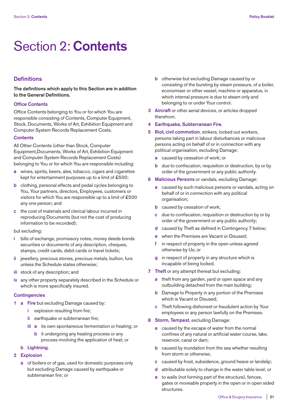## Section 2: **Contents**

## **Definitions**

**The definitions which apply to this Section are in addition to the General Definitions.**

## **Office Contents**

Office Contents belonging to You or for which You are responsible consisting of Contents, Computer Equipment, Stock, Documents, Works of Art, Exhibition Equipment and Computer System Records Replacement Costs.

## **Contents**

All Other Contents (other than Stock, Computer Equipment,Documents, Works of Art, Exhibition Equipment and Computer System Records Replacement Costs) belonging to You or for which You are responsible including:

- **a** wines, spirits, beers, ales, tobacco, cigars and cigarettes kept for entertainment purposes up to a limit of £500;
- **b** clothing, personal effects and pedal cycles belonging to You, Your partners, directors, Employees, customers or visitors for which You are responsible up to a limit of £500 any one person; and
- **c** the cost of materials and clerical labour incurred in reproducing Documents (but not the cost of producing information to be recorded);

## but excluding:

- **i** bills of exchange, promissory notes, money deeds bonds securities or documents of any description, cheques, stamps, credit cards, debit cards or travel tickets;
- **ii** jewellery, precious stones, precious metals, bullion, furs unless the Schedule states otherwise;
- **iii** stock of any description; and
- **iv** any other property separately described in the Schedule or which is more specifically insured.

## **Contingencies**

- **1 a Fire** but excluding Damage caused by:
	- **i** explosion resulting from fire;
	- **ii** earthquake or subterranean fire;
	- **iii a** its own spontaneous fermentation or heating; or
		- **b** it undergoing any heating process or any process involving the application of heat; or

## **b Lightning**.

## **2 Explosion**

 **a** of boilers or of gas, used for domestic purposes only but excluding Damage caused by earthquake or subterranean fire; or

- **b** otherwise but excluding Damage caused by or consisting of the bursting by steam pressure, of a boiler, economiser or other vessel, machine or apparatus, in which internal pressure is due to steam only and belonging to or under Your control.
- **3 Aircraft** or other aerial devices, or articles dropped therefrom.
- **4 Earthquake, Subterranean Fire**.
- **5 Riot, civil commotion**, strikers, locked out workers, persons taking part in labour disturbances or malicious persons acting on behalf of or in connection with any political organisation, excluding Damage:
	- **a** caused by cessation of work; or
	- **b** due to confiscation, requisition or destruction, by or by order of the government or any public authority.
- **6 Malicious Persons** or vandals, excluding Damage:
	- **a** caused by such malicious persons or vandals, acting on behalf of or in connection with any political organisation;
	- **b** caused by cessation of work:
	- **c** due to confiscation, requisition or destruction by or by order of the government or any public authority;
	- **d** caused by Theft as defined in Contingency 7 below;
	- **e** when the Premises are Vacant or Disused;
	- **f** in respect of property in the open unless agreed otherwise by Us; or
	- **g** in respect of property in any structure which is incapable of being locked.
- **7 Theft** or any attempt thereat but excluding:
	- **a** theft from any garden, yard or open space and any outbuilding detached from the main building;
	- **b** Damage to Property in any portion of the Premises which is Vacant or Disused;
	- **c** Theft following dishonest or fraudulent action by Your employees or any person lawfully on the Premises.
- **8 Storm, Tempest**, excluding Damage:
	- **a** caused by the escape of water from the normal confines of any natural or artificial water course, lake, reservoir, canal or dam;
	- **b** caused by inundation from the sea whether resulting from storm or otherwise;
	- **c** caused by frost, subsidence, ground heave or landslip;
	- **d** attributable solely to change in the water table level; or
	- **e** to walls (not forming part of the structure), fences, gates or moveable property in the open or in open sided structures.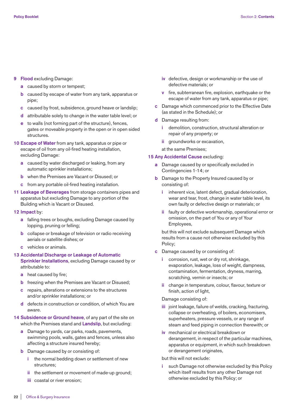#### **9 Flood** excluding Damage:

- **a** caused by storm or tempest;
- **b** caused by escape of water from any tank, apparatus or pipe;
- **c** caused by frost, subsidence, ground heave or landslip;
- **d** attributable solely to change in the water table level; or
- **e** to walls (not forming part of the structure), fences, gates or moveable property in the open or in open sided structures.
- **10 Escape of Water** from any tank, apparatus or pipe or escape of oil from any oil-fired heating installation, excluding Damage:
	- **a** caused by water discharged or leaking, from any automatic sprinkler installations;
	- **b** when the Premises are Vacant or Disused; or
	- **c** from any portable oil-fired heating installation.
- **11 Leakage of Beverages** from storage containers pipes and apparatus but excluding Damage to any portion of the Building which is Vacant or Disused.
- **12 Impact** by:
	- **a** falling trees or boughs, excluding Damage caused by lopping, pruning or felling;
	- **b** collapse or breakage of television or radio receiving aerials or satellite dishes; or
	- **c** vehicles or animals.

## **13 Accidental Discharge or Leakage of Automatic Sprinkler Installations**, excluding Damage caused by or attributable to:

- **a** heat caused by fire;
- **b** freezing when the Premises are Vacant or Disused;
- **c** repairs, alterations or extensions to the structures and/or sprinkler installations; or
- **d** defects in construction or condition, of which You are aware.
- **14 Subsidence or Ground heave**, of any part of the site on which the Premises stand and **Landslip**, but excluding:
	- **a** Damage to yards, car parks, roads, pavements, swimming pools, walls, gates and fences, unless also affecting a structure insured hereby;
	- **b** Damage caused by or consisting of:
		- **i** the normal bedding down or settlement of new structures;
		- **ii** the settlement or movement of made-up ground;
		- **iii** coastal or river erosion;
- **iv** defective, design or workmanship or the use of defective materials; or
- **v** fire, subterranean fire, explosion, earthquake or the escape of water from any tank, apparatus or pipe;
- **c** Damage which commenced prior to the Effective Date (as stated in the Schedule); or
- **d** Damage resulting from:
	- **i** demolition, construction, structural alteration or repair of any property; or
	- **ii** groundworks or excavation,

at the same Premises;

## **15 Any Accidental Cause** excluding:

- **a** Damage caused by or specifically excluded in Contingencies 1-14; or
- **b** Damage to the Property Insured caused by or consisting of:
	- **i** inherent vice, latent defect, gradual deterioration, wear and tear, frost, change in water table level, its own faulty or defective design or materials; or
	- **ii** faulty or defective workmanship, operational error or omission, on the part of You or any of Your Employees,

 but this will not exclude subsequent Damage which results from a cause not otherwise excluded by this Policy;

- **c** Damage caused by or consisting of:
	- **i** corrosion, rust, wet or dry rot, shrinkage, evaporation, leakage, loss of weight, dampness, contamination, fermentation, dryness, marring, scratching, vermin or insects; or
	- **ii** change in temperature, colour, flavour, texture or finish, action of light,

## Damage consisting of:

- **iii** joint leakage, failure of welds, cracking, fracturing, collapse or overheating, of boilers, economisers, superheaters, pressure vessels, or any range of steam and feed piping in connection therewith; or
- **iv** mechanical or electrical breakdown or derangement, in respect of the particular machines, apparatus or equipment, in which such breakdown or derangement originates,

## but this will not exclude:

such Damage not otherwise excluded by this Policy which itself results from any other Damage not otherwise excluded by this Policy; or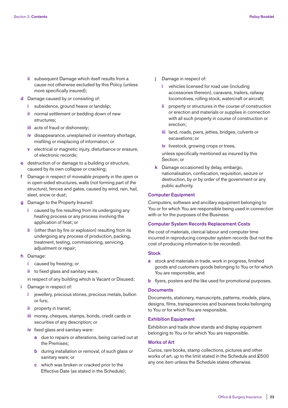- **ii** subsequent Damage which itself results from a cause not otherwise excluded by this Policy (unless more specifically insured);
- **d** Damage caused by or consisting of:
	- **i** subsidence, ground heave or landslip;
	- **ii** normal settlement or bedding down of new structures;
	- **iii** acts of fraud or dishonesty;
	- **iv** disappearance, unexplained or inventory shortage, misfiling or misplacing of information; or
	- **v** electrical or magnetic injury, disturbance or erasure, of electronic records;
- **e** destruction of or damage to a building or structure, caused by its own collapse or cracking;
- **f** Damage in respect of moveable property in the open or in open-sided structures, walls (not forming part of the structure), fences and gates, caused by wind, rain, hail, sleet, snow or dust;
- **g** Damage to the Property Insured:
	- **i** caused by fire resulting from its undergoing any heating process or any process involving the application of heat; or
	- **ii** (other than by fire or explosion) resulting from its undergoing any process of production, packing, treatment, testing, commissioning, servicing, adjustment or repair;
- **h** Damage:
	- **i** caused by freezing; or
	- **ii** to fixed glass and sanitary ware,
	- in respect of any building which is Vacant or Disused;
- **i** Damage in respect of:
	- **i** jewellery, precious stones, precious metals, bullion or furs;
	- **ii** property in transit;
	- **iii** money, cheques, stamps, bonds, credit cards or securities of any description; or
	- **iv** fixed glass and sanitary ware:
		- **a** due to repairs or alterations, being carried out at the Premises;
		- **b** during installation or removal, of such glass or sanitary ware; or
		- **c** which was broken or cracked prior to the Effective Date (as stated in the Schedule);
- **j** Damage in respect of:
	- **i** vehicles licensed for road use (including accessories thereon), caravans, trailers, railway locomotives, rolling stock, watercraft or aircraft;
	- **ii** property or structures in the course of construction or erection and materials or supplies in connection with all such property in course of construction or erection;
	- **iii** land, roads, piers, jetties, bridges, culverts or excavations; or
	- **iv** livestock, growing crops or trees,

 unless specifically mentioned as insured by this Section; or

 **k** Damage occasioned by delay, embargo, nationalisation, confiscation, requisition, seizure or destruction, by or by order of the government or any public authority.

## **Computer Equipment**

Computers, software and ancillary equipment belonging to You or for which You are responsible being used in connection with or for the purposes of the Business.

### **Computer System Records Replacement Costs**

the cost of materials, clerical labour and computer time incurred in reproducing computer system records (but not the cost of producing information to be recorded).

## **Stock**

- **a** stock and materials in trade, work in progress, finished goods and customers goods belonging to You or for which You are responsible, and
- **b** flyers, posters and the like used for promotional purposes.

## **Documents**

Documents, stationery, manuscripts, patterns, models, plans, designs, films, transparencies and business books belonging to You or for which You are responsible.

## **Exhibition Equipment**

Exhibition and trade show stands and display equipment belonging to You or for which You are responsible.

#### **Works of Art**

Curios, rare books, stamp collections, pictures and other works of art, up to the limit stated in the Schedule and £500 any one item unless the Schedule states otherwise.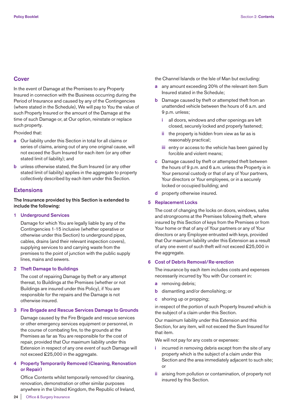## **Cover**

In the event of Damage at the Premises to any Property Insured in connection with the Business occurring during the Period of Insurance and caused by any of the Contingencies (where stated in the Schedule), We will pay to You the value of such Property Insured or the amount of the Damage at the time of such Damage or, at Our option, reinstate or replace such property.

Provided that:

- **a** Our liability under this Section in total for all claims or series of claims, arising out of any one original cause, will not exceed the Sum Insured for each item (or any other stated limit of liability); and
- **b** unless otherwise stated, the Sum Insured (or any other stated limit of liability) applies in the aggregate to property collectively described by each item under this Section.

## **Extensions**

## **The Insurance provided by this Section is extended to include the following:**

## **1 Underground Services**

 Damage for which You are legally liable by any of the Contingencies 1-15 inclusive (whether operative or otherwise under this Section) to underground pipes, cables, drains (and their relevant inspection covers), supplying services to and carrying waste from the premises to the point of junction with the public supply lines, mains and sewers.

## **2 Theft Damage to Buildings**

 The cost of repairing Damage by theft or any attempt thereat, to Buildings at the Premises (whether or not Buildings are insured under this Policy), if You are responsible for the repairs and the Damage is not otherwise insured.

## **3 Fire Brigade and Rescue Services Damage to Grounds**

 Damage caused by the Fire Brigade and rescue services or other emergency services equipment or personnel, in the course of combating fire, to the grounds at the Premises as far as You are responsible for the cost of repair, provided that Our maximum liability under this Extension in respect of any one event of such Damage will not exceed £25,000 in the aggregate.

## **4 Property Temporarily Removed (Cleaning, Renovation or Repair)**

 Office Contents whilst temporarily removed for cleaning, renovation, demonstration or other similar purposes anywhere in the United Kingdom, the Republic of Ireland, the Channel Islands or the Isle of Man but excluding:

- **a** any amount exceeding 20% of the relevant item Sum Insured stated in the Schedule;
- **b** Damage caused by theft or attempted theft from an unattended vehicle between the hours of 6 a.m. and 9 p.m. unless;
	- **i** all doors, windows and other openings are left closed, securely locked and properly fastened;
	- **ii** the property is hidden from view as far as is reasonably practical;
	- **iii** entry or access to the vehicle has been gained by forcible and violent means;
- **c** Damage caused by theft or attempted theft between the hours of 9 p.m. and 6 a.m. unless the Property is in Your personal custody or that of any of Your partners, Your directors or Your employees, or in a securely locked or occupied building; and
- **d** property otherwise insured.

#### **5 Replacement Locks**

 The cost of changing the locks on doors, windows, safes and strongrooms at the Premises following theft, where insured by this Section of keys from the Premises or from Your home or that of any of Your partners or any of Your directors or any Employee entrusted with keys, provided that Our maximum liability under this Extension as a result of any one event of such theft will not exceed £25,000 in the aggregate.

## **6 Cost of Debris Removal/Re-erection**

 The insurance by each item includes costs and expenses necessarily incurred by You with Our consent in:

- **a** removing debris;
- **b** dismantling and/or demolishing; or
- **c** shoring up or propping;

 in respect of the portion of such Property Insured which is the subject of a claim under this Section.

 Our maximum liability under this Extension and this Section, for any item, will not exceed the Sum Insured for that item.

We will not pay for any costs or expenses:

- **i** incurred in removing debris except from the site of any property which is the subject of a claim under this Section and the area immediately adjacent to such site; or
- **ii** arising from pollution or contamination, of property not insured by this Section.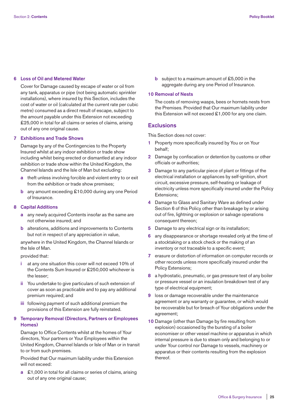## **6 Loss of Oil and Metered Water**

 Cover for Damage caused by escape of water or oil from any tank, apparatus or pipe (not being automatic sprinkler installations), where insured by this Section, includes the cost of water or oil (calculated at the current rate per cubic metre) consumed as a direct result of escape, subject to the amount payable under this Extension not exceeding £25,000 in total for all claims or series of claims, arising out of any one original cause.

#### **7 Exhibitions and Trade Shows**

 Damage by any of the Contingencies to the Property Insured whilst at any indoor exhibition or trade show including whilst being erected or dismantled at any indoor exhibition or trade show within the United Kingdom, the Channel Islands and the Isle of Man but excluding:

- **a** theft unless involving forcible and violent entry to or exit from the exhibition or trade show premises;
- **b** any amount exceeding £10,000 during any one Period of Insurance.

#### **8 Capital Additions**

- **a** any newly acquired Contents insofar as the same are not otherwise insured; and
- **b** alterations, additions and improvements to Contents but not in respect of any appreciation in value,

 anywhere in the United Kingdom, the Channel Islands or the Isle of Man.

provided that:

- **i** at any one situation this cover will not exceed 10% of the Contents Sum Insured or £250,000 whichever is the lesser;
- **ii** You undertake to give particulars of such extension of cover as soon as practicable and to pay any additional premium required; and
- **iii** following payment of such additional premium the provisions of this Extension are fully reinstated.

## **9 Temporary Removal (Directors, Partners or Employees Homes)**

 Damage to Office Contents whilst at the homes of Your directors, Your partners or Your Employees within the United Kingdom, Channel Islands or Isle of Man or in transit to or from such premises.

 Provided that Our maximum liability under this Extension will not exceed:

 **a** £1,000 in total for all claims or series of claims, arising out of any one original cause;

**b** subject to a maximum amount of £5,000 in the aggregate during any one Period of Insurance.

#### **10 Removal of Nests**

 The costs of removing wasps, bees or hornets nests from the Premises. Provided that Our maximum liability under this Extension will not exceed £1,000 for any one claim.

## **Exclusions**

This Section does not cover:

- **1** Property more specifically insured by You or on Your behalf;
- **2** Damage by confiscation or detention by customs or other officials or authorities;
- **3** Damage to any particular piece of plant or fittings of the electrical installation or appliances by self-ignition, short circuit, excessive pressure, self-heating or leakage of electricity unless more specifically insured under the Policy Extensions;
- **4** Damage to Glass and Sanitary Ware as defined under Section 6 of this Policy other than breakage by or arising out of fire, lightning or explosion or salvage operations consequent thereon;
- **5** Damage to any electrical sign or its installation;
- **6** any disappearance or shortage revealed only at the time of a stocktaking or a stock check or the making of an inventory or not traceable to a specific event;
- **7** erasure or distortion of information on computer records or other records unless more specifically insured under the Policy Extensions;
- **8** a hydrostatic, pneumatic, or gas pressure test of any boiler or pressure vessel or an insulation breakdown test of any type of electrical equipment;
- **9** loss or damage recoverable under the maintenance agreement or any warranty or guarantee, or which would be recoverable but for breach of Your obligations under the agreement;
- **10** Damage (other than Damage by fire resulting from explosion) occasioned by the bursting of a boiler economiser or other vessel machine or apparatus in which internal pressure is due to steam only and belonging to or under Your control nor Damage to vessels, machinery or apparatus or their contents resulting from the explosion thereof.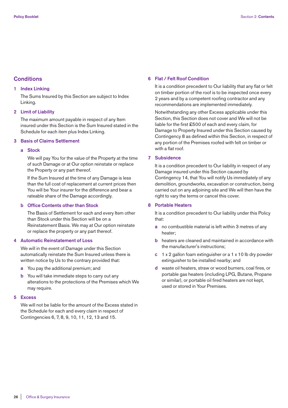## **Conditions**

## **1 Index Linking**

 The Sums Insured by this Section are subject to Index Linking.

## **2 Limit of Liability**

 The maximum amount payable in respect of any Item insured under this Section is the Sum Insured stated in the Schedule for each item plus Index Linking.

## **3 Basis of Claims Settlement**

#### **a Stock**

 We will pay You for the value of the Property at the time of such Damage or at Our option reinstate or replace the Property or any part thereof.

 If the Sum Insured at the time of any Damage is less than the full cost of replacement at current prices then You will be Your insurer for the difference and bear a rateable share of the Damage accordingly.

## **b Office Contents other than Stock**

 The Basis of Settlement for each and every Item other than Stock under this Section will be on a Reinstatement Basis. We may at Our option reinstate or replace the property or any part thereof.

## **4 Automatic Reinstatement of Loss**

 We will in the event of Damage under this Section automatically reinstate the Sum Insured unless there is written notice by Us to the contrary provided that:

- **a** You pay the additional premium; and
- **b** You will take immediate steps to carry out any alterations to the protections of the Premises which We may require.
- **5 Excess**

 We will not be liable for the amount of the Excess stated in the Schedule for each and every claim in respect of Contingencies 6, 7, 8, 9, 10, 11, 12, 13 and 15.

#### **6 Flat / Felt Roof Condition**

 It is a condition precedent to Our liability that any flat or felt on timber portion of the roof is to be inspected once every 2 years and by a competent roofing contractor and any recommendations are implemented immediately.

 Notwithstanding any other Excess applicable under this Section, this Section does not cover and We will not be liable for the first £500 of each and every claim, for Damage to Property Insured under this Section caused by Contingency 8 as defined within this Section, in respect of any portion of the Premises roofed with felt on timber or with a flat roof.

## **7 Subsidence**

 It is a condition precedent to Our liability in respect of any Damage insured under this Section caused by Contingency 14, that You will notify Us immediately of any demolition, groundworks, excavation or construction, being carried out on any adjoining site and We will then have the right to vary the terms or cancel this cover.

## **8 Portable Heaters**

 It is a condition precedent to Our liability under this Policy that:

- **a** no combustible material is left within 3 metres of any heater;
- **b** heaters are cleaned and maintained in accordance with the manufacturer's instructions;
- **c** 1 x 2 gallon foam extinguisher or a 1 x 10 lb dry powder extinguisher to be installed nearby; and
- **d** waste oil heaters, straw or wood burners, coal fires, or portable gas heaters (including LPG, Butane, Propane or similar), or portable oil fired heaters are not kept, used or stored in Your Premises.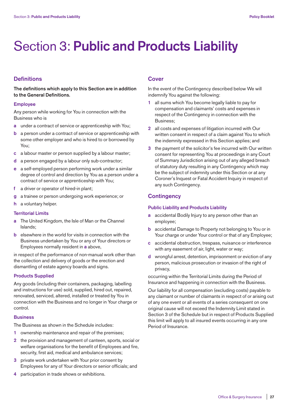# Section 3: **Public and Products Liability**

## **Definitions**

**The definitions which apply to this Section are in addition to the General Definitions.**

## **Employee**

Any person while working for You in connection with the Business who is

- **a** under a contract of service or apprenticeship with You;
- **b** a person under a contract of service or apprenticeship with some other employer and who is hired to or borrowed by You;
- **c** a labour master or person supplied by a labour master;
- **d** a person engaged by a labour only sub-contractor;
- **e** a self-employed person performing work under a similar degree of control and direction by You as a person under a contract of service or apprenticeship with You;
- **f** a driver or operator of hired-in plant;
- **g** a trainee or person undergoing work experience; or
- **h** a voluntary helper.

## **Territorial Limits**

- **a** The United Kingdom, the Isle of Man or the Channel Islands;
- **b** elsewhere in the world for visits in connection with the Business undertaken by You or any of Your directors or Employees normally resident in **a** above,

in respect of the performance of non-manual work other than the collection and delivery of goods or the erection and dismantling of estate agency boards and signs.

## **Products Supplied**

Any goods (including their containers, packaging, labelling and instructions for use) sold, supplied, hired out, repaired, renovated, serviced, altered, installed or treated by You in connection with the Business and no longer in Your charge or control.

## **Business**

The Business as shown in the Schedule includes:

- **1** ownership maintenance and repair of the premises;
- **2** the provision and management of canteen, sports, social or welfare organisations for the benefit of Employees and fire, security, first aid, medical and ambulance services;
- **3** private work undertaken with Your prior consent by Employees for any of Your directors or senior officials; and
- **4** participation in trade shows or exhibitions.

## **Cover**

In the event of the Contingency described below We will indemnify You against the following:

- **1** all sums which You become legally liable to pay for compensation and claimants' costs and expenses in respect of the Contingency in connection with the Business;
- **2** all costs and expenses of litigation incurred with Our written consent in respect of a claim against You to which the indemnity expressed in this Section applies; and
- **3** the payment of the solicitor's fee incurred with Our written consent for representing You at proceedings in any Court of Summary Jurisdiction arising out of any alleged breach of statutory duty resulting in any Contingency which may be the subject of indemnity under this Section or at any Coroner's Inquest or Fatal Accident Inquiry in respect of any such Contingency.

## **Contingency**

## **Public Liability and Products Liability**

- **a** accidental Bodily Injury to any person other than an employee;
- **b** accidental Damage to Property not belonging to You or in Your charge or under Your control or that of any Employee;
- **c** accidental obstruction, trespass, nuisance or interference with any easement of air, light, water or way;
- **d** wrongful arrest, detention, imprisonment or eviction of any person, malicious prosecution or invasion of the right of privacy,

occurring within the Territorial Limits during the Period of Insurance and happening in connection with the Business.

Our liability for all compensation (excluding costs) payable to any claimant or number of claimants in respect of or arising out of any one event or all events of a series consequent on one original cause will not exceed the Indemnity Limit stated in Section 3 of the Schedule but in respect of Products Supplied this limit will apply to all insured events occurring in any one Period of Insurance.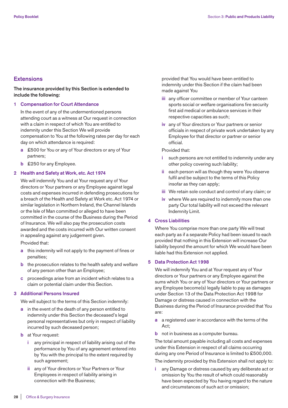## **Extensions**

## **The insurance provided by this Section is extended to include the following:**

## **1 Compensation for Court Attendance**

 In the event of any of the undermentioned persons attending court as a witness at Our request in connection with a claim in respect of which You are entitled to indemnity under this Section We will provide compensation to You at the following rates per day for each day on which attendance is required:

- **a** £500 for You or any of Your directors or any of Your partners;
- **b** £250 for any Employee.

## **2 Health and Safety at Work, etc. Act 1974**

 We will indemnify You and at Your request any of Your directors or Your partners or any Employee against legal costs and expenses incurred in defending prosecutions for a breach of the Health and Safety at Work etc. Act 1974 or similar legislation in Northern Ireland, the Channel Islands or the Isle of Man committed or alleged to have been committed in the course of the Business during the Period of Insurance. We will also pay the prosecution costs awarded and the costs incurred with Our written consent in appealing against any judgement given.

Provided that:

- **a** this indemnity will not apply to the payment of fines or penalties;
- **b** the prosecution relates to the health safety and welfare of any person other than an Employee;
- **c** proceedings arise from an incident which relates to a claim or potential claim under this Section.

## **3 Additional Persons Insured**

We will subject to the terms of this Section indemnify:

- **a** in the event of the death of any person entitled to indemnity under this Section the deceased's legal personal representatives but only in respect of liability incurred by such deceased person;
- **b** at Your request:
	- any principal in respect of liability arising out of the performance by You of any agreement entered into by You with the principal to the extent required by such agreement;
	- **ii** any of Your directors or Your Partners or Your Employees in respect of liability arising in connection with the Business;

 provided that You would have been entitled to indemnity under this Section if the claim had been made against You

- **iii** any officer committee or member of Your canteen sports social or welfare organisations fire security first aid medical or ambulance services in their respective capacities as such;
- **iv** any of Your directors or Your partners or senior officials in respect of private work undertaken by any Employee for that director or partner or senior official.

#### Provided that:

- such persons are not entitled to indemnity under any other policy covering such liability;
- **ii** each person will as though they were You observe fulfil and be subject to the terms of this Policy insofar as they can apply;
- **iii** We retain sole conduct and control of any claim; or
- **iv** where We are required to indemnify more than one party Our total liability will not exceed the relevant Indemnity Limit.

## **4 Cross Liabilities**

 Where You comprise more than one party We will treat each party as if a separate Policy had been issued to each provided that nothing in this Extension will increase Our liability beyond the amount for which We would have been liable had this Extension not applied.

## **5 Data Protection Act 1998**

 We will indemnify You and at Your request any of Your directors or Your partners or any Employee against the sums which You or any of Your directors or Your partners or any Employee become(s) legally liable to pay as damages under Section 13 of the Data Protection Act 1998 for Damage or distress caused in connection with the Business during the Period of Insurance provided that You are:

- **a** a registered user in accordance with the terms of the Act;
- **b** not in business as a computer bureau.

 The total amount payable including all costs and expenses under this Extension in respect of all claims occurring during any one Period of Insurance is limited to £500,000.

The indemnity provided by this Extension shall not apply to:

any Damage or distress caused by any deliberate act or omission by You the result of which could reasonably have been expected by You having regard to the nature and circumstances of such act or omission;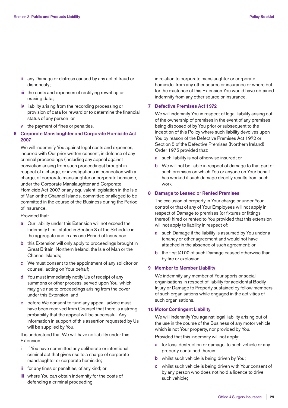- **ii** any Damage or distress caused by any act of fraud or dishonesty;
- **iii** the costs and expenses of rectifying rewriting or erasing data;
- **iv** liability arising from the recording processing or provision of data for reward or to determine the financial status of any person; or
- **v** the payment of fines or penalties.

## **6 Corporate Manslaughter and Corporate Homicide Act 2007**

 We will indemnify You against legal costs and expenses, incurred with Our prior written consent, in defence of any criminal proceedings (including any appeal against conviction arising from such proceedings) brought in respect of a charge, or investigations in connection with a charge, of corporate manslaughter or corporate homicide, under the Corporate Manslaughter and Corporate Homicide Act 2007 or any equivalent legislation in the Isle of Man or the Channel Islands, committed or alleged to be committed in the course of the Business during the Period of Insurance.

Provided that:

- **a** Our liability under this Extension will not exceed the Indemnity Limit stated in Section 3 of the Schedule in the aggregate and in any one Period of Insurance;
- **b** this Extension will only apply to proceedings brought in Great Britain, Northern Ireland, the Isle of Man or the Channel Islands;
- **c** We must consent to the appointment of any solicitor or counsel, acting on Your behalf;
- **d** You must immediately notify Us of receipt of any summons or other process, served upon You, which may give rise to proceedings arising from the cover under this Extension; and
- **e** before We consent to fund any appeal, advice must have been received from Counsel that there is a strong probability that the appeal will be successful. Any information in support of this assertion requested by Us will be supplied by You.

 It is understood that We will have no liability under this Extension:

- **i** if You have committed any deliberate or intentional criminal act that gives rise to a charge of corporate manslaughter or corporate homicide;
- **ii** for any fines or penalties, of any kind; or
- **iii** where You can obtain indemnity for the costs of defending a criminal proceeding

 in relation to corporate manslaughter or corporate homicide, from any other source or insurance or where but for the existence of this Extension You would have obtained indemnity from any other source or insurance.

## **7 Defective Premises Act 1972**

 We will indemnify You in respect of legal liability arising out of the ownership of premises in the event of any premises being disposed of by You prior or subsequent to the inception of this Policy where such liability devolves upon You by reason of the Defective Premises Act 1972 or Section 5 of the Defective Premises (Northern Ireland) Order 1975 provided that:

- **a** such liability is not otherwise insured; or
- **b** We will not be liable in respect of damage to that part of such premises on which You or anyone on Your behalf has worked if such damage directly results from such work.

## **8 Damage to Leased or Rented Premises**

 The exclusion of property in Your charge or under Your control or that of any of Your Employees will not apply in respect of Damage to premises (or fixtures or fittings thereof) hired or rented to You provided that this extension will not apply to liability in respect of:

- **a** such Damage if the liability is assumed by You under a tenancy or other agreement and would not have attached in the absence of such agreement; or
- **b** the first £100 of such Damage caused otherwise than by fire or explosion.

## **9 Member to Member Liability**

 We indemnify any member of Your sports or social organisations in respect of liability for accidental Bodily Injury or Damage to Property sustained by fellow members of such organisations while engaged in the activities of such organisations.

## **10 Motor Contingent Liability**

 We will indemnify You against legal liability arising out of the use in the course of the Business of any motor vehicle which is not Your property, nor provided by You.

Provided that this indemnity will not apply:

- **a** for loss, destruction or damage, to such vehicle or any property contained therein;
- **b** whilst such vehicle is being driven by You;
- **c** whilst such vehicle is being driven with Your consent of by any person who does not hold a licence to drive such vehicle;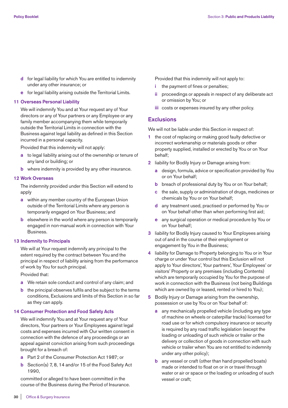- **d** for legal liability for which You are entitled to indemnity under any other insurance; or
- **e** for legal liability arising outside the Territorial Limits.

#### **11 Overseas Personal Liability**

 We will indemnify You and at Your request any of Your directors or any of Your partners or any Employee or any family member accompanying them while temporarily outside the Territorial Limits in connection with the Business against legal liability as defined in this Section incurred in a personal capacity.

Provided that this indemnity will not apply:

- **a** to legal liability arising out of the ownership or tenure of any land or building; or
- **b** where indemnity is provided by any other insurance.

## **12 Work Overseas**

 The indemnity provided under this Section will extend to apply

- **a** within any member country of the European Union outside of the Territorial Limits where any person is temporarily engaged on Your Business; and
- **b** elsewhere in the world where any person is temporarily engaged in non-manual work in connection with Your Business.

## **13 Indemnity to Principals**

We will at Your request indemnify any principal to the extent required by the contract between You and the principal in respect of liability arising from the performance of work by You for such principal.

Provided that:

- **a** We retain sole conduct and control of any claim; and
- **b** the principal observes fulfils and be subject to the terms conditions, Exclusions and limits of this Section in so far as they can apply.

## **14 Consumer Protection and Food Safety Acts**

 We will indemnify You and at Your request any of Your directors, Your partners or Your Employees against legal costs and expenses incurred with Our written consent in connection with the defence of any proceedings or an appeal against conviction arising from such proceedings brought for a breach of:

- **a** Part 2 of the Consumer Protection Act 1987; or
- **b** Section(s) 7, 8, 14 and/or 15 of the Food Safety Act 1990,

 committed or alleged to have been committed in the course of the Business during the Period of Insurance. Provided that this indemnity will not apply to:

- **i** the payment of fines or penalties;
- **ii** proceedings or appeals in respect of any deliberate act or omission by You; or
- **iii** costs or expenses insured by any other policy.

## **Exclusions**

We will not be liable under this Section in respect of:

- **1** the cost of replacing or making good faulty defective or incorrect workmanship or materials goods or other property supplied, installed or erected by You or on Your behalf;
- **2** liability for Bodily Injury or Damage arising from:
	- **a** design, formula, advice or specification provided by You or on Your behalf;
	- **b** breach of professional duty by You or on Your behalf;
	- **c** the sale, supply or administration of drugs, medicines or chemicals by You or on Your behalf;
	- **d** any treatment used, practised or performed by You or on Your behalf other than when performing first aid;
	- **e** any surgical operation or medical procedure by You or on Your behalf;
- **3** liability for Bodily Injury caused to Your Employees arising out of and in the course of their employment or engagement by You in the Business;
- **4** liability for Damage to Property belonging to You or in Your charge or under Your control but this Exclusion will not apply to Your directors', Your partners', Your Employees' or visitors' Property or any premises (including Contents) which are temporarily occupied by You for the purpose of work in connection with the Business (not being Buildings which are owned by or leased, rented or hired to You);
- **5** Bodily Injury or Damage arising from the ownership, possession or use by You or on Your behalf of:
	- **a** any mechanically propelled vehicle (including any type of machine on wheels or caterpillar tracks) licensed for road use or for which compulsory insurance or security is required by any road traffic legislation (except the loading or unloading of such vehicle or trailer or the delivery or collection of goods in connection with such vehicle or trailer when You are not entitled to indemnity under any other policy);
	- **b** any vessel or craft (other than hand propelled boats) made or intended to float on or in or travel through water or air or space or the loading or unloading of such vessel or craft;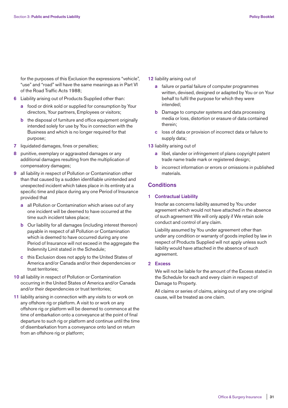for the purposes of this Exclusion the expressions "vehicle", "use" and "road" will have the same meanings as in Part VI of the Road Traffic Acts 1988;

- **6** Liability arising out of Products Supplied other than:
	- **a** food or drink sold or supplied for consumption by Your directors, Your partners, Employees or visitors;
	- **b** the disposal of furniture and office equipment originally intended solely for use by You in connection with the Business and which is no longer required for that purpose;
- **7** liquidated damages, fines or penalties;
- **8** punitive, exemplary or aggravated damages or any additional damages resulting from the multiplication of compensatory damages;
- **9** all liability in respect of Pollution or Contamination other than that caused by a sudden identifiable unintended and unexpected incident which takes place in its entirety at a specific time and place during any one Period of Insurance provided that
	- **a** all Pollution or Contamination which arises out of any one incident will be deemed to have occurred at the time such incident takes place;
	- **b** Our liability for all damages (including interest thereon) payable in respect of all Pollution or Contamination which is deemed to have occurred during any one Period of Insurance will not exceed in the aggregate the Indemnity Limit stated in the Schedule;
	- **c** this Exclusion does not apply to the United States of America and/or Canada and/or their dependencies or trust territories;
- **10** all liability in respect of Pollution or Contamination occurring in the United States of America and/or Canada and/or their dependencies or trust territories;
- **11** liability arising in connection with any visits to or work on any offshore rig or platform. A visit to or work on any offshore rig or platform will be deemed to commence at the time of embarkation onto a conveyance at the point of final departure to such rig or platform and continue until the time of disembarkation from a conveyance onto land on return from an offshore rig or platform;
- **12** liability arising out of
	- **a** failure or partial failure of computer programmes written, devised, designed or adapted by You or on Your behalf to fulfil the purpose for which they were intended;
	- **b** Damage to computer systems and data processing media or loss, distortion or erasure of data contained therein;
	- **c** loss of data or provision of incorrect data or failure to supply data;
- **13** liability arising out of
	- **a** libel, slander or infringement of plans copyright patent trade name trade mark or registered design;
	- **b** incorrect information or errors or omissions in published materials.

## **Conditions**

## **1 Contractual Liability**

 Insofar as concerns liability assumed by You under agreement which would not have attached in the absence of such agreement We will only apply if We retain sole conduct and control of any claim.

 Liability assumed by You under agreement other than under any condition or warranty of goods implied by law in respect of Products Supplied will not apply unless such liability would have attached in the absence of such agreement.

## **2 Excess**

 We will not be liable for the amount of the Excess stated in the Schedule for each and every claim in respect of Damage to Property.

 All claims or series of claims, arising out of any one original cause, will be treated as one claim.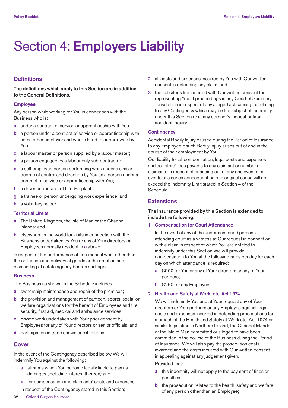## Section 4: **Employers Liability**

## **Definitions**

**The definitions which apply to this Section are in addition to the General Definitions.**

## **Employee**

Any person while working for You in connection with the Business who is:

- **a** under a contract of service or apprenticeship with You;
- **b** a person under a contract of service or apprenticeship with some other employer and who is hired to or borrowed by You;
- **c** a labour master or person supplied by a labour master;
- **d** a person engaged by a labour only sub-contractor;
- **e** a self-employed person performing work under a similar degree of control and direction by You as a person under a contract of service or apprenticeship with You;
- **f** a driver or operator of hired-in plant;
- **g** a trainee or person undergoing work experience; and
- **h** a voluntary helper.

## **Territorial Limits**

- **a** The United Kingdom, the Isle of Man or the Channel Islands; and
- **b** elsewhere in the world for visits in connection with the Business undertaken by You or any of Your directors or Employees normally resident in **a** above,

in respect of the performance of non-manual work other than the collection and delivery of goods or the erection and dismantling of estate agency boards and signs.

## **Business**

The Business as shown in the Schedule includes:

- **a** ownership maintenance and repair of the premises;
- **b** the provision and management of canteen, sports, social or welfare organisations for the benefit of Employees and fire, security, first aid, medical and ambulance services;
- **c** private work undertaken with Your prior consent by Employees for any of Your directors or senior officials; and
- **d** participation in trade shows or exhibitions.

## **Cover**

In the event of the Contingency described below We will indemnify You against the following:

- **1 a** all sums which You become legally liable to pay as damages (including interest thereon) and
	- **b** for compensation and claimants' costs and expenses
	- in respect of the Contingency stated in this Section;
- **2** all costs and expenses incurred by You with Our written consent in defending any claim; and
- **3** the solicitor's fee incurred with Our written consent for representing You at proceedings in any Court of Summary Jurisdiction in respect of any alleged act causing or relating to any Contingency which may be the subject of indemnity under this Section or at any coroner's inquest or fatal accident inquiry.

## **Contingency**

Accidental Bodily Injury caused during the Period of Insurance to any Employee if such Bodily Injury arises out of and in the course of their employment by You.

Our liability for all compensation, legal costs and expenses and solicitors' fees payable to any claimant or number of claimants in respect of or arising out of any one event or all events of a series consequent on one original cause will not exceed the Indemnity Limit stated in Section 4 of the Schedule.

## **Extensions**

## **The insurance provided by this Section is extended to include the following:**

## **1 Compensation for Court Attendance**

 In the event of any of the undermentioned persons attending court as a witness at Our request in connection with a claim in respect of which You are entitled to indemnity under this Section We will provide compensation to You at the following rates per day for each day on which attendance is required:

- **a** £500 for You or any of Your directors or any of Your partners;
- **b** £250 for any Employee.

## **2 Health and Safety at Work, etc. Act 1974**

 We will indemnify You and at Your request any of Your directors or Your partners or any Employee against legal costs and expenses incurred in defending prosecutions for a breach of the Health and Safety at Work etc. Act 1974 or similar legislation in Northern Ireland, the Channel Islands or the Isle of Man committed or alleged to have been committed in the course of the Business during the Period of Insurance. We will also pay the prosecution costs awarded and the costs incurred with Our written consent in appealing against any judgement given.

## Provided that:

- **a** this indemnity will not apply to the payment of fines or penalties;
- **b** the prosecution relates to the health, safety and welfare of any person other than an Employee;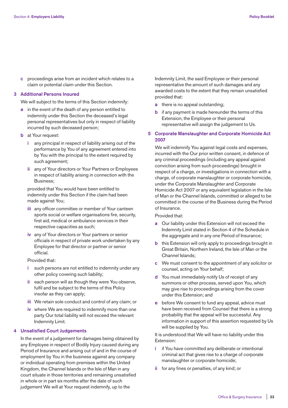**c** proceedings arise from an incident which relates to a claim or potential claim under this Section.

## **3 Additional Persons Insured**

We will subject to the terms of this Section indemnify:

- **a** in the event of the death of any person entitled to indemnity under this Section the deceased's legal personal representatives but only in respect of liability incurred by such deceased person;
- **b** at Your request:
	- **i** any principal in respect of liability arising out of the performance by You of any agreement entered into by You with the principal to the extent required by such agreement;
	- **ii** any of Your directors or Your Partners or Employees in respect of liability arising in connection with the Business;

 provided that You would have been entitled to indemnity under this Section if the claim had been made against You;

- **iii** any officer committee or member of Your canteen sports social or welfare organisations fire, security, first aid, medical or ambulance services in their respective capacities as such;
- **iv** any of Your directors or Your partners or senior officials in respect of private work undertaken by any Employee for that director or partner or senior official.

Provided that:

- **i** such persons are not entitled to indemnity under any other policy covering such liability;
- **ii** each person will as though they were You observe, fulfil and be subject to the terms of this Policy insofar as they can apply;
- **iii** We retain sole conduct and control of any claim; or
- **iv** where We are required to indemnify more than one party Our total liability will not exceed the relevant Indemnity Limit.

## **4 Unsatisfied Court Judgements**

 In the event of a judgement for damages being obtained by any Employee in respect of Bodily Injury caused during any Period of Insurance and arising out of and in the course of employment by You in the business against any company or individual operating from premises within the United Kingdom, the Channel Islands or the Isle of Man in any court situate in those territories and remaining unsatisfied in whole or in part six months after the date of such judgement We will at Your request indemnify, up to the

Indemnity Limit, the said Employee or their personal representative the amount of such damages and any awarded costs to the extent that they remain unsatisfied provided that:

- **a** there is no appeal outstanding:
- **b** if any payment is made hereunder the terms of this Extension, the Employee or their personal representative will assign the judgement to Us.

## **5 Corporate Manslaughter and Corporate Homicide Act 2007**

 We will indemnify You against legal costs and expenses, incurred with the Our prior written consent, in defence of any criminal proceedings (including any appeal against conviction arising from such proceedings) brought in respect of a charge, or investigations in connection with a charge, of corporate manslaughter or corporate homicide, under the Corporate Manslaughter and Corporate Homicide Act 2007 or any equivalent legislation in the Isle of Man or the Channel Islands, committed or alleged to be committed in the course of the Business during the Period of Insurance.

Provided that:

- **a** Our liability under this Extension will not exceed the Indemnity Limit stated in Section 4 of the Schedule in the aggregate and in any one Period of Insurance;
- **b** this Extension will only apply to proceedings brought in Great Britain, Northern Ireland, the Isle of Man or the Channel Islands;
- **c** We must consent to the appointment of any solicitor or counsel, acting on Your behalf;
- **d** You must immediately notify Us of receipt of any summons or other process, served upon You, which may give rise to proceedings arising from the cover under this Extension; and
- **e** before We consent to fund any appeal, advice must have been received from Counsel that there is a strong probability that the appeal will be successful. Any information in support of this assertion requested by Us will be supplied by You.

 It is understood that We will have no liability under this Extension:

- **i** if You have committed any deliberate or intentional criminal act that gives rise to a charge of corporate manslaughter or corporate homicide;
- **ii** for any fines or penalties, of any kind; or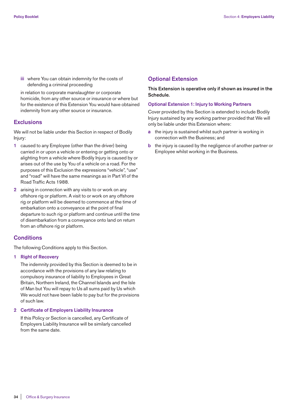**iii** where You can obtain indemnity for the costs of defending a criminal proceeding

 in relation to corporate manslaughter or corporate homicide, from any other source or insurance or where but for the existence of this Extension You would have obtained indemnity from any other source or insurance.

## **Exclusions**

We will not be liable under this Section in respect of Bodily Injury:

- **1** caused to any Employee (other than the driver) being carried in or upon a vehicle or entering or getting onto or alighting from a vehicle where Bodily Injury is caused by or arises out of the use by You of a vehicle on a road. For the purposes of this Exclusion the expressions "vehicle", "use" and "road" will have the same meanings as in Part VI of the Road Traffic Acts 1988.
- **2** arising in connection with any visits to or work on any offshore rig or platform. A visit to or work on any offshore rig or platform will be deemed to commence at the time of embarkation onto a conveyance at the point of final departure to such rig or platform and continue until the time of disembarkation from a conveyance onto land on return from an offshore rig or platform.

## **Conditions**

The following Conditions apply to this Section.

## **1 Right of Recovery**

 The indemnity provided by this Section is deemed to be in accordance with the provisions of any law relating to compulsory insurance of liability to Employees in Great Britain, Northern Ireland, the Channel Islands and the Isle of Man but You will repay to Us all sums paid by Us which We would not have been liable to pay but for the provisions of such law.

#### **2 Certificate of Employers Liability Insurance**

 If this Policy or Section is cancelled, any Certificate of Employers Liability Insurance will be similarly cancelled from the same date.

## **Optional Extension**

**This Extension is operative only if shown as insured in the Schedule.**

## **Optional Extension 1: Injury to Working Partners**

Cover provided by this Section is extended to include Bodily Injury sustained by any working partner provided that We will only be liable under this Extension where:

- **a** the injury is sustained whilst such partner is working in connection with the Business; and
- **b** the injury is caused by the negligence of another partner or Employee whilst working in the Business.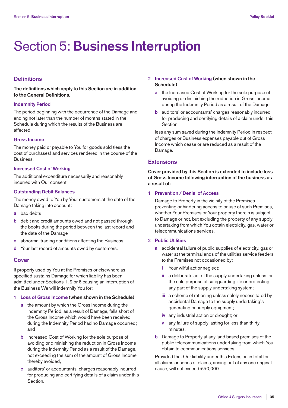## Section 5: **Business Interruption**

## **Definitions**

**The definitions which apply to this Section are in addition to the General Definitions.**

## **Indemnity Period**

The period beginning with the occurrence of the Damage and ending not later than the number of months stated in the Schedule during which the results of the Business are affected.

#### **Gross Income**

The money paid or payable to You for goods sold (less the cost of purchases) and services rendered in the course of the Business.

## **Increased Cost of Working**

The additional expenditure necessarily and reasonably incurred with Our consent.

## **Outstanding Debit Balances**

The money owed to You by Your customers at the date of the Damage taking into account:

- **a** bad debts
- **b** debit and credit amounts owed and not passed through the books during the period between the last record and the date of the Damage
- **c** abnormal trading conditions affecting the Business
- **d** Your last record of amounts owed by customers.

## **Cover**

If property used by You at the Premises or elsewhere as specified sustains Damage for which liability has been admitted under Sections 1, 2 or 6 causing an interruption of the Business We will indemnify You for:

#### **1 Loss of Gross Income (when shown in the Schedule)**

- **a** the amount by which the Gross Income during the Indemnity Period, as a result of Damage, falls short of the Gross Income which would have been received during the Indemnity Period had no Damage occurred; and
- **b** Increased Cost of Working for the sole purpose of avoiding or diminishing the reduction in Gross Income during the Indemnity Period as a result of the Damage, not exceeding the sum of the amount of Gross Income thereby avoided,
- **c** auditors' or accountants' charges reasonably incurred for producing and certifying details of a claim under this Section.
- **2 Increased Cost of Working (when shown in the Schedule)**
	- **a** the Increased Cost of Working for the sole purpose of avoiding or diminishing the reduction in Gross Income during the Indemnity Period as a result of the Damage,
	- **b** auditors' or accountants' charges reasonably incurred for producing and certifying details of a claim under this Section.

 less any sum saved during the Indemnity Period in respect of charges or Business expenses payable out of Gross Income which cease or are reduced as a result of the Damage.

## **Extensions**

**Cover provided by this Section is extended to include loss of Gross Income following interruption of the business as a result of:**

## **1 Prevention / Denial of Access**

 Damage to Property in the vicinity of the Premises preventing or hindering access to or use of such Premises, whether Your Premises or Your property therein is subject to Damage or not, but excluding the property of any supply undertaking from which You obtain electricity, gas, water or telecommunications services.

#### **2 Public Utilities**

- **a** accidental failure of public supplies of electricity, gas or water at the terminal ends of the utilities service feeders to the Premises not occasioned by:
	- Your wilful act or neglect;
	- **ii** a deliberate act of the supply undertaking unless for the sole purpose of safeguarding life or protecting any part of the supply undertaking system;
	- i**ii** a scheme of rationing unless solely necessitated by accidental Damage to the supply undertaking's generating or supply equipment;
	- **iv** any industrial action or drought; or
	- **v** any failure of supply lasting for less than thirty minutes.
- **b** Damage to Property at any land based premises of the public telecommunications undertaking from which You obtain telecommunications services.

 Provided that Our liability under this Extension in total for all claims or series of claims, arising out of any one original cause, will not exceed £50,000.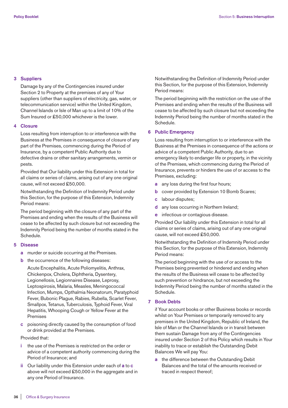## **3 Suppliers**

 Damage by any of the Contingencies insured under Section 2 to Property at the premises of any of Your suppliers (other than suppliers of electricity, gas, water, or telecommunication service) within the United Kingdom, Channel Islands or Isle of Man up to a limit of 10% of the Sum Insured or £50,000 whichever is the lower.

## **4 Closure**

 Loss resulting from interruption to or interference with the Business at the Premises in consequence of closure of any part of the Premises, commencing during the Period of Insurance, by a competent Public Authority due to defective drains or other sanitary arrangements, vermin or pests.

 Provided that Our liability under this Extension in total for all claims or series of claims, arising out of any one original cause, will not exceed £50,000.

 Notwithstanding the Definition of Indemnity Period under this Section, for the purpose of this Extension, Indemnity Period means:

 The period beginning with the closure of any part of the Premises and ending when the results of the Business will cease to be affected by such closure but not exceeding the Indemnity Period being the number of months stated in the Schedule.

#### **5 Disease**

**a** murder or suicide occurring at the Premises.

**b** the occurrence of the following diseases:

 Acute Encephalitis, Acute Poliomyelitis, Anthrax, Chickenpox, Cholera, Diphtheria, Dysentery, Legionellosis, Legionnaires Disease, Leprosy, Leptospirosis, Malaria, Measles, Meningococcal Infection, Mumps, Opthalmia Neonatorum, Paratyphoid Fever, Bubonic Plague, Rabies, Rubella, Scarlet Fever, Smallpox, Tetanus, Tuberculosis, Typhoid Fever, Viral Hepatitis, Whooping Cough or Yellow Fever at the Premises

 **c** poisoning directly caused by the consumption of food or drink provided at the Premises.

## Provided that:

- **i** the use of the Premises is restricted on the order or advice of a competent authority commencing during the Period of Insurance; and
- **ii** Our liability under this Extension under each of **a** to **c** above will not exceed £50,000 in the aggregate and in any one Period of Insurance.

 Notwithstanding the Definition of Indemnity Period under this Section, for the purpose of this Extension, Indemnity Period means:

 The period beginning with the restriction on the use of the Premises and ending when the results of the Business will cease to be affected by such closure but not exceeding the Indemnity Period being the number of months stated in the Schedule.

## **6 Public Emergency**

 Loss resulting from interruption to or interference with the Business at the Premises in consequence of the actions or advice of a competent Public Authority, due to an emergency likely to endanger life or property, in the vicinity of the Premises, which commencing during the Period of Insurance, prevents or hinders the use of or access to the Premises, excluding:

- **a** any loss during the first four hours;
- **b** cover provided by Extension 10 Bomb Scares;
- **c** labour disputes;
- **d** any loss occurring in Northern Ireland;
- **e** infectious or contagious disease.

 Provided Our liability under this Extension in total for all claims or series of claims, arising out of any one original cause, will not exceed £50,000.

 Notwithstanding the Definition of Indemnity Period under this Section, for the purpose of this Extension, Indemnity Period means:

 The period beginning with the use of or access to the Premises being prevented or hindered and ending when the results of the Business will cease to be affected by such prevention or hindrance, but not exceeding the Indemnity Period being the number of months stated in the Schedule.

## **7 Book Debts**

 if Your account books or other Business books or records whilst on Your Premises or temporarily removed to any premises in the United Kingdom, Republic of Ireland, the Isle of Man or the Channel Islands or in transit between them sustain Damage from any of the Contingencies insured under Section 2 of this Policy which results in Your inability to trace or establish the Outstanding Debit Balances We will pay You:

**a** the difference between the Outstanding Debit Balances and the total of the amounts received or traced in respect thereof;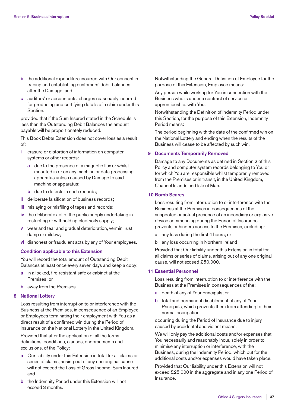- **b** the additional expenditure incurred with Our consent in tracing and establishing customers' debit balances after the Damage; and
- **c** auditors' or accountants' charges reasonably incurred for producing and certifying details of a claim under this **Section**

 provided that if the Sum Insured stated in the Schedule is less than the Outstanding Debit Balances the amount payable will be proportionately reduced.

 This Book Debts Extension does not cover loss as a result of:

- **i** erasure or distortion of information on computer systems or other records:
	- **a** due to the presence of a magnetic flux or whilst mounted in or on any machine or data processing apparatus unless caused by Damage to said machine or apparatus;
	- **b** due to defects in such records;
- **ii** deliberate falsification of business records;
- **iii** mislaying or misfiling of tapes and records;
- **iv** the deliberate act of the public supply undertaking in restricting or withholding electricity supply;
- **v** wear and tear and gradual deterioration, vermin, rust, damp or mildew;
- **vi** dishonest or fraudulent acts by any of Your employees.

## **Condition applicable to this Extension**

 You will record the total amount of Outstanding Debit Balances at least once every seven days and keep a copy;

- **a** in a locked, fire-resistant safe or cabinet at the Premises; or
- **b** away from the Premises.

## **8 National Lottery**

 Loss resulting from interruption to or interference with the Business at the Premises, in consequence of an Employee or Employees terminating their employment with You as a direct result of a confirmed win during the Period of Insurance on the National Lottery in the United Kingdom.

 Provided that after the application of all the terms, definitions, conditions, clauses, endorsements and exclusions, of the Policy:

- **a** Our liability under this Extension in total for all claims or series of claims, arising out of any one original cause will not exceed the Loss of Gross Income, Sum Insured: and
- **b** the Indemnity Period under this Extension will not exceed 3 months.

 Notwithstanding the General Definition of Employee for the purpose of this Extension, Employee means:

 Any person while working for You in connection with the Business who is under a contract of service or apprenticeship, with You.

 Notwithstanding the Definition of Indemnity Period under this Section, for the purpose of this Extension, Indemnity Period means:

 The period beginning with the date of the confirmed win on the National Lottery and ending when the results of the Business will cease to be affected by such win.

## **9 Documents Temporarily Removed**

 Damage to any Documents as defined in Section 2 of this Policy and computer system records belonging to You or for which You are responsible whilst temporarily removed from the Premises or in transit, in the United Kingdom, Channel Islands and Isle of Man.

## **10 Bomb Scares**

 Loss resulting from interruption to or interference with the Business at the Premises in consequences of the suspected or actual presence of an incendiary or explosive device commencing during the Period of Insurance prevents or hinders access to the Premises, excluding:

- a any loss during the first 4 hours; or
- b any loss occurring in Northern Ireland

 Provided that Our liability under this Extension in total for all claims or series of claims, arising out of any one original cause, will not exceed £50,000.

#### **11 Essential Personnel**

 Loss resulting from interruption to or interference with the Business at the Premises in consequences of the:

- **a** death of any of Your principals; or
- **b** total and permanent disablement of any of Your Principals, which prevents them from attending to their normal occupation,

 occurring during the Period of Insurance due to injury caused by accidental and violent means.

 We will only pay the additional costs and/or expenses that You necessarily and reasonably incur, solely in order to minimise any interruption or interference, with the Business, during the Indemnity Period, which but for the additional costs and/or expenses would have taken place.

 Provided that Our liability under this Extension will not exceed £25,000 in the aggregate and in any one Period of Insurance.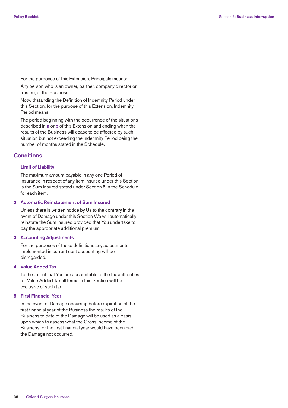For the purposes of this Extension, Principals means:

 Any person who is an owner, partner, company director or trustee, of the Business.

 Notwithstanding the Definition of Indemnity Period under this Section, for the purpose of this Extension, Indemnity Period means:

 The period beginning with the occurrence of the situations described in **a** or **b** of this Extension and ending when the results of the Business will cease to be affected by such situation but not exceeding the Indemnity Period being the number of months stated in the Schedule.

## **Conditions**

## **1 Limit of Liability**

 The maximum amount payable in any one Period of Insurance in respect of any item insured under this Section is the Sum Insured stated under Section 5 in the Schedule for each item.

## **2 Automatic Reinstatement of Sum Insured**

 Unless there is written notice by Us to the contrary in the event of Damage under this Section We will automatically reinstate the Sum Insured provided that You undertake to pay the appropriate additional premium.

## **3 Accounting Adjustments**

 For the purposes of these definitions any adjustments implemented in current cost accounting will be disregarded.

## **4 Value Added Tax**

 To the extent that You are accountable to the tax authorities for Value Added Tax all terms in this Section will be exclusive of such tax.

## **5 First Financial Year**

 In the event of Damage occurring before expiration of the first financial year of the Business the results of the Business to date of the Damage will be used as a basis upon which to assess what the Gross Income of the Business for the first financial year would have been had the Damage not occurred.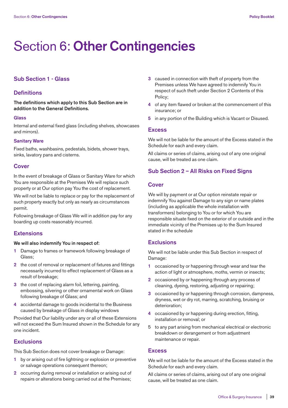## Section 6: **Other Contingencies**

## **Sub Section 1 - Glass**

## **Definitions**

**The definitions which apply to this Sub Section are in addition to the General Definitions.**

## **Glass**

Internal and external fixed glass (including shelves, showcases and mirrors).

## **Sanitary Ware**

Fixed baths, washbasins, pedestals, bidets, shower trays, sinks, lavatory pans and cisterns.

## **Cover**

In the event of breakage of Glass or Sanitary Ware for which You are responsible at the Premises We will replace such property or at Our option pay You the cost of replacement.

We will not be liable to replace or pay for the replacement of such property exactly but only as nearly as circumstances permit.

Following breakage of Glass We will in addition pay for any boarding up costs reasonably incurred.

## **Extensions**

## **We will also indemnify You in respect of:**

- **1** Damage to frames or framework following breakage of Glass;
- **2** the cost of removal or replacement of fixtures and fittings necessarily incurred to effect replacement of Glass as a result of breakage;
- **3** the cost of replacing alarm foil, lettering, painting, embossing, silvering or other ornamental work on Glass following breakage of Glass; and
- **4** accidental damage to goods incidental to the Business caused by breakage of Glass in display windows

Provided that Our liability under any or all of these Extensions will not exceed the Sum Insured shown in the Schedule for any one incident.

## **Exclusions**

This Sub Section does not cover breakage or Damage:

- **1** by or arising out of fire lightning or explosion or preventive or salvage operations consequent thereon;
- **2** occurring during removal or installation or arising out of repairs or alterations being carried out at the Premises;
- **3** caused in connection with theft of property from the Premises unless We have agreed to indemnify You in respect of such theft under Section 2 Contents of this Policy;
- **4** of any item flawed or broken at the commencement of this insurance; or
- **5** in any portion of the Building which is Vacant or Disused.

## **Excess**

We will not be liable for the amount of the Excess stated in the Schedule for each and every claim.

All claims or series of claims, arising out of any one original cause, will be treated as one claim.

## **Sub Section 2 – All Risks on Fixed Signs**

## **Cover**

We will by payment or at Our option reinstate repair or indemnify You against Damage to any sign or name plates (including as applicable the whole installation with transformers) belonging to You or for which You are responsible situate fixed on the exterior of or outside and in the immediate vicinity of the Premises up to the Sum Insured stated in the schedule

## **Exclusions**

We will not be liable under this Sub Section in respect of Damage:

- **1** occasioned by or happening through wear and tear the action of light or atmosphere, moths, vermin or insects;
- **2** occasioned by or happening through any process of cleaning, dyeing, restoring, adjusting or repairing;
- **3** occasioned by or happening through corrosion, dampness, dryness, wet or dry rot, marring, scratching, bruising or deterioration;
- **4** occasioned by or happening during erection, fitting, installation or removal; or
- 5 to any part arising from mechanical electrical or electronic breakdown or derangement or from adjustment maintenance or repair.

## **Excess**

We will not be liable for the amount of the Excess stated in the Schedule for each and every claim.

All claims or series of claims, arising out of any one original cause, will be treated as one claim.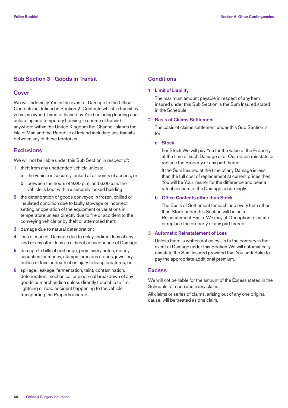## **Sub Section 3 - Goods in Transit**

## **Cover**

We will Indemnify You in the event of Damage to the Office Contents as defined in Section 2: Contents whilst in transit by vehicles owned, hired or leased by You (including loading and unloading and temporary housing in course of transit) anywhere within the United Kingdom the Channel Islands the Isle of Man and the Republic of Ireland including sea transits between any of these territories.

## **Exclusions**

We will not be liable under this Sub Section in respect of:

- **1** theft from any unattended vehicle unless:
	- **a** the vehicle is securely locked at all points of access; or
	- **b** between the hours of 9.00 p.m. and 6.00 a.m. the vehicle is kept within a securely locked building;
- **2** the deterioration of goods conveyed in frozen, chilled or insulated condition due to faulty stowage or incorrect setting or operation of the equipment or variations in temperature unless directly due to fire or accident to the conveying vehicle or by theft or attempted theft;
- **3** damage due to natural deterioration;
- **4** loss of market, Damage due to delay, indirect loss of any kind or any other loss as a direct consequence of Damage;
- **5** damage to bills of exchange, promissory notes, money, securities for money, stamps, precious stones, jewellery, bullion or loss or death of or injury to living creatures; or
- **6** spillage, leakage, fermentation, taint, contamination, deterioration, mechanical or electrical breakdown of any goods or merchandise unless directly traceable to fire, lightning or road accident happening to the vehicle transporting the Property insured.

## **Conditions**

### **1 Limit of Liability**

The maximum amount payable in respect of any Item insured under this Sub Section is the Sum Insured stated in the Schedule.

## **2 Basis of Claims Settlement**

 The basis of claims settlement under this Sub Section is for:

## **a Stock**

 For Stock We will pay You for the value of the Property at the time of such Damage or at Our option reinstate or replace the Property or any part thereof.

 If the Sum Insured at the time of any Damage is less than the full cost of replacement at current prices then You will be Your insurer for the difference and bear a rateable share of the Damage accordingly.

## **b Office Contents other than Stock**

 The Basis of Settlement for each and every Item other than Stock under this Section will be on a Reinstatement Basis. We may at Our option reinstate or replace the property or any part thereof.

## **3 Automatic Reinstatement of Loss**

 Unless there is written notice by Us to the contrary in the event of Damage under this Section We will automatically reinstate the Sum Insured provided that You undertake to pay the appropriate additional premium.

## **Excess**

We will not be liable for the amount of the Excess stated in the Schedule for each and every claim.

All claims or series of claims, arising out of any one original cause, will be treated as one claim.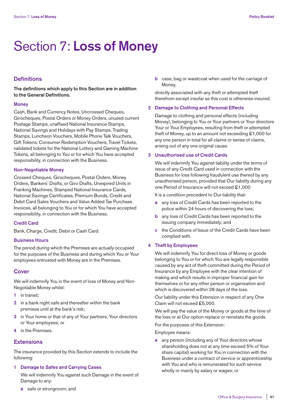## Section 7: **Loss of Money**

## **Definitions**

**The definitions which apply to this Section are in addition to the General Definitions.**

#### **Money**

Cash, Bank and Currency Notes, Uncrossed Cheques, Girocheques, Postal Orders or Money Orders, unused current Postage Stamps, unaffixed National Insurance Stamps, National Savings and Holidays with Pay Stamps, Trading Stamps, Luncheon Vouchers, Mobile Phone Talk Vouchers, Gift Tokens, Consumer Redemption Vouchers, Travel Tickets, validated tickets for the National Lottery and Gaming Machine Tokens, all belonging to You or for which You have accepted responsibility, in connection with the Business.

## **Non-Negotiable Money**

Crossed Cheques, Girocheques, Postal Orders, Money Orders, Bankers' Drafts, or Giro Drafts, Unexpired Units in Franking Machines, Stamped National Insurance Cards, National Savings Certificates, Premium Bonds, Credit and Debit Card Sales Vouchers and Value Added Tax Purchase Invoices, all belonging to You or for which You have accepted responsibility, in connection with the Business.

## **Credit Card**

Bank, Charge, Credit, Debit or Cash Card.

#### **Business Hours**

The period during which the Premises are actually occupied for the purposes of the Business and during which You or Your employees entrusted with Money are in the Premises.

## **Cover**

We will indemnify You in the event of loss of Money and Non-Negotiable Money whilst:

- **1** in transit;
- **2** in a bank night safe and thereafter within the bank premises until at the bank's risk;
- **3** in Your home or that of any of Your partners, Your directors or Your employees; or
- **4** in the Premises.

## **Extensions**

The insurance provided by this Section extends to include the following:

## **1 Damage to Safes and Carrying Cases**

 We will indemnify You against such Damage in the event of Damage to any:

**a** safe or strongroom; and

**b** case, bag or waistcoat when used for the carriage of Money,

 directly associated with any theft or attempted theft therefrom except insofar as this cost is otherwise insured.

## **2 Damage to Clothing and Personal Effects**

 Damage to clothing and personal effects (including Money), belonging to You or Your partners or Your directors Your or Your Employees, resulting from theft or attempted theft of Money, up to an amount not exceeding £1,000 for any one person in total for all claims or series of claims, arising out of any one original cause.

#### **3 Unauthorised use of Credit Cards**

 We will indemnify You against liability under the terms of issue of any Credit Card used in connection with the Business for loss following fraudulent use thereof by any unauthorised person, provided that Our liability during any one Period of Insurance will not exceed £1,000

It is a condition precedent to Our liability that:

- **a** any loss of Credit Cards has been reported to the police within 24 hours of discovering the loss;
- **b** any loss of Credit Cards has been reported to the issuing company immediately; and
- **c** the Conditions of Issue of the Credit Cards have been complied with.

#### **4 Theft by Employees**

 We will indemnify You for direct loss of Money or goods belonging to You or for which You are legally responsible caused by any act of theft committed during the Period of Insurance by any Employee with the clear intention of making and which results in improper financial gain for themselves or for any other person or organisation and which is discovered within 28 days of the loss.

 Our liability under this Extension in respect of any One Claim will not exceed £5,000.

 We will pay the value of the Money or goods at the time of the loss or at Our option replace or reinstate the goods.

For the purposes of this Extension:

Employee means:

**a** any person (including any of Your directors whose shareholding does not at any time exceed 5% of Your share capital) working for You in connection with the Business under a contract of service or apprenticeship with You and who is remunerated for such service wholly or mainly by salary or wages; or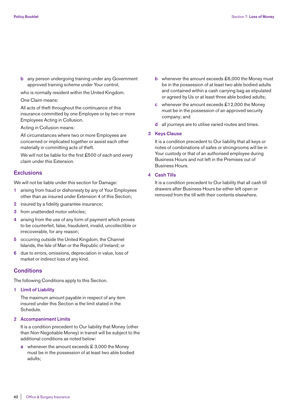**b** any person undergoing training under any Government approved training scheme under Your control,

who is normally resident within the United Kingdom.

## One Claim means:

 All acts of theft throughout the continuance of this insurance committed by one Employee or by two or more Employees Acting in Collusion.

Acting in Collusion means:

 All circumstances where two or more Employees are concerned or implicated together or assist each other materially in committing acts of theft.

We will not be liable for the first £500 of each and every claim under this Extension.

## **Exclusions**

We will not be liable under this section for Damage:

- **1** arising from fraud or dishonesty by any of Your Employees other than as insured under Extension 4 of this Section;
- **2** insured by a fidelity guarantee insurance;
- **3** from unattended motor vehicles;
- **4** arising from the use of any form of payment which proves to be counterfeit, false, fraudulent, invalid, uncollectible or irrecoverable, for any reason;
- **5** occurring outside the United Kingdom, the Channel Islands, the Isle of Man or the Republic of Ireland; or
- **6** due to errors, omissions, depreciation in value, loss of market or indirect loss of any kind.

## **Conditions**

The following Conditions apply to this Section.

**1 Limit of Liability**

 The maximum amount payable in respect of any item insured under this Section is the limit stated in the Schedule.

**2 Accompaniment Limits**

 It is a condition precedent to Our liability that Money (other than Non-Negotiable Money) in transit will be subject to the additional conditions as noted below:

**a** whenever the amount exceeds £3,000 the Money must be in the possession of at least two able bodied adults;

- **b** whenever the amount exceeds £6,000 the Money must be in the possession of at least two able bodied adults and contained within a cash carrying bag as stipulated or agreed by Us or at least three able bodied adults;
- **c** whenever the amount exceeds £12,000 the Money must be in the possession of an approved security company; and
- **d** all journeys are to utilise varied routes and times.

#### **3 Keys Clause**

 It is a condition precedent to Our liability that all keys or notes of combinations of safes or strongrooms will be in Your custody or that of an authorised employee during Business Hours and not left in the Premises out of Business Hours.

### **4 Cash Tills**

 It is a condition precedent to Our liability that all cash till drawers after Business Hours be either left open or removed from the till with their contents elsewhere.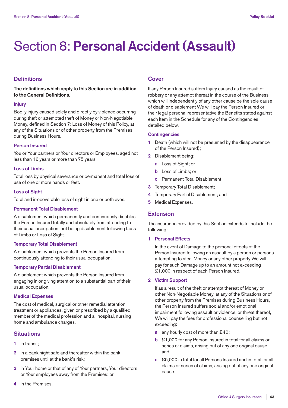# Section 8: **Personal Accident (Assault)**

## **Definitions**

**The definitions which apply to this Section are in addition to the General Definitions.**

#### **Injury**

Bodily injury caused solely and directly by violence occurring during theft or attempted theft of Money or Non-Negotiable Money, defined in Section 7: Loss of Money of this Policy, at any of the Situations or of other property from the Premises during Business Hours.

## **Person Insured**

You or Your partners or Your directors or Employees, aged not less than 16 years or more than 75 years.

## **Loss of Limbs**

Total loss by physical severance or permanent and total loss of use of one or more hands or feet.

## **Loss of Sight**

Total and irrecoverable loss of sight in one or both eyes.

## **Permanent Total Disablement**

A disablement which permanently and continuously disables the Person Insured totally and absolutely from attending to their usual occupation, not being disablement following Loss of Limbs or Loss of Sight.

## **Temporary Total Disablement**

A disablement which prevents the Person Insured from continuously attending to their usual occupation.

## **Temporary Partial Disablement**

A disablement which prevents the Person Insured from engaging in or giving attention to a substantial part of their usual occupation.

#### **Medical Expenses**

The cost of medical, surgical or other remedial attention, treatment or appliances, given or prescribed by a qualified member of the medical profession and all hospital, nursing home and ambulance charges.

## **Situations**

- **1** in transit;
- **2** in a bank night safe and thereafter within the bank premises until at the bank's risk;
- **3** in Your home or that of any of Your partners, Your directors or Your employees away from the Premises; or
- **4** in the Premises.

## **Cover**

If any Person Insured suffers Injury caused as the result of robbery or any attempt thereat in the course of the Business which will independently of any other cause be the sole cause of death or disablement We will pay the Person Insured or their legal personal representative the Benefits stated against each Item in the Schedule for any of the Contingencies detailed below.

## **Contingencies**

- **1** Death (which will not be presumed by the disappearance of the Person Insured);
- **2** Disablement being:
	- **a** Loss of Sight; or
	- **b** Loss of Limbs; or
	- **c** Permanent Total Disablement;
- **3** Temporary Total Disablement;
- **4** Temporary Partial Disablement; and
- **5** Medical Expenses.

### **Extension**

The insurance provided by this Section extends to include the following:

#### **1 Personal Effects**

 In the event of Damage to the personal effects of the Person Insured following an assault by a person or persons attempting to steal Money or any other property We will pay for such Damage up to an amount not exceeding £1,000 in respect of each Person Insured.

## **2 Victim Support**

 If as a result of the theft or attempt thereat of Money or other Non-Negotiable Money, at any of the Situations or of other property from the Premises during Business Hours, the Person Insured suffers social and/or emotional impairment following assault or violence, or threat thereof, We will pay the fees for professional counselling but not exceeding:

- **a** any hourly cost of more than £40;
- **b** £1,000 for any Person Insured in total for all claims or series of claims, arising out of any one original cause; and
- **c** £5,000 in total for all Persons Insured and in total for all claims or series of claims, arising out of any one original cause.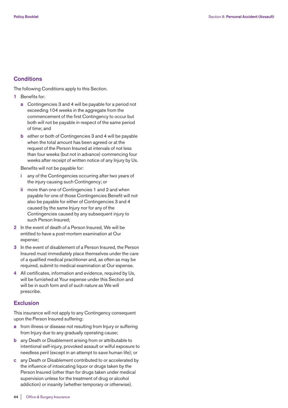## **Conditions**

The following Conditions apply to this Section.

- **1** Benefits for:
	- **a** Contingencies 3 and 4 will be payable for a period not exceeding 104 weeks in the aggregate from the commencement of the first Contingency to occur but both will not be payable in respect of the same period of time; and
	- **b** either or both of Contingencies 3 and 4 will be payable when the total amount has been agreed or at the request of the Person Insured at intervals of not less than four weeks (but not in advance) commencing four weeks after receipt of written notice of any Injury by Us.

Benefits will not be payable for:

- **i** any of the Contingencies occurring after two years of the injury causing such Contingency; or
- **ii** more than one of Contingencies 1 and 2 and when payable for one of those Contingencies Benefit will not also be payable for either of Contingencies 3 and 4 caused by the same Injury nor for any of the Contingencies caused by any subsequent injury to such Person Insured;
- **2** In the event of death of a Person Insured, We will be entitled to have a post-mortem examination at Our expense;
- **3** In the event of disablement of a Person Insured, the Person Insured must immediately place themselves under the care of a qualified medical practitioner and, as often as may be required, submit to medical examination at Our expense.
- **4** All certificates, information and evidence, required by Us, will be furnished at Your expense under this Section and will be in such form and of such nature as We will prescribe.

## **Exclusion**

This insurance will not apply to any Contingency consequent upon the Person Insured suffering:

- **a** from illness or disease not resulting from Injury or suffering from Injury due to any gradually operating cause;
- **b** any Death or Disablement arising from or attributable to intentional self-injury, provoked assault or wilful exposure to needless peril (except in an attempt to save human life); or
- **c** any Death or Disablement contributed to or accelerated by the influence of intoxicating liquor or drugs taken by the Person Insured (other than for drugs taken under medical supervision unless for the treatment of drug or alcohol addiction) or insanity (whether temporary or otherwise).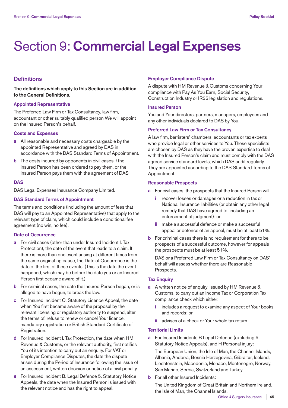# Section 9: **Commercial Legal Expenses**

## **Definitions**

**The definitions which apply to this Section are in addition to the General Definitions.**

#### **Appointed Representative**

The Preferred Law Firm or Tax Consultancy, law firm, accountant or other suitably qualified person We will appoint on the Insured Person's behalf.

## **Costs and Expenses**

- **a** All reasonable and necessary costs chargeable by the appointed Representative and agreed by DAS in accordance with the DAS Standard Terms of Appointment.
- **b** The costs incurred by opponents in civil cases if the Insured Person has been ordered to pay them, or the Insured Person pays them with the agreement of DAS

## **DAS**

DAS Legal Expenses Insurance Company Limited.

## **DAS Standard Terms of Appointment**

The terms and conditions (including the amount of fees that DAS will pay to an Appointed Representative) that apply to the relevant type of claim, which could include a conditional fee agreement (no win, no fee).

#### **Date of Occurrence**

- **a** For civil cases (other than under Insured Incident I. Tax Protection), the date of the event that leads to a claim. If there is more than one event arising at different times from the same originating cause, the Date of Occurrence is the date of the first of these events. (This is the date the event happened, which may be before the date you or an Insured Person first became aware of it.)
- **b** For criminal cases, the date the Insured Person began, or is alleged to have begun, to break the law.
- **c** For Insured Incident C. Statutory Licence Appeal, the date when You first became aware of the proposal by the relevant licensing or regulatory authority to suspend, alter the terms of, refuse to renew or cancel Your licence, mandatory registration or British Standard Certificate of Registration.
- **d** For Insured Incident I. Tax Protection, the date when HM Revenue & Customs, or the relevant authority, first notifies You of its intention to carry out an enquiry. For VAT or Employer Compliance Disputes, the date the dispute arises during the Period of Insurance following the issue of an assessment, written decision or notice of a civil penalty.
- **e** For Insured Incident B. Legal Defence 5. Statutory Notice Appeals, the date when the Insured Person is issued with the relevant notice and has the right to appeal.

## **Employer Compliance Dispute**

A dispute with HM Revenue & Customs concerning Your compliance with Pay As You Earn, Social Security, Construction Industry or IR35 legislation and regulations.

## **Insured Person**

You and Your directors, partners, managers, employees and any other individuals declared to DAS by You.

## **Preferred Law Firm or Tax Consultancy**

A law firm, barristers' chambers, accountants or tax experts who provide legal or other services to You. These specialists are chosen by DAS as they have the proven expertise to deal with the Insured Person's claim and must comply with the DAS agreed service standard levels, which DAS audit regularly. They are appointed according to the DAS Standard Terms of Appointment.

## **Reasonable Prospects**

- **a** For civil cases, the prospects that the Insured Person will:
	- **i** recover losses or damages or a reduction in tax or National Insurance liabilities (or obtain any other legal remedy that DAS have agreed to, including an enforcement of judgment); or
	- **ii** make a successful defence or make a successful appeal or defence of an appeal, must be at least 51%.
- **b** For criminal cases there is no requirement for there to be prospects of a successful outcome, however for appeals the prospects must be at least 51%.

 DAS or a Preferred Law Firm or Tax Consultancy on DAS' behalf will assess whether there are Reasonable Prospects.

## **Tax Enquiry**

- **a** A written notice of enquiry, issued by HM Revenue & Customs, to carry out an Income Tax or Corporation Tax compliance check which either:
	- **i** includes a request to examine any aspect of Your books and records; or
	- **ii** advises of a check or Your whole tax return.

## **Territorial Limits**

**a** For Insured Incidents B Legal Defence (excluding 5 Statutory Notice Appeals), and H Personal injury:

 The European Union, the Isle of Man, the Channel Islands, Albania, Andorra, Bosnia Herzegovina, Gibraltar, Iceland, Liechtenstein, Macedonia, Monaco, Montenegro, Norway, San Marino, Serbia, Switzerland and Turkey.

**b** For all other Insured Incidents:

 The United Kingdom of Great Britain and Northern Ireland, the Isle of Man, the Channel Islands.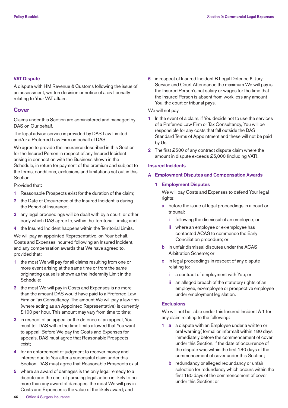## **VAT Dispute**

A dispute with HM Revenue & Customs following the issue of an assessment, written decision or notice of a civil penalty relating to Your VAT affairs.

## **Cover**

Claims under this Section are administered and managed by DAS on Our behalf.

The legal advice service is provided by DAS Law Limited and/or a Preferred Law Firm on behalf of DAS.

We agree to provide the insurance described in this Section for the Insured Person in respect of any Insured Incident arising in connection with the Business shown in the Schedule, in return for payment of the premium and subject to the terms, conditions, exclusions and limitations set out in this Section.

## Provided that:

- **1** Reasonable Prospects exist for the duration of the claim;
- **2** the Date of Occurrence of the Insured Incident is during the Period of Insurance;
- **3** any legal proceedings will be dealt with by a court, or other body which DAS agree to, within the Territorial Limits; and
- **4** the Insured Incident happens within the Territorial Limits.

We will pay an appointed Representative, on Your behalf, Costs and Expenses incurred following an Insured Incident, and any compensation awards that We have agreed to, provided that:

- **1** the most We will pay for all claims resulting from one or more event arising at the same time or from the same originating cause is shown as the Indemnity Limit in the Schedule;
- **2** the most We will pay in Costs and Expenses is no more than the amount DAS would have paid to a Preferred Law Firm or Tax Consultancy. The amount We will pay a law firm (where acting as an Appointed Representative) is currently £100 per hour. This amount may vary from time to time;
- **3** in respect of an appeal or the defence of an appeal, You must tell DAS within the time limits allowed that You want to appeal. Before We pay the Costs and Expenses for appeals, DAS must agree that Reasonable Prospects exist;
- **4** for an enforcement of judgment to recover money and interest due to You after a successful claim under this Section, DAS must agree that Reasonable Prospects exist;
- **5** where an award of damages is the only legal remedy to a dispute and the cost of pursuing legal action is likely to be more than any award of damages, the most We will pay in Costs and Expenses is the value of the likely award; and

**6** in respect of Insured Incident B Legal Defence 6. Jury Service and Court Attendance the maximum We will pay is the Insured Person's net salary or wages for the time that the Insured Person is absent from work less any amount You, the court or tribunal pays.

## We will not pay

- **1** In the event of a claim, if You decide not to use the services of a Preferred Law Firm or Tax Consultancy, You will be responsible for any costs that fall outside the DAS Standard Terms of Appointment and these will not be paid by Us.
- **2** The first £500 of any contract dispute claim where the amount in dispute exceeds £5,000 (including VAT).

## **Insured Incidents**

**A Employment Disputes and Compensation Awards**

## **1 Employment Disputes**

 We will pay Costs and Expenses to defend Your legal rights:

- **a** before the issue of legal proceedings in a court or tribunal:
	- **i** following the dismissal of an employee; or
	- **ii** where an employee or ex-employee has contacted ACAS to commence the Early Conciliation procedure; or
- **b** in unfair dismissal disputes under the ACAS Arbitration Scheme; or
- **c** in legal proceedings in respect of any dispute relating to:
	- **i** a contract of employment with You; or
	- **ii** an alleged breach of the statutory rights of an employee, ex-employee or prospective employee under employment legislation.

## **Exclusions**

 We will not be liable under this Insured Incident A 1 for any claim relating to the following:

- **1 a** a dispute with an Employee under a written or oral warning( formal or informal) within 180 days immediately before the commencement of cover under this Section, if the date of occurrence of the dispute was within the first 180 days of the commencement of cover under this Section;
	- **b** redundancy or alleged redundancy or unfair selection for redundancy which occurs within the first 180 days of the commencement of cover under this Section; or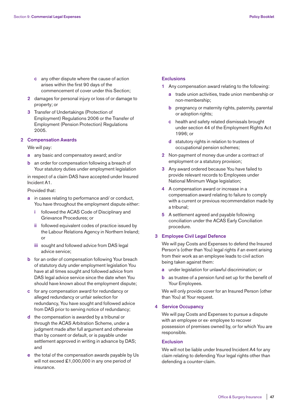- **c** any other dispute where the cause of action arises within the first 90 days of the commencement of cover under this Section;
- **2** damages for personal injury or loss of or damage to property; or
- **3** Transfer of Undertakings (Protection of Employment) Regulations 2006 or the Transfer of Employment (Pension Protection) Regulations 2005.

#### **2 Compensation Awards**

### We will pay:

- **a** any basic and compensatory award; and/or
- **b** an order for compensation following a breach of Your statutory duties under employment legislation

 in respect of a claim DAS have accepted under Insured Incident A1.

## Provided that:

- **a** in cases relating to performance and/ or conduct, You have throughout the employment dispute either:
	- **i** followed the ACAS Code of Disciplinary and Grievance Procedures; or
	- **ii** followed equivalent codes of practice issued by the Labour Relations Agency in Northern Ireland; or
	- **iii** sought and followed advice from DAS legal advice service;
- **b** for an order of compensation following Your breach of statutory duty under employment legislation You have at all times sought and followed advice from DAS legal advice service since the date when You should have known about the employment dispute;
- **c** for any compensation award for redundancy or alleged redundancy or unfair selection for redundancy, You have sought and followed advice from DAS prior to serving notice of redundancy;
- **d** the compensation is awarded by a tribunal or through the ACAS Arbitration Scheme, under a judgment made after full argument and otherwise than by consent or default, or is payable under settlement approved in writing in advance by DAS; and
- **e** the total of the compensation awards payable by Us will not exceed £1,000,000 in any one period of insurance.

### **Exclusions**

- **1** Any compensation award relating to the following:
	- **a** trade union activities, trade union membership or non-membership;
	- **b** pregnancy or maternity rights, paternity, parental or adoption rights;
	- **c** health and safety related dismissals brought under section 44 of the Employment Rights Act 1996; or
	- **d** statutory rights in relation to trustees of occupational pension schemes;
- **2** Non-payment of money due under a contract of employment or a statutory provision;
- **3** Any award ordered because You have failed to provide relevant records to Employees under National Minimum Wage legislation;
- **4** A compensation award or increase in a compensation award relating to failure to comply with a current or previous recommendation made by a tribunal;
- **5** A settlement agreed and payable following conciliation under the ACAS Early Conciliation procedure.

## **3 Employee Civil Legal Defence**

 We will pay Costs and Expenses to defend the Insured Person's (other than You) legal rights if an event arising from their work as an employee leads to civil action being taken against them:

- **a** under legislation for unlawful discrimination; or
- **b** as trustee of a pension fund set up for the benefit of Your Employees.

 We will only provide cover for an Insured Person (other than You) at Your request.

#### **4 Service Occupancy**

 We will pay Costs and Expenses to pursue a dispute with an employee or ex- employee to recover possession of premises owned by, or for which You are responsible.

## **Exclusion**

 We will not be liable under Insured Incident A4 for any claim relating to defending Your legal rights other than defending a counter-claim.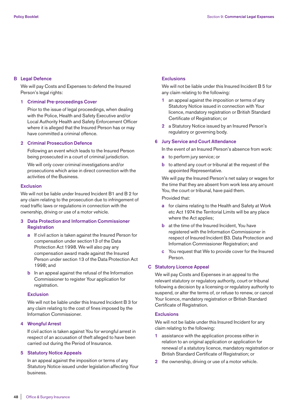## **B Legal Defence**

 We will pay Costs and Expenses to defend the Insured Person's legal rights:

## **1 Criminal Pre-proceedings Cover**

 Prior to the issue of legal proceedings, when dealing with the Police, Health and Safety Executive and/or Local Authority Health and Safety Enforcement Officer where it is alleged that the Insured Person has or may have committed a criminal offence.

## **2 Criminal Prosecution Defence**

 Following an event which leads to the Insured Person being prosecuted in a court of criminal jurisdiction.

 We will only cover criminal investigations and/or prosecutions which arise in direct connection with the activities of the Business.

## **Exclusion**

 We will not be liable under Insured Incident B1 and B 2 for any claim relating to the prosecution due to infringement of road traffic laws or regulations in connection with the ownership, driving or use of a motor vehicle.

## **3 Data Protection and Information Commissioner Registration**

- **a** If civil action is taken against the Insured Person for compensation under section13 of the Data Protection Act 1998. We will also pay any compensation award made against the Insured Person under section 13 of the Data Protection Act 1998; and
- **b** In an appeal against the refusal of the Information Commissioner to register Your application for registration.

## **Exclusion**

 We will not be liable under this Insured Incident B 3 for any claim relating to the cost of fines imposed by the Information Commissioner.

## **4 Wrongful Arrest**

 If civil action is taken against You for wrongful arrest in respect of an accusation of theft alleged to have been carried out during the Period of Insurance.

## **5 Statutory Notice Appeals**

 In an appeal against the imposition or terms of any Statutory Notice issued under legislation affecting Your business.

## **Exclusions**

 We will not be liable under this Insured Incident B 5 for any claim relating to the following:

- **1** an appeal against the imposition or terms of any Statutory Notice issued in connection with Your licence, mandatory registration or British Standard Certificate of Registration; or
- **2** a Statutory Notice issued by an Insured Person's regulatory or governing body.

## **6 Jury Service and Court Attendance**

In the event of an Insured Person's absence from work:

- **a** to perform jury service; or
- **b** to attend any court or tribunal at the request of the appointed Representative.

 We will pay the Insured Person's net salary or wages for the time that they are absent from work less any amount You, the court or tribunal, have paid them.

Provided that:

- **a** for claims relating to the Health and Safety at Work etc Act 1974 the Territorial Limits will be any place where the Act applies;
- **b** at the time of the Insured Incident, You have registered with the Information Commissioner in respect of Insured Incident B3. Data Protection and Information Commissioner Registration; and
- **c** You request that We to provide cover for the Insured Person.

## **C Statutory Licence Appeal**

 We will pay Costs and Expenses in an appeal to the relevant statutory or regulatory authority, court or tribunal following a decision by a licensing or regulatory authority to suspend, or alter the terms of, or refuse to renew, or cancel Your licence, mandatory registration or British Standard Certificate of Registration.

## **Exclusions**

 We will not be liable under this Insured Incident for any claim relating to the following:

- **1** assistance with the application process either in relation to an original application or application for renewal of a statutory licence, mandatory registration or British Standard Certificate of Registration; or
- **2** the ownership, driving or use of a motor vehicle.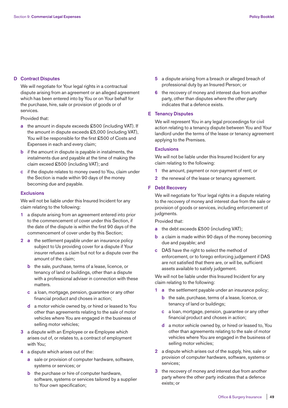## **D Contract Disputes**

 We will negotiate for Your legal rights in a contractual dispute arising from an agreement or an alleged agreement which has been entered into by You or on Your behalf for the purchase, hire, sale or provision of goods or of services.

Provided that:

- **a** the amount in dispute exceeds £500 (including VAT). If the amount in dispute exceeds £5,000 (including VAT), You will be responsible for the first £500 of Costs and Expenses in each and every claim;
- **b** if the amount in dispute is payable in instalments, the instalments due and payable at the time of making the claim exceed £500 (including VAT); and
- **c** if the dispute relates to money owed to You, claim under the Section is made within 90 days of the money becoming due and payable.

## **Exclusions**

 We will not be liable under this Insured Incident for any claim relating to the following:

- **1** a dispute arising from an agreement entered into prior to the commencement of cover under this Section, if the date of the dispute is within the first 90 days of the commencement of cover under by this Section;
- **2 a** the settlement payable under an insurance policy subject to Us providing cover for a dispute if Your insurer refuses a claim but not for a dispute over the amount of the claim;
	- **b** the sale, purchase, terms of a lease, licence, or tenancy of land or buildings, other than a dispute with a professional adviser in connection with these matters.
	- **c** a loan, mortgage, pension, guarantee or any other financial product and choses in action;
	- **d** a motor vehicle owned by, or hired or leased to You other than agreements relating to the sale of motor vehicles where You are engaged in the business of selling motor vehicles;
- **3** a dispute with an Employee or ex-Employee which arises out of, or relates to, a contract of employment with You;
- **4** a dispute which arises out of the:
	- **a** sale or provision of computer hardware, software, systems or services; or
	- **b** the purchase or hire of computer hardware, software, systems or services tailored by a supplier to Your own specification;
- **5** a dispute arising from a breach or alleged breach of professional duty by an Insured Person; or
- **6** the recovery of money and interest due from another party, other than disputes where the other party indicates that a defence exists.

## **E Tenancy Disputes**

 We will represent You in any legal proceedings for civil action relating to a tenancy dispute between You and Your landlord under the terms of the lease or tenancy agreement applying to the Premises.

#### **Exclusions**

We will not be liable under this Insured Incident for any claim relating to the following:

- **1** the amount, payment or non-payment of rent; or
- **2** the renewal of the lease or tenancy agreement.

## **F Debt Recovery**

 We will negotiate for Your legal rights in a dispute relating to the recovery of money and interest due from the sale or provision of goods or services, including enforcement of judgments.

Provided that:

- **a** the debt exceeds £500 (including VAT);
- **b** a claim is made within 90 days of the money becoming due and payable; and
- **c** DAS have the right to select the method of enforcement, or to forego enforcing judgement if DAS are not satisfied that there are, or will be, sufficient assets available to satisfy judgement.

 We will not be liable under this Insured Incident for any claim relating to the following:

- **1 a** the settlement payable under an insurance policy;
	- **b** the sale, purchase, terms of a lease, licence, or tenancy of land or buildings;
	- **c** a loan, mortgage, pension, guarantee or any other financial product and choses in action;
	- **d** a motor vehicle owned by, or hired or leased to, You other than agreements relating to the sale of motor vehicles where You are engaged in the business of selling motor vehicles;
- **2** a dispute which arises out of the supply, hire, sale or provision of computer hardware, software, systems or services;
- **3** the recovery of money and interest due from another party where the other party indicates that a defence exists; or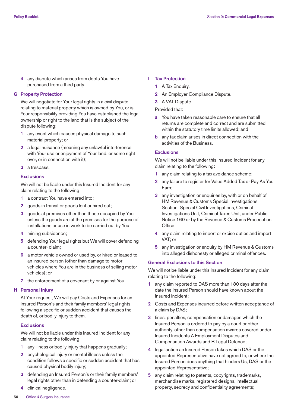**4** any dispute which arises from debts You have purchased from a third party.

## **G Property Protection**

 We will negotiate for Your legal rights in a civil dispute relating to material property which is owned by You, or is Your responsibility providing You have established the legal ownership or right to the land that is the subject of the dispute following:

- **1** any event which causes physical damage to such material property; or
- **2** a legal nuisance (meaning any unlawful interference with Your use or enjoyment of Your land, or some right over, or in connection with it);
- **3** a trespass.

## **Exclusions**

 We will not be liable under this Insured Incident for any claim relating to the following:

- **1** a contract You have entered into;
- **2** goods in transit or goods lent or hired out;
- **3** goods at premises other than those occupied by You unless the goods are at the premises for the purpose of installations or use in work to be carried out by You;
- **4** mining subsidence;
- **5** defending Your legal rights but We will cover defending a counter- claim;
- **6** a motor vehicle owned or used by, or hired or leased to an insured person (other than damage to motor vehicles where You are in the business of selling motor vehicles); or
- **7** the enforcement of a covenant by or against You.

## **H Personal Injury**

 At Your request, We will pay Costs and Expenses for an Insured Person's and their family members' legal rights following a specific or sudden accident that causes the death of, or bodily injury to them.

### **Exclusions**

 We will not be liable under this Insured Incident for any claim relating to the following:

- **1** any illness or bodily injury that happens gradually;
- **2** psychological injury or mental illness unless the condition follows a specific or sudden accident that has caused physical bodily injury;
- **3** defending an Insured Person's or their family members' legal rights other than in defending a counter-claim; or
- **4** clinical negligence.

## **I Tax Protection**

- **1** A Tax Enquiry.
- **2** An Employer Compliance Dispute.
- **3** A VAT Dispute.

Provided that:

- **a** You have taken reasonable care to ensure that all returns are complete and correct and are submitted within the statutory time limits allowed; and
- **b** any tax claim arises in direct connection with the activities of the Business.

## **Exclusions**

 We will not be liable under this Insured Incident for any claim relating to the following:

- **1** any claim relating to a tax avoidance scheme;
- **2** any failure to register for Value Added Tax or Pay As You Earn;
- **3** any investigation or enquiries by, with or on behalf of HM Revenue & Customs Special Investigations Section, Special Civil Investigations, Criminal Investigations Unit, Criminal Taxes Unit, under Public Notice 160 or by the Revenue & Customs Prosecution Office;
- **4** any claim relating to import or excise duties and import VAT; or
- **5** any investigation or enquiry by HM Revenue & Customs into alleged dishonesty or alleged criminal offences.

## **General Exclusions to this Section**

We will not be liable under this Insured Incident for any claim relating to the following:

- **1** any claim reported to DAS more than 180 days after the date the Insured Person should have known about the Insured Incident;
- **2** Costs and Expenses incurred before written acceptance of a claim by DAS;
- **3** fines, penalties, compensation or damages which the Insured Person is ordered to pay by a court or other authority, other than compensation awards covered under Insured Incidents A Employment Disputes and Compensation Awards and B Legal Defence;
- **4** legal action an Insured Person takes which DAS or the appointed Representative have not agreed to, or where the Insured Person does anything that hinders Us, DAS or the appointed Representative;
- **5** any claim relating to patents, copyrights, trademarks, merchandise marks, registered designs, intellectual property, secrecy and confidentiality agreements;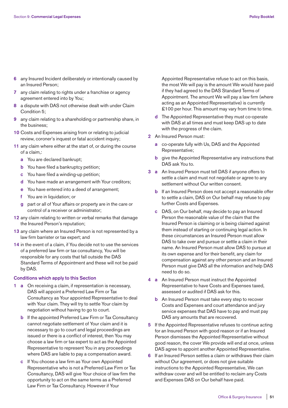- **6** any Insured Incident deliberately or intentionally caused by an Insured Person;
- **7** any claim relating to rights under a franchise or agency agreement entered into by You;
- **8** a dispute with DAS not otherwise dealt with under Claim Condition 5;
- **9** any claim relating to a shareholding or partnership share, in the business;
- **10** Costs and Expenses arising from or relating to judicial review, coroner's inquest or fatal accident inquiry;
- **11** any claim where either at the start of, or during the course of a claim,:
	- **a** You are declared bankrupt;
	- **b** You have filed a bankruptcy petition;
	- **c** You have filed a winding-up petition;
	- **d** You have made an arrangement with Your creditors;
	- **e** You have entered into a deed of arrangement;
	- **f** You are in liquidation; or
	- **g** part or all of Your affairs or property are in the care or control of a receiver or administrator;
- **12** any claim relating to written or verbal remarks that damage the Insured Person's reputation;
- **13** any claim where an Insured Person is not represented by a law firm barrister or tax expert; and
- **14** in the event of a claim, if You decide not to use the services of a preferred law firm or tax consultancy, You will be responsible for any costs that fall outside the DAS Standard Terms of Appointment and these will not be paid by DAS.

## **Conditions which apply to this Section**

- **1 a** On receiving a claim, if representation is necessary, DAS will appoint a Preferred Law Firm or Tax Consultancy as Your appointed Representative to deal with Your claim. They will try to settle Your claim by negotiation without having to go to court.
	- **b** If the appointed Preferred Law Firm or Tax Consultancy cannot negotiate settlement of Your claim and it is necessary to go to court and legal proceedings are issued or there is a conflict of interest, then You may choose a law firm or tax expert to act as the Appointed Representative to represent You in any proceedings where DAS are liable to pay a compensation award.
	- **c** If You choose a law firm as Your own Appointed Representative who is not a Preferred Law Firm or Tax Consultancy, DAS will give Your choice of law firm the opportunity to act on the same terms as a Preferred Law Firm or Tax Consultancy. However if Your

Appointed Representative refuse to act on this basis, the most We will pay is the amount We would have paid if they had agreed to the DAS Standard Terms of Appointment. The amount We will pay a law firm (where acting as an Appointed Representative) is currently £100 per hour. This amount may vary from time to time.

- **d** The Appointed Representative they must co-operate with DAS at all times and must keep DAS up to date with the progress of the claim.
- **2** An Insured Person must:
	- **a** co-operate fully with Us, DAS and the Appointed Representative;
	- **b** give the Appointed Representative any instructions that DAS ask You to.
- **3 a** An Insured Person must tell DAS if anyone offers to settle a claim and must not negotiate or agree to any settlement without Our written consent.
	- **b** If an Insured Person does not accept a reasonable offer to settle a claim, DAS on Our behalf may refuse to pay further Costs and Expenses.
	- **c** DAS, on Our behalf, may decide to pay an Insured Person the reasonable value of the claim that the Insured Person is claiming or is being claimed against them instead of starting or continuing legal action. In these circumstances an Insured Person must allow DAS to take over and pursue or settle a claim in their name. An Insured Person must allow DAS to pursue at its own expense and for their benefit, any claim for compensation against any other person and an Insured Person must give DAS all the information and help DAS need to do so.
- **4 a** An Insured Person must instruct the Appointed Representative to have Costs and Expenses taxed, assessed or audited if DAS ask for this.
	- **b** An Insured Person must take every step to recover Costs and Expenses and court attendance and jury service expenses that DAS have to pay and must pay DAS any amounts that are recovered.
- **5** If the Appointed Representative refuses to continue acting for an Insured Person with good reason or if an Insured Person dismisses the Appointed Representative without good reason, the cover We provide will end at once, unless DAS agree to appoint another Appointed Representative.
- **6** If an Insured Person settles a claim or withdraws their claim without Our agreement, or does not give suitable instructions to the Appointed Representative, We can withdraw cover and will be entitled to reclaim any Costs and Expenses DAS on Our behalf have paid.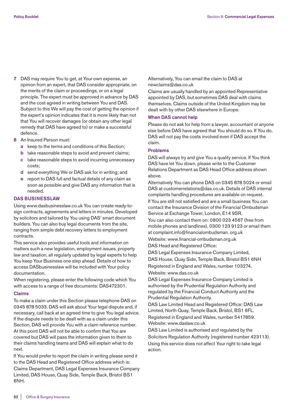- **7** DAS may require You to get, at Your own expense, an opinion from an expert, that DAS consider appropriate, on the merits of the claim or proceedings, or on a legal principle. The expert must be approved in advance by DAS and the cost agreed in writing between You and DAS. Subject to this We will pay the cost of getting the opinion if the expert's opinion indicates that it is more likely than not that You will recover damages (or obtain any other legal remedy that DAS have agreed to) or make a successful defence.
- **8** An Insured Person must:
	- **a** keep to the terms and conditions of this Section;
	- **b** take reasonable steps to avoid and prevent claims;
	- **c** take reasonable steps to avoid incurring unnecessary costs;
	- **d** send everything We or DAS ask for in writing; and
	- **e** report to DAS full and factual details of any claim as soon as possible and give DAS any information that is needed.

## **DAS BUSINESSLAW**

Using www.dasbusinesslaw.co.uk You can create ready-tosign contracts, agreements and letters in minutes. Developed by solicitors and tailored by You using DAS' smart document builders. You can also buy legal documents from the site, ranging from simple debt recovery letters to employment contracts.

This service also provides useful tools and information on matters such a new legislation, employment issues, property law and taxation, all regularly updated by legal experts to help You keep Your Business one step ahead. Details of how to access DASbusinesslaw will be included with Your policy documentation.

When registering, please enter the following code which You with access to a range of free documents: DAS472301.

## **Claims**

To make a claim under this Section please telephone DAS on 0345 878 5033. DAS will ask about Your legal dispute and, if necessary, call back at an agreed time to give You legal advice. If the dispute needs to be dealt with as a claim under this Section, DAS will provide You with a claim reference number. At this point DAS will not be able to confirm that You are covered but DAS will pass the information given to them to their claims handling teams and DAS will explain what to do next.

If You would prefer to report the claim in writing please send it to the DAS Head and Registered Office address which is:

Claims Department, DAS Legal Expenses Insurance Company Limited, DAS House, Quay Side, Temple Back, Bristol BS1 6NH.

Alternatively, You can email the claim to DAS at newclaims@das.co.uk

Claims are usually handled by an appointed Representative appointed by DAS, but sometimes DAS deal with claims themselves. Claims outside of the United Kingdom may be dealt with by other DAS elsewhere in Europe.

#### **When DAS cannot help**

Please do not ask for help from a lawyer, accountant or anyone else before DAS have agreed that You should do so. If You do, DAS will not pay the costs involved even if DAS accept the claim.

#### **Problems**

DAS will always try and give You a quality service. If You think DAS have let You down, please write to the Customer Relations Department as DAS Head Office address shown above.

Alternatively You can phone DAS on 0345 878 5024 or email DAS at customerrelations@das.co.uk. Details of DAS internal complaints handling procedures are available on request.

If You are still not satisfied and are a small business You can contact the Insurance Division of the Financial Ombudsman Service at Exchange Tower, London, E14 9SR.

You can also contact them on: 0800 023 4567 (free from mobile phones and landlines), 0300 123 9123 or email them at complaint.info@financialombudsman. org.uk

Website: www.financial-ombudsman.org.uk DAS Head and Registered Office:

DAS Legal Expenses Insurance Company Limited, DAS House, Quay Side, Temple Back, Bristol BS1 6NH Registered in England and Wales, number 103274. Website: www.das.co.uk

DAS Legal Expenses Insurance Company Limited is authorised by the Prudential Regulation Authority and regulated by the Financial Conduct Authority and the Prudential Regulation Authority.

DAS Law Limited Head and Registered Office: DAS Law Limited, North Quay, Temple Back, Bristol, BS1 6FL. Registered in England and Wales, number 5417859. Website: www.daslaw.co.uk

DAS Law Limited is authorised and regulated by the Solicitors Regulation Authority (registered number 423113). Using this service does not affect Your right to take legal action.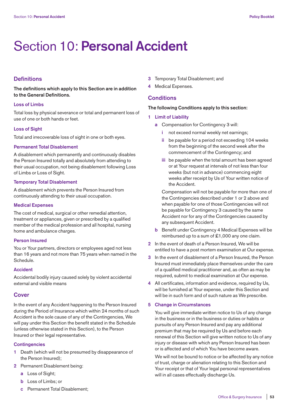## Section 10: **Personal Accident**

## **Definitions**

**The definitions which apply to this Section are in addition to the General Definitions.**

## **Loss of Limbs**

Total loss by physical severance or total and permanent loss of use of one or both hands or feet.

#### **Loss of Sight**

Total and irrecoverable loss of sight in one or both eyes.

## **Permanent Total Disablement**

A disablement which permanently and continuously disables the Person Insured totally and absolutely from attending to their usual occupation, not being disablement following Loss of Limbs or Loss of Sight.

## **Temporary Total Disablement**

A disablement which prevents the Person Insured from continuously attending to their usual occupation.

## **Medical Expenses**

The cost of medical, surgical or other remedial attention, treatment or appliances, given or prescribed by a qualified member of the medical profession and all hospital, nursing home and ambulance charges.

### **Person Insured**

You or Your partners, directors or employees aged not less than 16 years and not more than 75 years when named in the Schedule.

## **Accident**

Accidental bodily injury caused solely by violent accidental external and visible means

## **Cover**

In the event of any Accident happening to the Person Insured during the Period of Insurance which within 24 months of such Accident is the sole cause of any of the Contingencies, We will pay under this Section the benefit stated in the Schedule (unless otherwise stated in this Section), to the Person Insured or their legal representative.

#### **Contingencies**

- **1** Death (which will not be presumed by disappearance of the Person Insured);
- **2** Permanent Disablement being:
	- **a** Loss of Sight;
	- **b** Loss of Limbs; or
	- **c** Permanent Total Disablement;
- **3** Temporary Total Disablement; and
- **4** Medical Expenses.

## **Conditions**

## **The following Conditions apply to this section:**

- **1 Limit of Liability**
	- **a** Compensation for Contingency 3 will:
		- **i** not exceed normal weekly net earnings;
		- **ii** be payable for a period not exceeding 104 weeks from the beginning of the second week after the commencement of the Contingency; and
		- **iii** be payable when the total amount has been agreed or at Your request at intervals of not less than four weeks (but not in advance) commencing eight weeks after receipt by Us of Your written notice of the Accident.

 Compensation will not be payable for more than one of the Contingencies described under 1 or 2 above and when payable for one of those Contingencies will not be payable for Contingency 3 caused by the same Accident nor for any of the Contingencies caused by any subsequent Accident.

- **b** Benefit under Contingency 4 Medical Expenses will be reimbursed up to a sum of £1,000 any one claim.
- **2** In the event of death of a Person Insured, We will be entitled to have a post mortem examination at Our expense.
- **3** In the event of disablement of a Person Insured, the Person Insured must immediately place themselves under the care of a qualified medical practitioner and, as often as may be required, submit to medical examination at Our expense.
- **4** All certificates, information and evidence, required by Us, will be furnished at Your expense, under this Section and will be in such form and of such nature as We prescribe.

## **5 Change in Circumstances**

 You will give immediate written notice to Us of any change in the business or in the business or duties or habits or pursuits of any Person Insured and pay any additional premium that may be required by Us and before each renewal of this Section will give written notice to Us of any injury or disease with which any Person Insured has been or is affected and of which You have become aware.

 We will not be bound to notice or be affected by any notice of trust, charge or alienation relating to this Section and Your receipt or that of Your legal personal representatives will in all cases effectually discharge Us.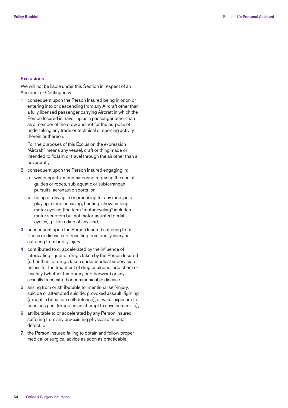#### **Exclusions**

 We will not be liable under this Section in respect of an Accident or Contingency:

 **1** consequent upon the Person Insured being in or on or entering into or descending from any Aircraft other than a fully licensed passenger carrying Aircraft in which the Person Insured is travelling as a passenger other than as a member of the crew and not for the purpose of undertaking any trade or technical or sporting activity therein or thereon.

 For the purposes of this Exclusion the expression "Aircraft" means any vessel, craft or thing made or intended to float in or travel through the air other than a hovercraft;

- **2** consequent upon the Person Insured engaging in:
	- **a** winter sports, mountaineering requiring the use of guides or ropes, sub-aquatic or subterranean pursuits, aeronautic sports; or
	- **b** riding or driving in or practising for any race, polo playing, steeplechasing, hunting, showjumping, motor cycling (the term "motor cycling" includes motor scooters but not motor-assisted pedal cycles), pillion riding of any kind;
- **3** consequent upon the Person Insured suffering from illness or disease not resulting from bodily injury or suffering from bodily injury;
- **4** contributed to or accelerated by the influence of intoxicating liquor or drugs taken by the Person Insured (other than for drugs taken under medical supervision unless for the treatment of drug or alcohol addiction) or insanity (whether temporary or otherwise) or any sexually transmitted or communicable disease;
- **5** arising from or attributable to intentional self-injury, suicide or attempted suicide, provoked assault, fighting (except in bona fide self-defence), or wilful exposure to needless peril (except in an attempt to save human life);
- **6** attributable to or accelerated by any Person Insured suffering from any pre-existing physical or mental defect; or
- **7** the Person Insured failing to obtain and follow proper medical or surgical advice as soon as practicable.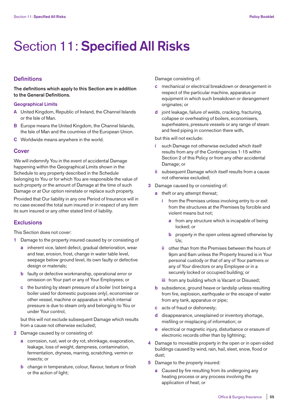## Section 11: **Specified All Risks**

## **Definitions**

**The definitions which apply to this Section are in addition to the General Definitions.**

#### **Geographical Limits**

- **A** United Kingdom, Republic of Ireland, the Channel Islands or the Isle of Man.
- **B** Europe means the United Kingdom, the Channel Islands, the Isle of Man and the countries of the European Union.
- **C** Worldwide means anywhere in the world.

## **Cover**

We will indemnify You in the event of accidental Damage happening within the Geographical Limits shown in the Schedule to any property described in the Schedule belonging to You or for which You are responsible the value of such property or the amount of Damage at the time of such Damage or at Our option reinstate or replace such property.

Provided that Our liability in any one Period of Insurance will in no case exceed the total sum insured or in respect of any item its sum insured or any other stated limit of liability.

## **Exclusions**

This Section does not cover:

- **1** Damage to the property insured caused by or consisting of
	- **a** inherent vice, latent defect, gradual deterioration, wear and tear, erosion, frost, change in water table level, seepage below ground level, its own faulty or defective design or materials;
	- **b** faulty or defective workmanship, operational error or omission on Your part or any of Your Employees; or
	- **c** the bursting by steam pressure of a boiler (not being a boiler used for domestic purposes only), economiser or other vessel, machine or apparatus in which internal pressure is due to steam only and belonging to You or under Your control,

 but this will not exclude subsequent Damage which results from a cause not otherwise excluded;

- **2** Damage caused by or consisting of:
	- **a** corrosion, rust, wet or dry rot, shrinkage, evaporation, leakage, loss of weight, dampness, contamination, fermentation, dryness, marring, scratching, vermin or insects; or
	- **b** change in temperature, colour, flavour, texture or finish or the action of light;

Damage consisting of:

- **c** mechanical or electrical breakdown or derangement in respect of the particular machine, apparatus or equipment in which such breakdown or derangement originates; or
- **d** joint leakage, failure of welds, cracking, fracturing, collapse or overheating of boilers, economisers, superheaters, pressure vessels or any range of steam and feed piping in connection there with,

but this will not exclude:

- **i** such Damage not otherwise excluded which itself results from any of the Contingencies 1-15 within Section 2 of this Policy or from any other accidental Damage; or
- **ii** subsequent Damage which itself results from a cause not otherwise excluded;
- **3** Damage caused by or consisting of:
	- **a** theft or any attempt thereat;
		- **i** from the Premises unless involving entry to or exit from the structures at the Premises by forcible and violent means but not;
			- **a** from any structure which is incapable of being locked; or
			- **b** property in the open unless agreed otherwise by Us;
		- **ii** other than from the Premises between the hours of 9pm and 6am unless the Property Insured is in Your personal custody or that of any of Your partners or any of Your directors or any Employee or in a securely locked or occupied building; or
		- **iii** from any building which is Vacant or Disused;
	- **b** subsidence, ground heave or landslip unless resulting from fire, explosion, earthquake or the escape of water from any tank, apparatus or pipe;
	- **c** acts of fraud or dishonesty;
	- disappearance, unexplained or inventory shortage, misfiling or misplacing of information; or
	- **e** electrical or magnetic injury, disturbance or erasure of electronic records other than by lightning;
- **4** Damage to moveable property in the open or in open-sided buildings caused by wind, rain, hail, sleet, snow, flood or dust;
- **5** Damage to the property insured:
	- **a** Caused by fire resulting from its undergoing any heating process or any process involving the application of heat; or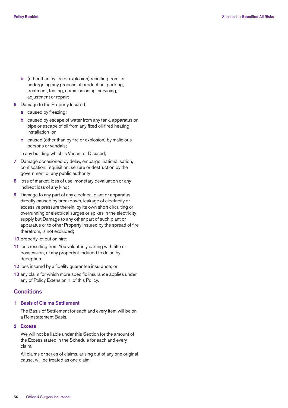- **b** (other than by fire or explosion) resulting from its undergoing any process of production, packing, treatment, testing, commissioning, servicing, adjustment or repair;
- **6** Damage to the Property Insured:
	- **a** caused by freezing;
	- **b** caused by escape of water from any tank, apparatus or pipe or escape of oil from any fixed oil-fired heating installation; or
	- **c** caused (other than by fire or explosion) by malicious persons or vandals;

in any building which is Vacant or Disused;

- **7** Damage occasioned by delay, embargo, nationalisation, confiscation, requisition, seizure or destruction by the government or any public authority;
- **8** loss of market, loss of use, monetary devaluation or any indirect loss of any kind;
- **9** Damage to any part of any electrical plant or apparatus, directly caused by breakdown, leakage of electricity or excessive pressure therein, by its own short circuiting or overrunning or electrical surges or spikes in the electricity supply but Damage to any other part of such plant or apparatus or to other Property Insured by the spread of fire therefrom, is not excluded;
- **10** property let out on hire;
- **11** loss resulting from You voluntarily parting with title or possession, of any property if induced to do so by deception;
- **12** loss insured by a fidelity guarantee insurance; or
- **13** any claim for which more specific insurance applies under any of Policy Extension 1, of this Policy.

## **Conditions**

#### **1 Basis of Claims Settlement**

 The Basis of Settlement for each and every item will be on a Reinstatement Basis.

**2 Excess**

 We will not be liable under this Section for the amount of the Excess stated in the Schedule for each and every claim.

 All claims or series of claims, arising out of any one original cause, will be treated as one claim.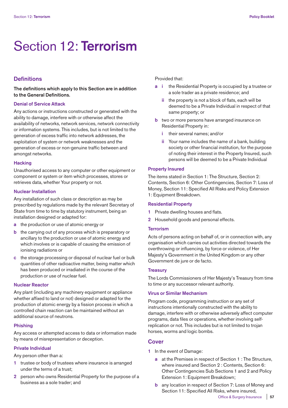## Section 12: **Terrorism**

## **Definitions**

## **The definitions which apply to this Section are in addition to the General Definitions.**

## **Denial of Service Attack**

Any actions or instructions constructed or generated with the ability to damage, interfere with or otherwise affect the availability of networks, network services, network connectivity or information systems. This includes, but is not limited to the generation of excess traffic into network addresses, the exploitation of system or network weaknesses and the generation of excess or non-genuine traffic between and amongst networks.

#### **Hacking**

Unauthorised access to any computer or other equipment or component or system or item which processes, stores or retrieves data, whether Your property or not.

#### **Nuclear Installation**

Any installation of such class or description as may be prescribed by regulations made by the relevant Secretary of State from time to time by statutory instrument, being an installation designed or adapted for:

- **a** the production or use of atomic energy or
- **b** the carrying out of any process which is preparatory or ancillary to the production or use of atomic energy and which involves or is capable of causing the emission of ionising radiations or
- **c** the storage processing or disposal of nuclear fuel or bulk quantities of other radioactive matter, being matter which has been produced or irradiated in the course of the production or use of nuclear fuel.

## **Nuclear Reactor**

Any plant (including any machinery equipment or appliance whether affixed to land or not) designed or adapted for the production of atomic energy by a fission process in which a controlled chain reaction can be maintained without an additional source of neutrons.

## **Phishing**

Any access or attempted access to data or information made by means of misrepresentation or deception.

#### **Private Individual**

Any person other than a:

- **1** trustee or body of trustees where insurance is arranged under the terms of a trust;
- **2** person who owns Residential Property for the purpose of a business as a sole trader; and

Provided that:

- **a i** the Residential Property is occupied by a trustee or a sole trader as a private residence; and
	- **ii** the property is not a block of flats, each will be deemed to be a Private Individual in respect of that same property; or
- **b** two or more persons have arranged insurance on Residential Property in:
	- **i** their several names; and/or
	- **ii** Your name includes the name of a bank, building society or other financial institution, for the purpose of noting their interest in the Property Insured, such persons will be deemed to be a Private Individual

## **Property Insured**

The items stated in Section 1: The Structure, Section 2: Contents, Section 6: Other Contingencies, Section 7: Loss of Money, Section 11: Specified All Risks and Policy Extension 1: Equipment Breakdown.

## **Residential Property**

- **1** Private dwelling houses and flats.
- **2** Household goods and personal effects.

## **Terrorism**

Acts of persons acting on behalf of, or in connection with, any organisation which carries out activities directed towards the overthrowing or influencing, by force or violence, of Her Majesty's Government in the United Kingdom or any other Government de jure or de facto.

## **Treasury**

The Lords Commissioners of Her Majesty's Treasury from time to time or any successor relevant authority.

#### **Virus or Similar Mechanism**

Program code, programming instruction or any set of instructions intentionally constructed with the ability to damage, interfere with or otherwise adversely affect computer programs, data files or operations, whether involving selfreplication or not. This includes but is not limited to trojan horses, worms and logic bombs.

## **Cover**

- **1** In the event of Damage:
	- **a** at the Premises in respect of Section 1 : The Structure, where insured and Section 2 : Contents, Section 6: Other Contingencies Sub Sections 1 and 2 and Policy Extension 1: Equipment Breakdown;
	- **b** any location in respect of Section 7: Loss of Money and Section 11: Specified All Risks, where insured,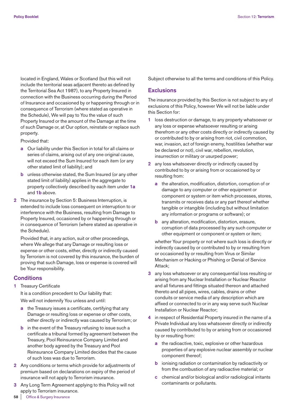located in England, Wales or Scotland (but this will not include the territorial seas adjacent thereto as defined by the Territorial Sea Act 1987), to any Property Insured in connection with the Business occurring during the Period of Insurance and occasioned by or happening through or in consequence of Terrorism (where stated as operative in the Schedule), We will pay to You the value of such Property Insured or the amount of the Damage at the time of such Damage or, at Our option, reinstate or replace such property.

Provided that:

- **a** Our liability under this Section in total for all claims or series of claims, arising out of any one original cause, will not exceed the Sum Insured for each item (or any other stated limit of liability); and
- **b** unless otherwise stated, the Sum Insured (or any other stated limit of liability) applies in the aggregate to property collectively described by each item under **1a** and **1b** above.
- **2** The insurance by Section 5: Business Interruption, is extended to include loss consequent on interruption to or interference with the Business, resulting from Damage to Property Insured, occasioned by or happening through or in consequence of Terrorism (where stated as operative in the Schedule).

 Provided that, in any action, suit or other proceedings, where We allege that any Damage or resulting loss or expense or other costs, either, directly or indirectly caused by Terrorism is not covered by this insurance, the burden of proving that such Damage, loss or expense is covered will be Your responsibility.

## **Conditions**

**1** Treasury Certificate

It is a condition precedent to Our liability that: We will not indemnify You unless and until:

- **a** the Treasury issues a certificate, certifying that any Damage or resulting loss or expense or other costs, either directly or indirectly was caused by Terrorism; or
- **b** in the event of the Treasury refusing to issue such a certificate a tribunal formed by agreement between the Treasury, Pool Reinsurance Company Limited and another body agreed by the Treasury and Pool Reinsurance Company Limited decides that the cause of such loss was due to Terrorism.
- **2** Any conditions or terms which provide for adjustments of premium based on declarations on expiry of the period of insurance will not apply to Terrorism insurance.
- **3** Any Long Term Agreement applying to this Policy will not apply to Terrorism insurance.

Subject otherwise to all the terms and conditions of this Policy.

## **Exclusions**

The insurance provided by this Section is not subject to any of exclusions of this Policy, however We will not be liable under this Section for:

- **1** loss destruction or damage, to any property whatsoever or any loss or expense whatsoever resulting or arising therefrom or any other costs directly or indirectly caused by or contributed to by or arising from riot, civil commotion, war, invasion, act of foreign enemy, hostilities (whether war be declared or not), civil war, rebellion, revolution, insurrection or military or usurped power;
- **2** any loss whatsoever directly or indirectly caused by contributed to by or arising from or occasioned by or resulting from:
	- **a** the alteration, modification, distortion, corruption of or damage to any computer or other equipment or component or system or item which processes, stores, transmits or receives data or any part thereof whether tangible or intangible (including but without limitation any information or programs or software); or
	- **b** any alteration, modification, distortion, erasure, corruption of data processed by any such computer or other equipment or component or system or item;

 whether Your property or not where such loss is directly or indirectly caused by or contributed to by or resulting from or occasioned by or resulting from Virus or Similar Mechanism or Hacking or Phishing or Denial of Service Attack;

- **3** any loss whatsoever or any consequential loss resulting or arising from any Nuclear Installation or Nuclear Reactor and all fixtures and fittings situated thereon and attached thereto and all pipes, wires, cables, drains or other conduits or service media of any description which are affixed or connected to or in any way serve such Nuclear Installation or Nuclear Reactor;
- **4** in respect of Residential Property insured in the name of a Private Individual any loss whatsoever directly or indirectly caused by contributed to by or arising from or occasioned by or resulting from:
	- **a** the radioactive, toxic, explosive or other hazardous properties of any explosive nuclear assembly or nuclear component thereof;
	- **b** ionising radiation or contamination by radioactivity or from the combustion of any radioactive material; or
	- **c** chemical and/or biological and/or radiological irritants contaminants or pollutants.

**58** | Office & Surgery Insurance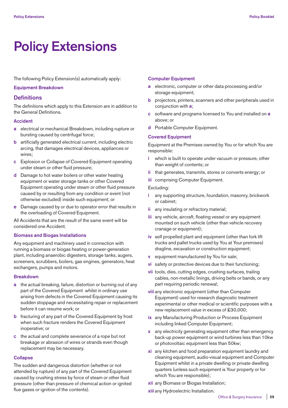## **Policy Extensions**

The following Policy Extension(s) automatically apply:

## **Equipment Breakdown**

## **Definitions**

The definitions which apply to this Extension are in addition to the General Definitions.

#### **Accident**

- **a** electrical or mechanical Breakdown, including rupture or bursting caused by centrifugal force;
- **b** artificially generated electrical current, including electric arcing, that damages electrical devices, appliances or wires;
- **c** Explosion or Collapse of Covered Equipment operating under steam or other fluid pressure;
- **d** Damage to hot water boilers or other water heating equipment or water storage tanks or other Covered Equipment operating under steam or other fluid pressure caused by or resulting from any condition or event (not otherwise excluded) inside such equipment; or
- **e** Damage caused by or due to operator error that results in the overloading of Covered Equipment.

All Accidents that are the result of the same event will be considered one Accident.

## **Biomass and Biogas Installations**

Any equipment and machinery used in connection with running a biomass or biogas heating or power-generation plant, including anaerobic digesters, storage tanks, augers, screeners, scrubbers, boilers, gas engines, generators, heat exchangers, pumps and motors.

## **Breakdown**

- **a** the actual breaking, failure, distortion or burning out of any part of the Covered Equipment whilst in ordinary use arising from defects in the Covered Equipment causing its sudden stoppage and necessitating repair or replacement before it can resume work; or
- **b** fracturing of any part of the Covered Equipment by frost when such fracture renders the Covered Equipment inoperative; or
- **c** the actual and complete severance of a rope but not breakage or abrasion of wires or strands even though replacement may be necessary.

## **Collapse**

The sudden and dangerous distortion (whether or not attended by rupture) of any part of the Covered Equipment caused by crushing stress by force of steam or other fluid pressure (other than pressure of chemical action or ignited flue gases or ignition of the contents).

#### **Computer Equipment**

- **a** electronic, computer or other data processing and/or storage equipment;
- **b** projectors, printers, scanners and other peripherals used in conjunction with **a**;
- **c** software and programs licensed to You and installed on **a** above; or
- **d** Portable Computer Equipment.

#### **Covered Equipment**

Equipment at the Premises owned by You or for which You are responsible:

- **i** which is built to operate under vacuum or pressure, other than weight of contents; or
- **ii** that generates, transmits, stores or converts energy; or
- **iii** comprising Computer Equipment.

## Excluding:

- **i** any supporting structure, foundation, masonry, brickwork or cabinet;
- **ii** any insulating or refractory material;
- **iii** any vehicle, aircraft, floating vessel or any equipment mounted on such vehicle (other than vehicle recovery cranage or equipment);
- **iv** self propelled plant and equipment (other than fork lift trucks and pallet trucks used by You at Your premises) dragline, excavation or construction equipment;
- **v** equipment manufactured by You for sale;
- **vi** safety or protective devices due to their functioning;
- **vii** tools, dies, cutting edges, crushing surfaces, trailing cables, non-metallic linings, driving belts or bands, or any part requiring periodic renewal;
- **viii** any electronic equipment (other than Computer Equipment) used for research diagnostic treatment experimental or other medical or scientific purposes with a new replacement value in excess of £30,000;
- **ix** any Manufacturing Production or Process Equipment including linked Computer Equipment;
- **x** any electricity generating equipment other than emergency back-up power equipment or wind turbines less than 10kw or photovoltaic equipment less than 50kw;
- **xi** any kitchen and food preparation equipment laundry and cleaning equipment, audio-visual equipment and Computer Equipment whilst in a private dwelling or private dwelling quarters (unless such equipment is Your property or for which You are responsible);
- **xii** any Biomass or Biogas Installation;

**xiii** any Hydroelectric Installation.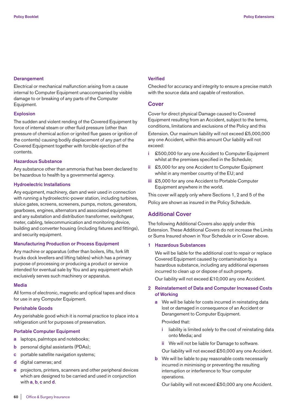## **Derangement**

Electrical or mechanical malfunction arising from a cause internal to Computer Equipment unaccompanied by visible damage to or breaking of any parts of the Computer Equipment.

### **Explosion**

The sudden and violent rending of the Covered Equipment by force of internal steam or other fluid pressure (other than pressure of chemical action or ignited flue gases or ignition of the contents) causing bodily displacement of any part of the Covered Equipment together with forcible ejection of the contents.

## **Hazardous Substance**

Any substance other than ammonia that has been declared to be hazardous to health by a governmental agency.

#### **Hydroelectric Installations**

Any equipment, machinery, dam and weir used in connection with running a hydroelectric-power station, including turbines, sluice gates, screens, screeners, pumps, motors, generators, gearboxes, engines, alternators and associated equipment and any substation and distribution transformer, switchgear, meter, cabling, telecommunication and monitoring device, building and converter housing (including fixtures and fittings), and security equipment.

## **Manufacturing Production or Process Equipment**

Any machine or apparatus (other than boilers, lifts, fork lift trucks dock levellers and lifting tables) which has a primary purpose of processing or producing a product or service intended for eventual sale by You and any equipment which exclusively serves such machinery or apparatus.

## **Media**

All forms of electronic, magnetic and optical tapes and discs for use in any Computer Equipment.

## **Perishable Goods**

Any perishable good which it is normal practice to place into a refrigeration unit for purposes of preservation.

## **Portable Computer Equipment**

- **a** laptops, palmtops and notebooks;
- **b** personal digital assistants (PDAs);
- **c** portable satellite navigation systems;
- **d** digital cameras; and
- **e** projectors, printers, scanners and other peripheral devices which are designed to be carried and used in conjunction with **a**, **b**, **c** and **d**.

### **Verified**

Checked for accuracy and integrity to ensure a precise match with the source data and capable of restoration.

## **Cover**

Cover for direct physical Damage caused to Covered Equipment resulting from an Accident, subject to the terms, conditions, limitations and exclusions of the Policy and this

Extension. Our maximum liability will not exceed £5,000,000 any one Accident, within this amount Our liability will not exceed:

- **i** £500,000 for any one Accident to Computer Equipment whilst at the premises specified in the Schedule;
- **ii** £5,000 for any one Accident to Computer Equipment whilst in any member country of the EU; and
- **iii** £5,000 for any one Accident to Portable Computer Equipment anywhere in the world.

This cover will apply only where Sections 1, 2 and 5 of the Policy are shown as insured in the Policy Schedule.

## **Additional Cover**

The following Additional Covers also apply under this Extension. These Additional Covers do not increase the Limits or Sums Insured shown in Your Schedule or in Cover above.

## **1 Hazardous Substances**

 We will be liable for the additional cost to repair or replace Covered Equipment caused by contamination by a hazardous substance, including any additional expenses incurred to clean up or dispose of such property.

Our liability will not exceed £10,000 any one Accident.

## **2 Reinstatement of Data and Computer Increased Costs of Working**

 **a** We will be liable for costs incurred in reinstating data lost or damaged in consequence of an Accident or Derangement to Computer Equipment.

Provided that:

- **i** liability is limited solely to the cost of reinstating data onto Media; and
- **ii** We will not be liable for Damage to software.

Our liability will not exceed £50,000 any one Accident.

**b** We will be liable to pay reasonable costs necessarily incurred in minimising or preventing the resulting interruption or interference to Your computer operations.

Our liability will not exceed £50,000 any one Accident.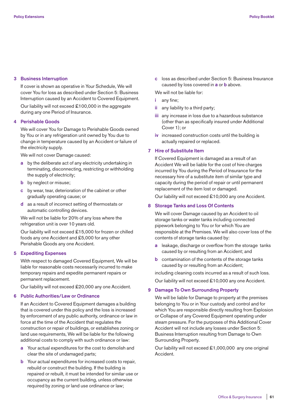## **3 Business Interruption**

 If cover is shown as operative in Your Schedule, We will cover You for loss as described under Section 5: Business Interruption caused by an Accident to Covered Equipment.

 Our liability will not exceed £100,000 in the aggregate during any one Period of Insurance.

## **4 Perishable Goods**

 We will cover You for Damage to Perishable Goods owned by You or in any refrigeration unit owned by You due to change in temperature caused by an Accident or failure of the electricity supply.

We will not cover Damage caused:

- **a** by the deliberate act of any electricity undertaking in terminating, disconnecting, restricting or withholding the supply of electricity;
- **b** by neglect or misuse;
- **c** by wear, tear, deterioration of the cabinet or other gradually operating cause; or
- **d** as a result of incorrect setting of thermostats or automatic controlling devices.

 We will not be liable for 20% of any loss where the refrigeration unit is over 10 years old.

 Our liability will not exceed £15,000 for frozen or chilled foods any one Accident and £5,000 for any other Perishable Goods any one Accident.

### **5 Expediting Expenses**

 With respect to damaged Covered Equipment, We will be liable for reasonable costs necessarily incurred to make temporary repairs and expedite permanent repairs or permanent replacement.

Our liability will not exceed £20,000 any one Accident.

## **6 Public Authorities/Law or Ordinance**

 If an Accident to Covered Equipment damages a building that is covered under this policy and the loss is increased by enforcement of any public authority, ordinance or law in force at the time of the Accident that regulates the construction or repair of buildings, or establishes zoning or land use requirements, We will be liable for the following additional costs to comply with such ordinance or law:

- **a** Your actual expenditures for the cost to demolish and clear the site of undamaged parts;
- **b** Your actual expenditures for increased costs to repair, rebuild or construct the building. If the building is repaired or rebuilt, it must be intended for similar use or occupancy as the current building, unless otherwise required by zoning or land use ordinance or law;

 **c** loss as described under Section 5: Business Insurance caused by loss covered in **a** or **b** above.

We will not be liable for:

 **i** any fine;

- **ii** any liability to a third party;
- **iii** any increase in loss due to a hazardous substance (other than as specifically insured under Additional Cover 1); or
- **iv** increased construction costs until the building is actually repaired or replaced.

## **7 Hire of Substitute Item**

 If Covered Equipment is damaged as a result of an Accident We will be liable for the cost of hire charges incurred by You during the Period of Insurance for the necessary hire of a substitute item of similar type and capacity during the period of repair or until permanent replacement of the item lost or damaged.

Our liability will not exceed £10,000 any one Accident.

## **8 Storage Tanks and Loss Of Contents**

 We will cover Damage caused by an Accident to oil storage tanks or water tanks including connected pipework belonging to You or for which You are responsible at the Premises. We will also cover loss of the contents of storage tanks caused by:

- **a** leakage, discharge or overflow from the storage tanks caused by or resulting from an Accident; and
- **b** contamination of the contents of the storage tanks caused by or resulting from an Accident;

 including cleaning costs incurred as a result of such loss. Our liability will not exceed £10,000 any one Accident.

## **9 Damage To Own Surrounding Property**

 We will be liable for Damage to property at the premises belonging to You or in Your custody and control and for which You are responsible directly resulting from Explosion or Collapse of any Covered Equipment operating under steam pressure. For the purposes of this Additional Cover Accident will not include any losses under Section 5: Business Interruption resulting from Damage to Own Surrounding Property.

 Our liability will not exceed £1,000,000 any one original Accident.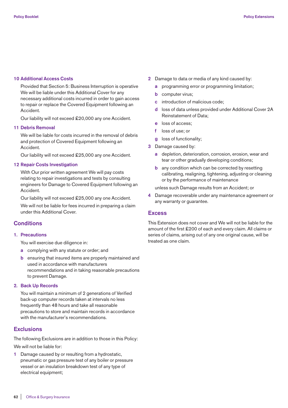#### **10 Additional Access Costs**

 Provided that Section 5: Business Interruption is operative We will be liable under this Additional Cover for any necessary additional costs incurred in order to gain access to repair or replace the Covered Equipment following an Accident.

Our liability will not exceed £20,000 any one Accident.

#### **11 Debris Removal**

 We will be liable for costs incurred in the removal of debris and protection of Covered Equipment following an Accident.

Our liability will not exceed £25,000 any one Accident.

## **12 Repair Costs Investigation**

 With Our prior written agreement We will pay costs relating to repair investigations and tests by consulting engineers for Damage to Covered Equipment following an Accident.

Our liability will not exceed £25,000 any one Accident.

 We will not be liable for fees incurred in preparing a claim under this Additional Cover.

## **Conditions**

#### **1. Precautions**

You will exercise due diligence in:

- **a** complying with any statute or order; and
- **b** ensuring that insured items are properly maintained and used in accordance with manufacturers recommendations and in taking reasonable precautions to prevent Damage.

#### **2. Back Up Records**

 You will maintain a minimum of 2 generations of Verified back-up computer records taken at intervals no less frequently than 48 hours and take all reasonable precautions to store and maintain records in accordance with the manufacturer's recommendations.

## **Exclusions**

The following Exclusions are in addition to those in this Policy:

We will not be liable for:

**1** Damage caused by or resulting from a hydrostatic, pneumatic or gas pressure test of any boiler or pressure vessel or an insulation breakdown test of any type of electrical equipment;

- **2** Damage to data or media of any kind caused by:
	- **a** programming error or programming limitation;
	- **b** computer virus;
	- **c** introduction of malicious code;
	- **d** loss of data unless provided under Additional Cover 2A Reinstatement of Data;
	- **e** loss of access;
	- **f** loss of use; or
	- **g** loss of functionality:
- **3** Damage caused by:
	- **a** depletion, deterioration, corrosion, erosion, wear and tear or other gradually developing conditions;
	- **b** any condition which can be corrected by resetting calibrating, realigning, tightening, adjusting or cleaning or by the performance of maintenance

unless such Damage results from an Accident; or

**4** Damage recoverable under any maintenance agreement or any warranty or guarantee.

#### **Excess**

This Extension does not cover and We will not be liable for the amount of the first £200 of each and every claim. All claims or series of claims, arising out of any one original cause, will be treated as one claim.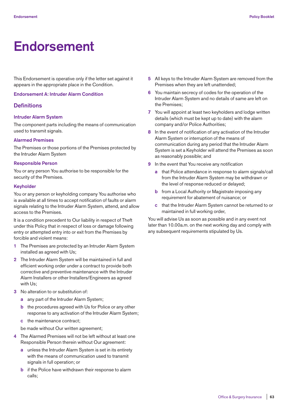## **Endorsement**

This Endorsement is operative only if the letter set against it appears in the appropriate place in the Condition.

**Endorsement A: Intruder Alarm Condition**

## **Definitions**

### **Intruder Alarm System**

The component parts including the means of communication used to transmit signals.

## **Alarmed Premises**

The Premises or those portions of the Premises protected by the Intruder Alarm System

## **Responsible Person**

You or any person You authorise to be responsible for the security of the Premises.

#### **Keyholder**

You or any person or keyholding company You authorise who is available at all times to accept notification of faults or alarm signals relating to the Intruder Alarm System, attend, and allow access to the Premises.

It is a condition precedent to Our liability in respect of Theft under this Policy that in respect of loss or damage following entry or attempted entry into or exit from the Premises by forcible and violent means:

- **1** The Premises are protected by an Intruder Alarm System installed as agreed with Us;
- **2** The Intruder Alarm System will be maintained in full and efficient working order under a contract to provide both corrective and preventive maintenance with the Intruder Alarm Installers or other Installers/Engineers as agreed with Us;
- **3** No alteration to or substitution of:
	- **a** any part of the Intruder Alarm System;
	- **b** the procedures agreed with Us for Police or any other response to any activation of the Intruder Alarm System;
	- **c** the maintenance contract;

be made without Our written agreement;

- **4** The Alarmed Premises will not be left without at least one Responsible Person therein without Our agreement:
	- **a** unless the Intruder Alarm System is set in its entirety with the means of communication used to transmit signals in full operation; or
	- **b** if the Police have withdrawn their response to alarm calls;
- **5** All keys to the Intruder Alarm System are removed from the Premises when they are left unattended;
- **6** You maintain secrecy of codes for the operation of the Intruder Alarm System and no details of same are left on the Premises;
- **7** You will appoint at least two keyholders and lodge written details (which must be kept up to date) with the alarm company and/or Police Authorities;
- **8** In the event of notification of any activation of the Intruder Alarm System or interruption of the means of communication during any period that the Intruder Alarm System is set a Keyholder will attend the Premises as soon as reasonably possible; and
- **9** In the event that You receive any notification
	- **a** that Police attendance in response to alarm signals/call from the Intruder Alarm System may be withdrawn or the level of response reduced or delayed;
	- **b** from a Local Authority or Magistrate imposing any requirement for abatement of nuisance; or
	- **c** that the Intruder Alarm System cannot be returned to or maintained in full working order,

You will advise Us as soon as possible and in any event not later than 10.00a.m. on the next working day and comply with any subsequent requirements stipulated by Us.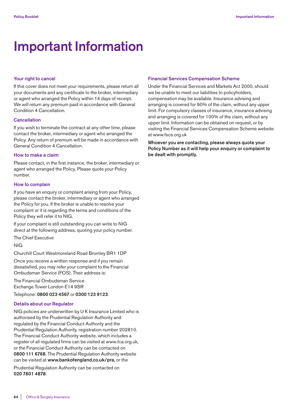## **Important Information**

## **Your right to cancel**

If this cover does not meet your requirements, please return all your documents and any certificate to the broker, intermediary or agent who arranged the Policy within 14 days of receipt. We will return any premium paid in accordance with General Condition 4 Cancellation.

## **Cancellation**

If you wish to terminate the contract at any other time, please contact the broker, intermediary or agent who arranged the Policy. Any return of premium will be made in accordance with General Condition 4 Cancellation.

## **How to make a claim**

Please contact, in the first instance, the broker, intermediary or agent who arranged the Policy. Please quote your Policy number.

## **How to complain**

If you have an enquiry or complaint arising from your Policy, please contact the broker, intermediary or agent who arranged the Policy for you. If the broker is unable to resolve your complaint or it is regarding the terms and conditions of the Policy they will refer it to NIG.

If your complaint is still outstanding you can write to NIG direct at the following address, quoting your policy number.

The Chief Executive

## NIG

Churchill Court Westmoreland Road Bromley BR1 1DP

Once you receive a written response and if you remain dissatisfied, you may refer your complaint to the Financial Ombudsman Service (FOS). Their address is:

The Financial Ombudsman Service Exchange Tower London E14 9SR Telephone: **0800 023 4567** or **0300 123 9123**.

## **Details about our Regulator**

NIG policies are underwritten by U K Insurance Limited who is authorised by the Prudential Regulation Authority and regulated by the Financial Conduct Authority and the Prudential Regulation Authority, registration number 202810. The Financial Conduct Authority website, which includes a register of all regulated firms can be visited at www.fca.org.uk, or the Financial Conduct Authority can be contacted on **0800 111 6768**. The Prudential Regulation Authority website can be visited at **www.bankofengland.co.uk/pra,** or the

Prudential Regulation Authority can be contacted on **020 7601 4878**.

#### **Financial Services Compensation Scheme**

Under the Financial Services and Markets Act 2000, should we be unable to meet our liabilities to policyholders, compensation may be available. Insurance advising and arranging is covered for 90% of the claim, without any upper limit. For compulsory classes of insurance, insurance advising and arranging is covered for 100% of the claim, without any upper limit. Information can be obtained on request, or by visiting the Financial Services Compensation Scheme website at www.fscs.org.uk

**Whoever you are contacting, please always quote your Policy Number as it will help your enquiry or complaint to be dealt with promptly.**